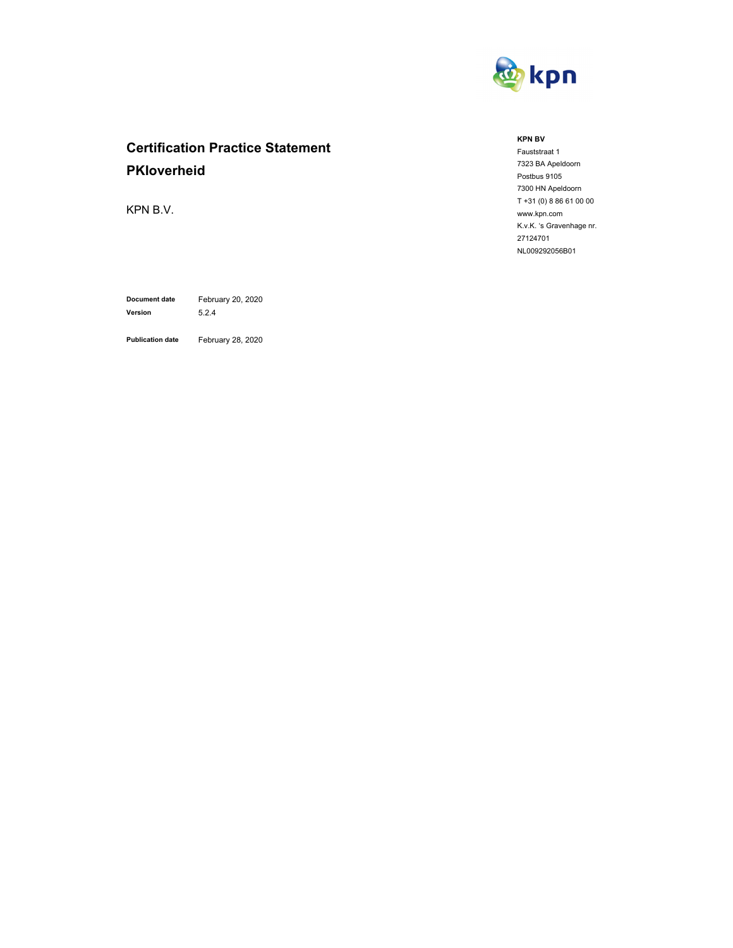

# **Certification Practice Statement PKIoverheid**

KPN B.V.

**Document date** February 20, 2020 **Version** 5.2.4

**Publication date** February 28, 2020

#### **KPN BV**

Fauststraat 1 7323 BA Apeldoorn Postbus 9105 7300 HN Apeldoorn T +31 (0) 8 86 61 00 00 www.kpn.com K.v.K. 's Gravenhage nr. 27124701 NL009292056B01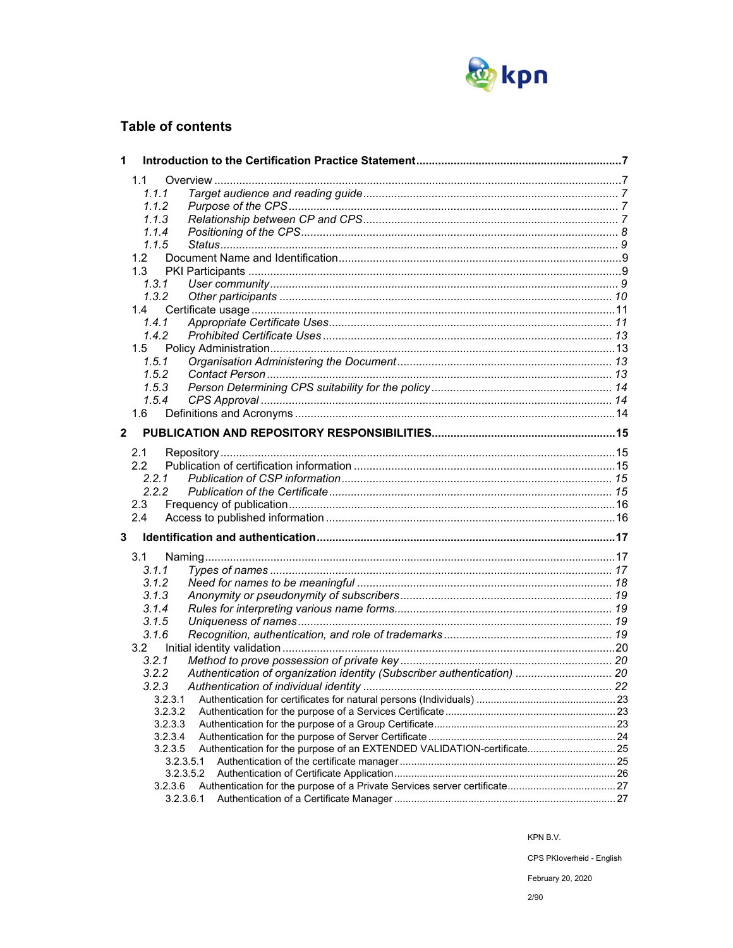

## **Table of contents**

| 1                       |                                                                                    |  |
|-------------------------|------------------------------------------------------------------------------------|--|
|                         | 1.1                                                                                |  |
|                         | 1.1.1                                                                              |  |
|                         | 1.1.2                                                                              |  |
|                         | 1.1.3                                                                              |  |
|                         | 1.1.4                                                                              |  |
|                         | 1.1.5                                                                              |  |
|                         | 1.2 <sub>1</sub>                                                                   |  |
|                         | 1.3                                                                                |  |
|                         | 1, 3, 1                                                                            |  |
|                         | 1.3.2                                                                              |  |
|                         | 1.4                                                                                |  |
|                         | 1.4.1                                                                              |  |
|                         | 1.4.2                                                                              |  |
|                         | 1.5                                                                                |  |
|                         | 1.5.1                                                                              |  |
|                         | 1.5.2                                                                              |  |
|                         | 1.5.3                                                                              |  |
|                         | 1.5.4                                                                              |  |
|                         | 1.6                                                                                |  |
| $\overline{\mathbf{2}}$ |                                                                                    |  |
|                         |                                                                                    |  |
|                         | 2.1                                                                                |  |
|                         | 2.2                                                                                |  |
|                         | 2.2.1                                                                              |  |
|                         | 2.2.2                                                                              |  |
|                         | 2.3                                                                                |  |
|                         | 2.4                                                                                |  |
| 3                       |                                                                                    |  |
|                         | 3.1                                                                                |  |
|                         | 3.1.1                                                                              |  |
|                         | 3.1.2                                                                              |  |
|                         | 3.1.3                                                                              |  |
|                         | 3.1.4                                                                              |  |
|                         | 3.1.5                                                                              |  |
|                         | 3.1.6                                                                              |  |
|                         | 3.2                                                                                |  |
|                         | 3.2.1                                                                              |  |
|                         | Authentication of organization identity (Subscriber authentication)  20<br>3.2.2   |  |
|                         | 3.2.3                                                                              |  |
|                         | 3.2.3.1                                                                            |  |
|                         | 3.2.3.2                                                                            |  |
|                         | 3.2.3.3                                                                            |  |
|                         | 3.2.3.4                                                                            |  |
|                         | Authentication for the purpose of an EXTENDED VALIDATION-certificate 25<br>3.2.3.5 |  |
|                         | 3.2.3.5.1                                                                          |  |
|                         | 3.2.3.5.2                                                                          |  |
|                         | 3.2.3.6                                                                            |  |
|                         | 3.2.3.6.1                                                                          |  |

KPN B.V.

CPS PKloverheid - English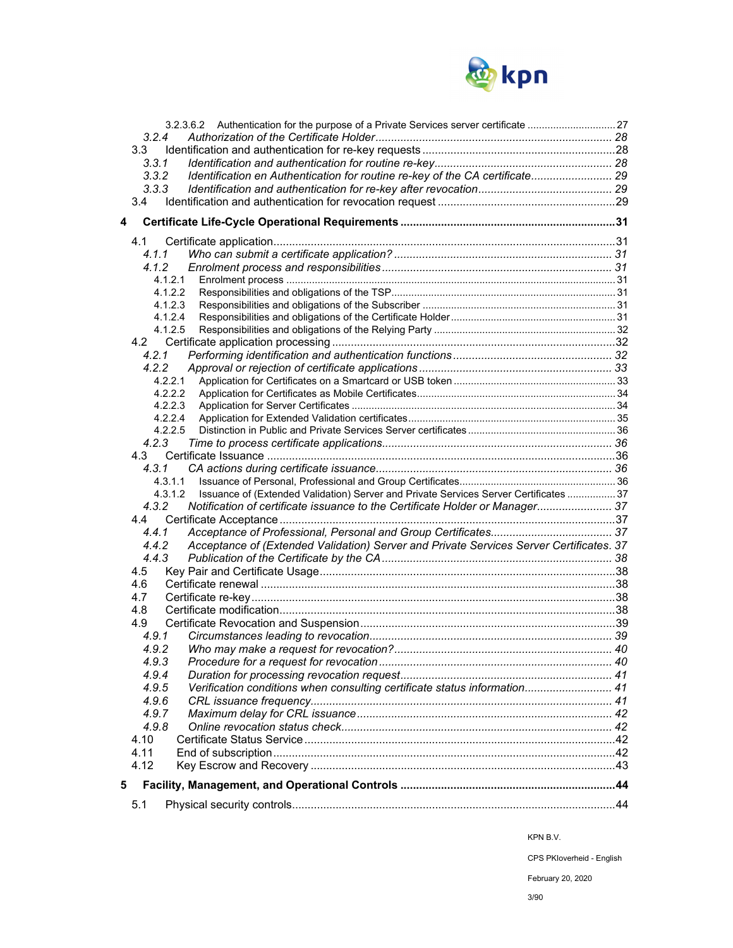

|   | 5.1                                                                                              |  |
|---|--------------------------------------------------------------------------------------------------|--|
| 5 |                                                                                                  |  |
|   |                                                                                                  |  |
|   | 4.12                                                                                             |  |
|   | 4.11                                                                                             |  |
|   | 4.10                                                                                             |  |
|   | 4.9.8                                                                                            |  |
|   | 4.9.6<br>4.9.7                                                                                   |  |
|   | Verification conditions when consulting certificate status information 41<br>4.9.5               |  |
|   | 4.9.4                                                                                            |  |
|   | 4.9.3                                                                                            |  |
|   | 4.9.2                                                                                            |  |
|   | 4.9.1                                                                                            |  |
|   | 4.9                                                                                              |  |
|   | 4.8                                                                                              |  |
|   | 4.7                                                                                              |  |
|   | 4.6                                                                                              |  |
|   | 4.5                                                                                              |  |
|   | 4.4.3                                                                                            |  |
|   | Acceptance of (Extended Validation) Server and Private Services Server Certificates. 37<br>4.4.2 |  |
|   | 4.4.1                                                                                            |  |
|   | 4.4                                                                                              |  |
|   | Notification of certificate issuance to the Certificate Holder or Manager 37<br>4.3.2            |  |
|   | Issuance of (Extended Validation) Server and Private Services Server Certificates  37<br>4.3.1.2 |  |
|   | 4.3.1.1                                                                                          |  |
|   | 4.3.1                                                                                            |  |
|   | 4.3                                                                                              |  |
|   | 4.2.3                                                                                            |  |
|   | 4.2.2.5                                                                                          |  |
|   | 4.2.2.3<br>4.2.2.4                                                                               |  |
|   | 4.2.2.2                                                                                          |  |
|   | 4.2.2.1                                                                                          |  |
|   | 4.2.2                                                                                            |  |
|   | 4.2.1                                                                                            |  |
|   |                                                                                                  |  |
|   | 4.1.2.5                                                                                          |  |
|   | 4.1.2.4                                                                                          |  |
|   | 4.1.2.3                                                                                          |  |
|   | 4.1.2.2                                                                                          |  |
|   | 4.1.2.1                                                                                          |  |
|   |                                                                                                  |  |
|   | 4.1.1                                                                                            |  |
|   | 4.1                                                                                              |  |
| 4 |                                                                                                  |  |
|   |                                                                                                  |  |
|   | 3.4                                                                                              |  |
|   | 3.3.3                                                                                            |  |
|   | Identification en Authentication for routine re-key of the CA certificate 29<br>3.3.2            |  |
|   | 3.3<br>3.3.1                                                                                     |  |
|   | 3.2.4                                                                                            |  |
|   |                                                                                                  |  |
|   |                                                                                                  |  |

KPN B.V.

CPS PKIoverheid - English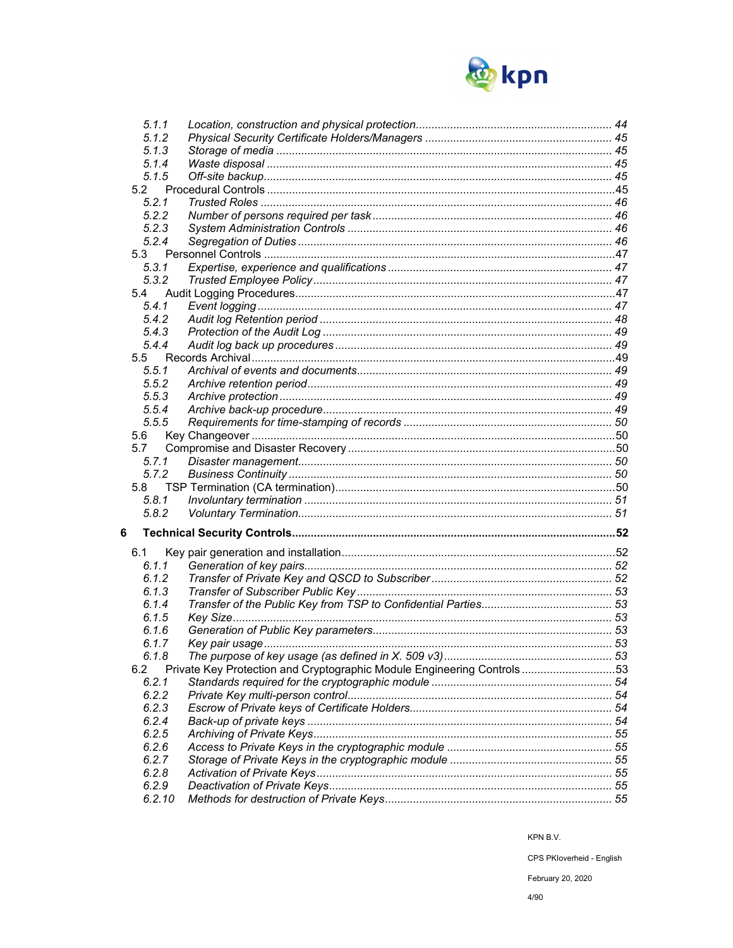

| 5.1.1  |                                                                        |  |
|--------|------------------------------------------------------------------------|--|
| 5.1.2  |                                                                        |  |
| 5.1.3  |                                                                        |  |
| 5.1.4  |                                                                        |  |
| 5.1.5  |                                                                        |  |
| 5.2    |                                                                        |  |
| 5.2.1  |                                                                        |  |
| 5.2.2  |                                                                        |  |
| 5.2.3  |                                                                        |  |
| 5.2.4  |                                                                        |  |
| 5.3    |                                                                        |  |
| 5.3.1  |                                                                        |  |
| 5.3.2  |                                                                        |  |
| 5.4    |                                                                        |  |
| 5.4.1  |                                                                        |  |
| 5.4.2  |                                                                        |  |
| 5.4.3  |                                                                        |  |
| 5.4.4  |                                                                        |  |
| 5.5    |                                                                        |  |
| 5.5.1  |                                                                        |  |
| 5.5.2  |                                                                        |  |
| 5.5.3  |                                                                        |  |
| 5.5.4  |                                                                        |  |
| 5.5.5  |                                                                        |  |
| 5.6    |                                                                        |  |
| 5.7    |                                                                        |  |
| 5.7.1  |                                                                        |  |
| 5.7.2  |                                                                        |  |
| 5.8    |                                                                        |  |
| 5.8.1  |                                                                        |  |
| 5.8.2  |                                                                        |  |
| 6      |                                                                        |  |
|        |                                                                        |  |
| 6.1    |                                                                        |  |
| 6.1.1  |                                                                        |  |
| 6.1.2  |                                                                        |  |
| 6.1.3  |                                                                        |  |
| 6.1.4  |                                                                        |  |
| 6.1.5  |                                                                        |  |
| 6.1.6  |                                                                        |  |
| 6.1.7  |                                                                        |  |
| 6.1.8  |                                                                        |  |
| 6.2    | Private Key Protection and Cryptographic Module Engineering Controls53 |  |
| 6.2.1  |                                                                        |  |
| 6.2.2  |                                                                        |  |
| 6.2.3  |                                                                        |  |
| 6.2.4  |                                                                        |  |
| 6.2.5  |                                                                        |  |
| 6.2.6  |                                                                        |  |
| 6.2.7  |                                                                        |  |
| 6.2.8  |                                                                        |  |
| 6.2.9  |                                                                        |  |
| 6.2.10 |                                                                        |  |

CPS PKloverheid - English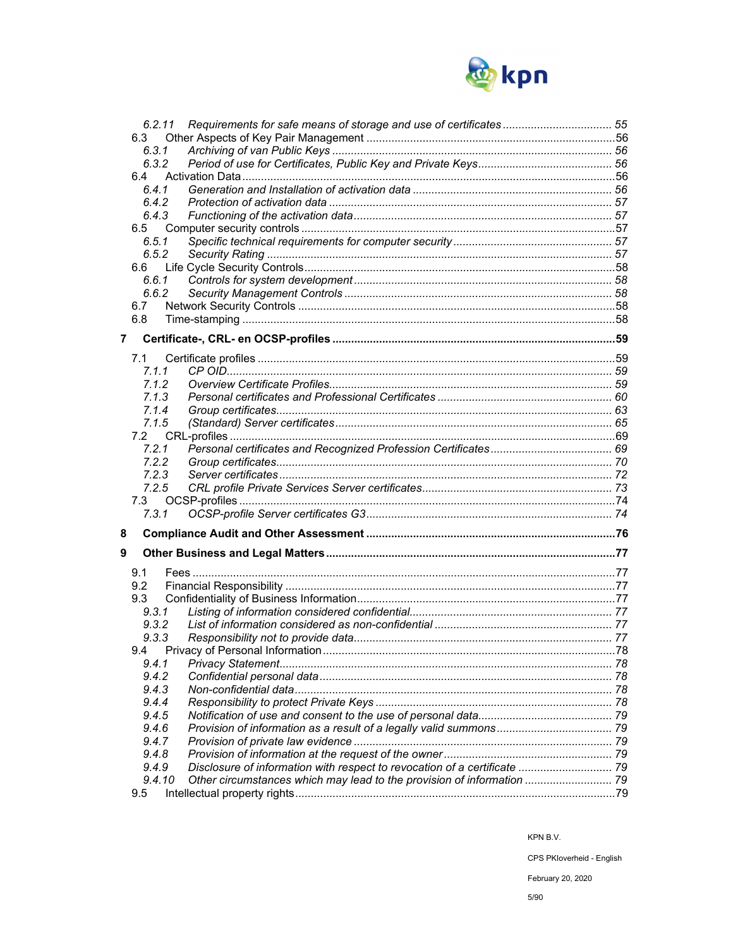

|                | 6.2.11 |                                                                           |  |
|----------------|--------|---------------------------------------------------------------------------|--|
|                | 6.3    |                                                                           |  |
|                | 6.3.1  |                                                                           |  |
|                | 6.3.2  |                                                                           |  |
|                | 6.4    |                                                                           |  |
|                | 641    |                                                                           |  |
|                | 6.4.2  |                                                                           |  |
|                | 6.4.3  |                                                                           |  |
|                | 6.5    |                                                                           |  |
|                | 6.5.1  |                                                                           |  |
|                | 6.5.2  |                                                                           |  |
|                | 6.6    |                                                                           |  |
|                | 6.6.1  |                                                                           |  |
|                | 6.6.2  |                                                                           |  |
|                | 6.7    |                                                                           |  |
|                | 6.8    |                                                                           |  |
|                |        |                                                                           |  |
| $\overline{7}$ |        |                                                                           |  |
|                | 7.1    |                                                                           |  |
|                | 7.1.1  |                                                                           |  |
|                | 7.1.2  |                                                                           |  |
|                | 7.1.3  |                                                                           |  |
|                | 7.1.4  |                                                                           |  |
|                | 7.1.5  |                                                                           |  |
|                | 7.2    |                                                                           |  |
|                | 7.2.1  |                                                                           |  |
|                | 7.2.2  |                                                                           |  |
|                | 7.2.3  |                                                                           |  |
|                | 7.2.5  |                                                                           |  |
|                | 7.3    |                                                                           |  |
|                | 7.3.1  |                                                                           |  |
| 8              |        |                                                                           |  |
|                |        |                                                                           |  |
| 9              |        |                                                                           |  |
|                | 9.1    |                                                                           |  |
|                | 9.2    |                                                                           |  |
|                |        |                                                                           |  |
|                | 9.3    |                                                                           |  |
|                | 9.3.1  |                                                                           |  |
|                | 9.3.2  |                                                                           |  |
|                | 9.3.3  |                                                                           |  |
|                | 9.4    | Privacy of Personal Information                                           |  |
|                | 9.4.1  |                                                                           |  |
|                | 9.4.2  |                                                                           |  |
|                | 9.4.3  |                                                                           |  |
|                | 9.4.4  |                                                                           |  |
|                | 9.4.5  |                                                                           |  |
|                | 9.4.6  |                                                                           |  |
|                | 9.4.7  |                                                                           |  |
|                | 9.4.8  |                                                                           |  |
|                | 9.4.9  | Disclosure of information with respect to revocation of a certificate  79 |  |
|                | 9.4.10 |                                                                           |  |

KPN B.V.

CPS PKloverheid - English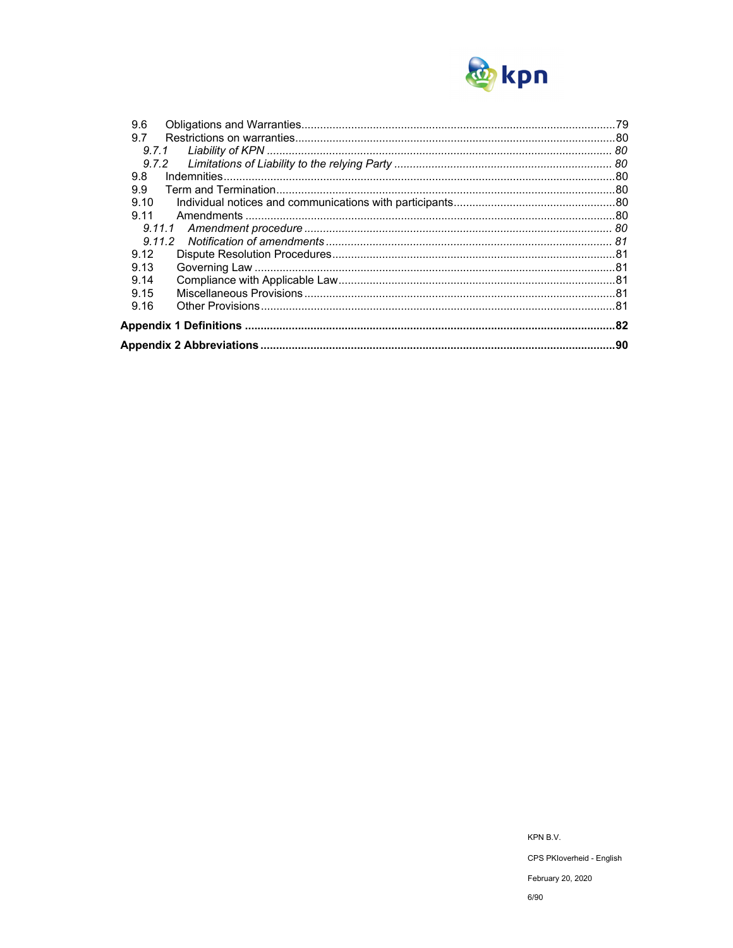

| 9.6    |  |
|--------|--|
| 9.7    |  |
| 9.7.1  |  |
| 9.7.2  |  |
| 9.8    |  |
| 9.9    |  |
| 9.10   |  |
| 9.11   |  |
| 9.11.1 |  |
|        |  |
| 9.12   |  |
| 9.13   |  |
| 9.14   |  |
| 9.15   |  |
| 9.16   |  |
|        |  |
|        |  |

KPN B.V. CPS PKloverheid - English February 20, 2020  $6/90$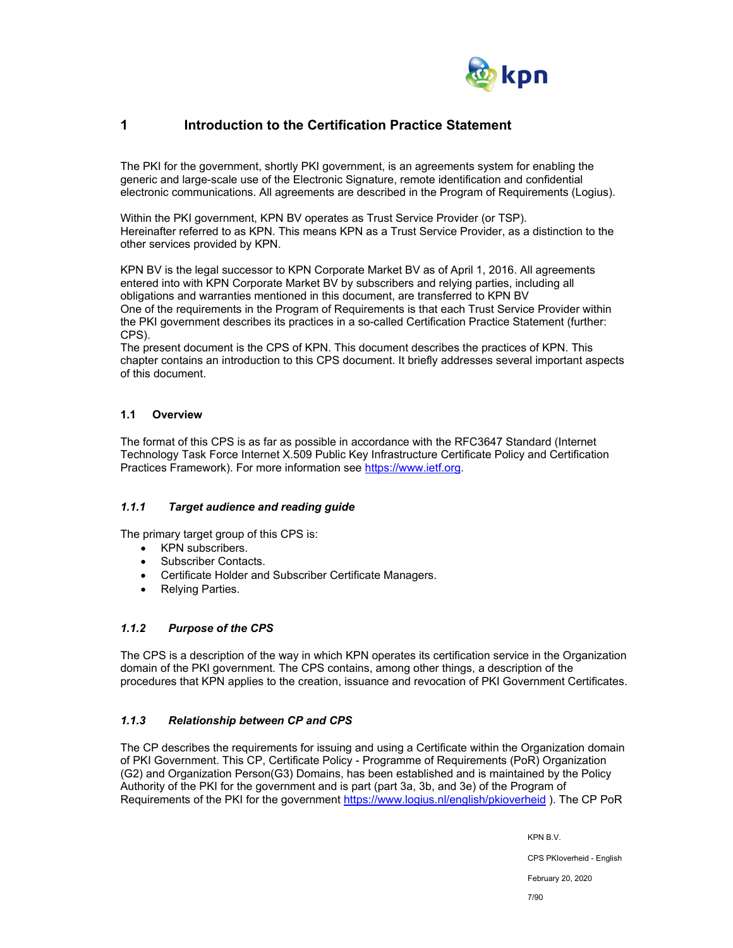

## **1 Introduction to the Certification Practice Statement**

The PKI for the government, shortly PKI government, is an agreements system for enabling the generic and large-scale use of the Electronic Signature, remote identification and confidential electronic communications. All agreements are described in the Program of Requirements (Logius).

Within the PKI government, KPN BV operates as Trust Service Provider (or TSP). Hereinafter referred to as KPN. This means KPN as a Trust Service Provider, as a distinction to the other services provided by KPN.

KPN BV is the legal successor to KPN Corporate Market BV as of April 1, 2016. All agreements entered into with KPN Corporate Market BV by subscribers and relying parties, including all obligations and warranties mentioned in this document, are transferred to KPN BV One of the requirements in the Program of Requirements is that each Trust Service Provider within the PKI government describes its practices in a so-called Certification Practice Statement (further: CPS).

The present document is the CPS of KPN. This document describes the practices of KPN. This chapter contains an introduction to this CPS document. It briefly addresses several important aspects of this document.

## **1.1 Overview**

The format of this CPS is as far as possible in accordance with the RFC3647 Standard (Internet Technology Task Force Internet X.509 Public Key Infrastructure Certificate Policy and Certification Practices Framework). For more information see https://www.ietf.org.

## *1.1.1 Target audience and reading guide*

The primary target group of this CPS is:

- KPN subscribers.
- Subscriber Contacts.
- Certificate Holder and Subscriber Certificate Managers.
- Relying Parties.

## *1.1.2 Purpose of the CPS*

The CPS is a description of the way in which KPN operates its certification service in the Organization domain of the PKI government. The CPS contains, among other things, a description of the procedures that KPN applies to the creation, issuance and revocation of PKI Government Certificates.

## *1.1.3 Relationship between CP and CPS*

The CP describes the requirements for issuing and using a Certificate within the Organization domain of PKI Government. This CP, Certificate Policy - Programme of Requirements (PoR) Organization (G2) and Organization Person(G3) Domains, has been established and is maintained by the Policy Authority of the PKI for the government and is part (part 3a, 3b, and 3e) of the Program of Requirements of the PKI for the government https://www.logius.nl/english/pkioverheid ). The CP PoR

KPN B.V.

CPS PKIoverheid - English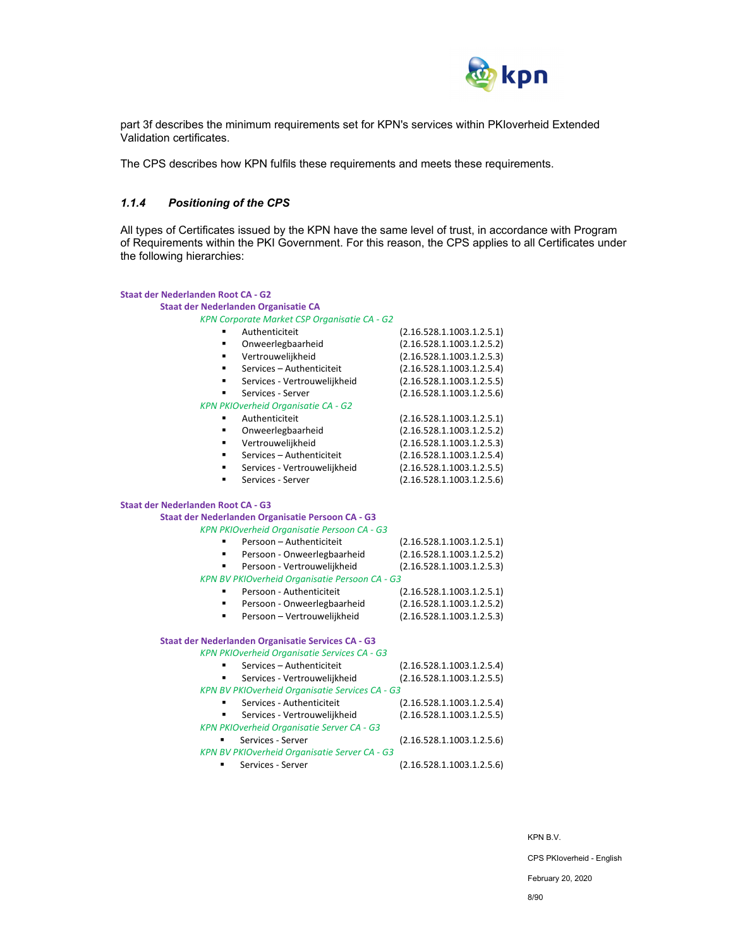

part 3f describes the minimum requirements set for KPN's services within PKIoverheid Extended Validation certificates.

The CPS describes how KPN fulfils these requirements and meets these requirements.

### *1.1.4 Positioning of the CPS*

All types of Certificates issued by the KPN have the same level of trust, in accordance with Program of Requirements within the PKI Government. For this reason, the CPS applies to all Certificates under the following hierarchies:

| <b>Staat der Nederlanden Root CA - G2</b> |                                                    |                           |
|-------------------------------------------|----------------------------------------------------|---------------------------|
|                                           | Staat der Nederlanden Organisatie CA               |                           |
|                                           | KPN Corporate Market CSP Organisatie CA - G2       |                           |
|                                           | Authenticiteit                                     | (2.16.528.1.1003.1.2.5.1) |
| $\blacksquare$                            | Onweerlegbaarheid                                  | (2.16.528.1.1003.1.2.5.2) |
| ٠                                         | Vertrouwelijkheid                                  | (2.16.528.1.1003.1.2.5.3) |
|                                           | Services - Authenticiteit                          | (2.16.528.1.1003.1.2.5.4) |
|                                           | Services - Vertrouwelijkheid                       | (2.16.528.1.1003.1.2.5.5) |
|                                           | Services - Server                                  | (2.16.528.1.1003.1.2.5.6) |
|                                           | <b>KPN PKIOverheid Organisatie CA - G2</b>         |                           |
|                                           | Authenticiteit                                     | (2.16.528.1.1003.1.2.5.1) |
|                                           | Onweerlegbaarheid                                  | (2.16.528.1.1003.1.2.5.2) |
| ٠                                         | Vertrouwelijkheid                                  | (2.16.528.1.1003.1.2.5.3) |
|                                           | Services - Authenticiteit                          | (2.16.528.1.1003.1.2.5.4) |
| ٠                                         | Services - Vertrouwelijkheid                       | (2.16.528.1.1003.1.2.5.5) |
| ٠                                         | Services - Server                                  | (2.16.528.1.1003.1.2.5.6) |
| <b>Staat der Nederlanden Root CA - G3</b> |                                                    |                           |
|                                           | Staat der Nederlanden Organisatie Persoon CA - G3  |                           |
|                                           | KPN PKIOverheid Organisatie Persoon CA - G3        |                           |
|                                           | Persoon - Authenticiteit                           | (2.16.528.1.1003.1.2.5.1) |
| $\blacksquare$                            | Persoon - Onweerlegbaarheid                        | (2.16.528.1.1003.1.2.5.2) |
|                                           | Persoon - Vertrouwelijkheid                        | (2.16.528.1.1003.1.2.5.3) |
|                                           | KPN BV PKIOverheid Organisatie Persoon CA - G3     |                           |
|                                           | Persoon - Authenticiteit                           | (2.16.528.1.1003.1.2.5.1) |
|                                           | Persoon - Onweerlegbaarheid                        | (2.16.528.1.1003.1.2.5.2) |
|                                           | Persoon - Vertrouwelijkheid                        | (2.16.528.1.1003.1.2.5.3) |
|                                           | Staat der Nederlanden Organisatie Services CA - G3 |                           |
|                                           | KPN PKIOverheid Organisatie Services CA - G3       |                           |
|                                           | Services - Authenticiteit                          | (2.16.528.1.1003.1.2.5.4) |
|                                           | Services - Vertrouwelijkheid                       | (2.16.528.1.1003.1.2.5.5) |
|                                           | KPN BV PKIOverheid Organisatie Services CA - G3    |                           |
| ٠                                         | Services - Authenticiteit                          | (2.16.528.1.1003.1.2.5.4) |
|                                           | Services - Vertrouwelijkheid                       | (2.16.528.1.1003.1.2.5.5) |
|                                           | <b>KPN PKIOverheid Organisatie Server CA - G3</b>  |                           |
| ٠                                         | Services - Server                                  | (2.16.528.1.1003.1.2.5.6) |
|                                           | KPN BV PKIOverheid Organisatie Server CA - G3      |                           |
| ٠                                         | Services - Server                                  | (2.16.528.1.1003.1.2.5.6) |

KPN B.V.

CPS PKIoverheid - English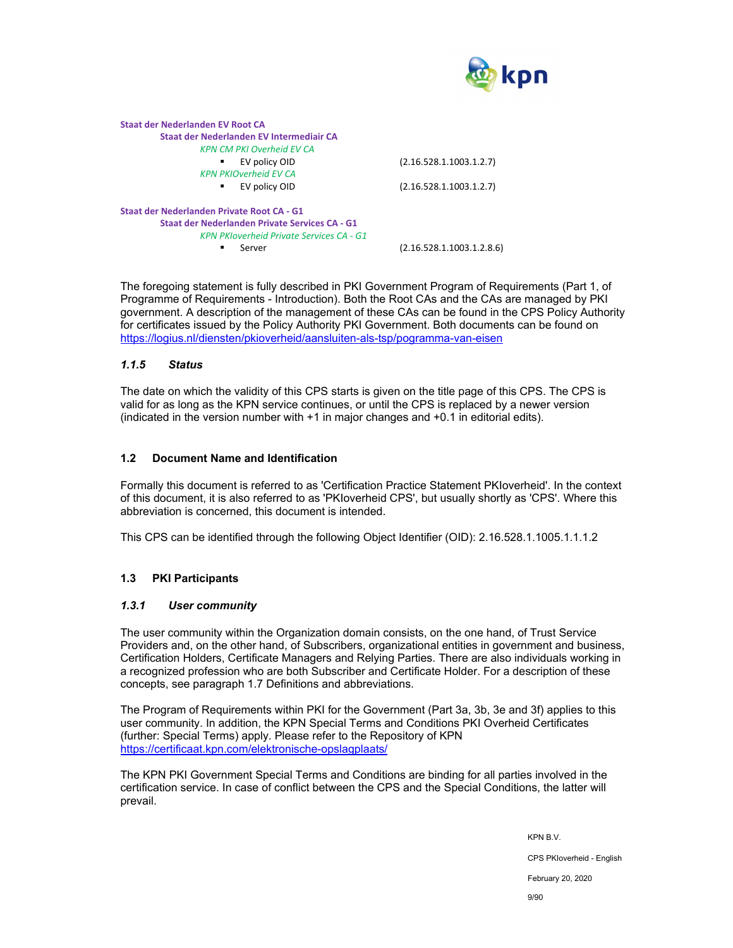

| (2.16.528.1.1003.1.2.7)   |
|---------------------------|
|                           |
| (2.16.528.1.1003.1.2.7)   |
|                           |
|                           |
|                           |
| (2.16.528.1.1003.1.2.8.6) |
|                           |

The foregoing statement is fully described in PKI Government Program of Requirements (Part 1, of Programme of Requirements - Introduction). Both the Root CAs and the CAs are managed by PKI government. A description of the management of these CAs can be found in the CPS Policy Authority for certificates issued by the Policy Authority PKI Government. Both documents can be found on https://logius.nl/diensten/pkioverheid/aansluiten-als-tsp/pogramma-van-eisen

### *1.1.5 Status*

The date on which the validity of this CPS starts is given on the title page of this CPS. The CPS is valid for as long as the KPN service continues, or until the CPS is replaced by a newer version (indicated in the version number with +1 in major changes and +0.1 in editorial edits).

#### **1.2 Document Name and Identification**

Formally this document is referred to as 'Certification Practice Statement PKIoverheid'. In the context of this document, it is also referred to as 'PKIoverheid CPS', but usually shortly as 'CPS'. Where this abbreviation is concerned, this document is intended.

This CPS can be identified through the following Object Identifier (OID): 2.16.528.1.1005.1.1.1.2

## **1.3 PKI Participants**

#### *1.3.1 User community*

The user community within the Organization domain consists, on the one hand, of Trust Service Providers and, on the other hand, of Subscribers, organizational entities in government and business, Certification Holders, Certificate Managers and Relying Parties. There are also individuals working in a recognized profession who are both Subscriber and Certificate Holder. For a description of these concepts, see paragraph 1.7 Definitions and abbreviations.

The Program of Requirements within PKI for the Government (Part 3a, 3b, 3e and 3f) applies to this user community. In addition, the KPN Special Terms and Conditions PKI Overheid Certificates (further: Special Terms) apply. Please refer to the Repository of KPN https://certificaat.kpn.com/elektronische-opslagplaats/

The KPN PKI Government Special Terms and Conditions are binding for all parties involved in the certification service. In case of conflict between the CPS and the Special Conditions, the latter will prevail.

KPN B.V.

CPS PKIoverheid - English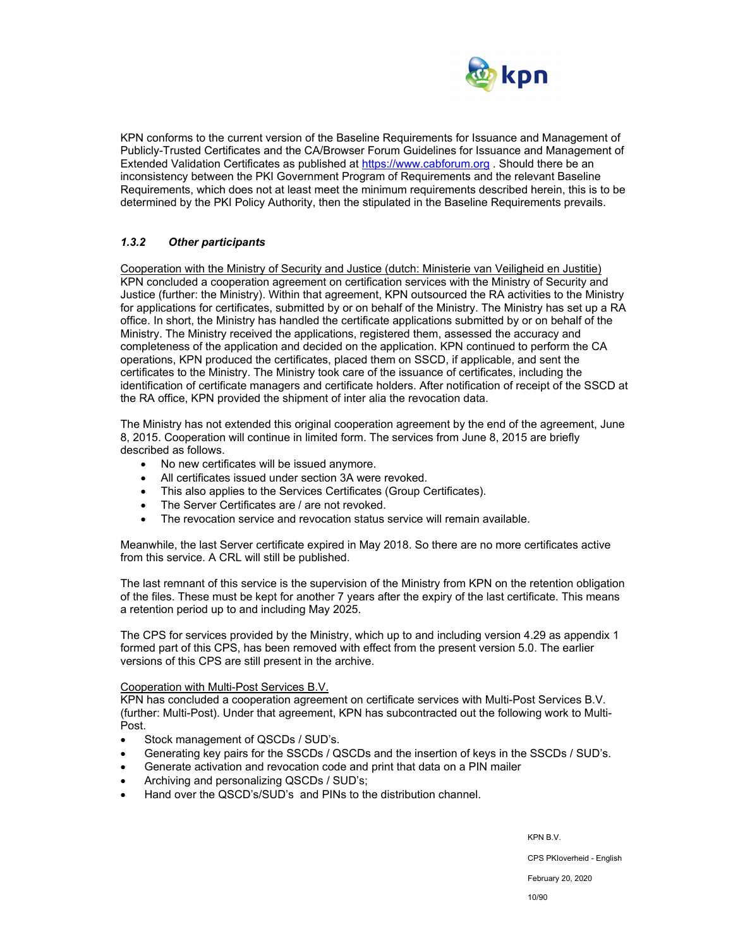

KPN conforms to the current version of the Baseline Requirements for Issuance and Management of Publicly-Trusted Certificates and the CA/Browser Forum Guidelines for Issuance and Management of Extended Validation Certificates as published at https://www.cabforum.org . Should there be an inconsistency between the PKI Government Program of Requirements and the relevant Baseline Requirements, which does not at least meet the minimum requirements described herein, this is to be determined by the PKI Policy Authority, then the stipulated in the Baseline Requirements prevails.

## *1.3.2 Other participants*

Cooperation with the Ministry of Security and Justice (dutch: Ministerie van Veiligheid en Justitie) KPN concluded a cooperation agreement on certification services with the Ministry of Security and Justice (further: the Ministry). Within that agreement, KPN outsourced the RA activities to the Ministry for applications for certificates, submitted by or on behalf of the Ministry. The Ministry has set up a RA office. In short, the Ministry has handled the certificate applications submitted by or on behalf of the Ministry. The Ministry received the applications, registered them, assessed the accuracy and completeness of the application and decided on the application. KPN continued to perform the CA operations, KPN produced the certificates, placed them on SSCD, if applicable, and sent the certificates to the Ministry. The Ministry took care of the issuance of certificates, including the identification of certificate managers and certificate holders. After notification of receipt of the SSCD at the RA office, KPN provided the shipment of inter alia the revocation data.

The Ministry has not extended this original cooperation agreement by the end of the agreement, June 8, 2015. Cooperation will continue in limited form. The services from June 8, 2015 are briefly described as follows.

- No new certificates will be issued anymore.
- All certificates issued under section 3A were revoked.
- This also applies to the Services Certificates (Group Certificates).
- The Server Certificates are / are not revoked.
- The revocation service and revocation status service will remain available.

Meanwhile, the last Server certificate expired in May 2018. So there are no more certificates active from this service. A CRL will still be published.

The last remnant of this service is the supervision of the Ministry from KPN on the retention obligation of the files. These must be kept for another 7 years after the expiry of the last certificate. This means a retention period up to and including May 2025.

The CPS for services provided by the Ministry, which up to and including version 4.29 as appendix 1 formed part of this CPS, has been removed with effect from the present version 5.0. The earlier versions of this CPS are still present in the archive.

#### Cooperation with Multi-Post Services B.V.

KPN has concluded a cooperation agreement on certificate services with Multi-Post Services B.V. (further: Multi-Post). Under that agreement, KPN has subcontracted out the following work to Multi-Post.

- Stock management of QSCDs / SUD's.
- Generating key pairs for the SSCDs / QSCDs and the insertion of keys in the SSCDs / SUD's.
- Generate activation and revocation code and print that data on a PIN mailer
- Archiving and personalizing QSCDs / SUD's;
- Hand over the QSCD's/SUD's and PINs to the distribution channel.

KPN B.V.

CPS PKIoverheid - English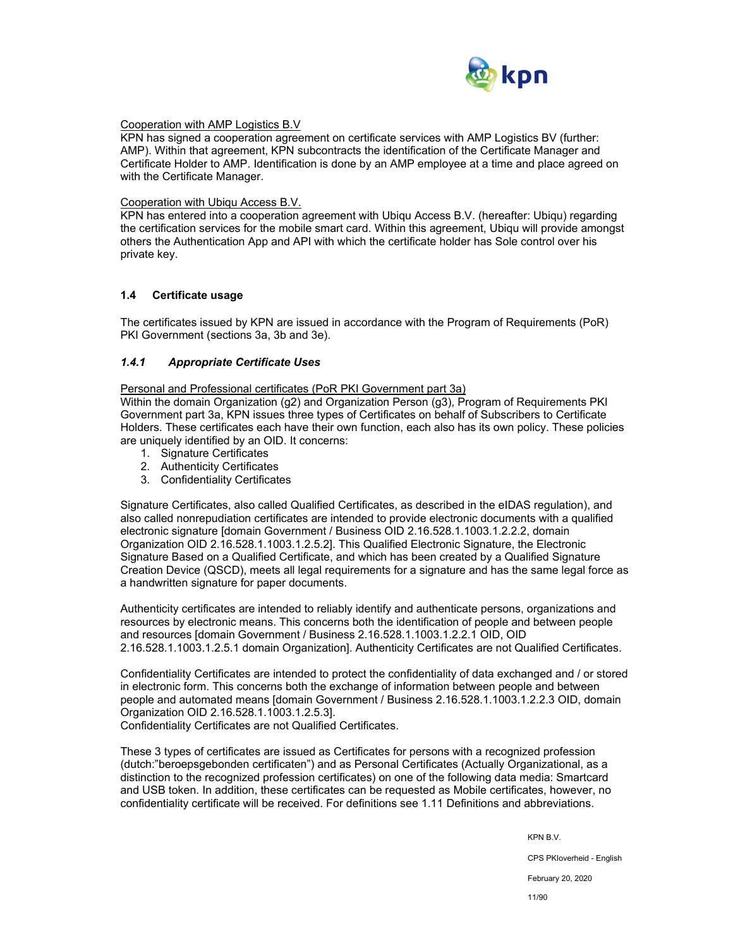

#### Cooperation with AMP Logistics B.V

KPN has signed a cooperation agreement on certificate services with AMP Logistics BV (further: AMP). Within that agreement, KPN subcontracts the identification of the Certificate Manager and Certificate Holder to AMP. Identification is done by an AMP employee at a time and place agreed on with the Certificate Manager.

#### Cooperation with Ubiqu Access B.V.

KPN has entered into a cooperation agreement with Ubiqu Access B.V. (hereafter: Ubiqu) regarding the certification services for the mobile smart card. Within this agreement, Ubiqu will provide amongst others the Authentication App and API with which the certificate holder has Sole control over his private key.

#### **1.4 Certificate usage**

The certificates issued by KPN are issued in accordance with the Program of Requirements (PoR) PKI Government (sections 3a, 3b and 3e).

#### *1.4.1 Appropriate Certificate Uses*

Personal and Professional certificates (PoR PKI Government part 3a)

Within the domain Organization (g2) and Organization Person (g3), Program of Requirements PKI Government part 3a, KPN issues three types of Certificates on behalf of Subscribers to Certificate Holders. These certificates each have their own function, each also has its own policy. These policies are uniquely identified by an OID. It concerns:

- 1. Signature Certificates
- 2. Authenticity Certificates
- 3. Confidentiality Certificates

Signature Certificates, also called Qualified Certificates, as described in the eIDAS regulation), and also called nonrepudiation certificates are intended to provide electronic documents with a qualified electronic signature [domain Government / Business OID 2.16.528.1.1003.1.2.2.2, domain Organization OID 2.16.528.1.1003.1.2.5.2]. This Qualified Electronic Signature, the Electronic Signature Based on a Qualified Certificate, and which has been created by a Qualified Signature Creation Device (QSCD), meets all legal requirements for a signature and has the same legal force as a handwritten signature for paper documents.

Authenticity certificates are intended to reliably identify and authenticate persons, organizations and resources by electronic means. This concerns both the identification of people and between people and resources [domain Government / Business 2.16.528.1.1003.1.2.2.1 OID, OID 2.16.528.1.1003.1.2.5.1 domain Organization]. Authenticity Certificates are not Qualified Certificates.

Confidentiality Certificates are intended to protect the confidentiality of data exchanged and / or stored in electronic form. This concerns both the exchange of information between people and between people and automated means [domain Government / Business 2.16.528.1.1003.1.2.2.3 OID, domain Organization OID 2.16.528.1.1003.1.2.5.3].

Confidentiality Certificates are not Qualified Certificates.

These 3 types of certificates are issued as Certificates for persons with a recognized profession (dutch:"beroepsgebonden certificaten") and as Personal Certificates (Actually Organizational, as a distinction to the recognized profession certificates) on one of the following data media: Smartcard and USB token. In addition, these certificates can be requested as Mobile certificates, however, no confidentiality certificate will be received. For definitions see 1.11 Definitions and abbreviations.

KPN B.V.

CPS PKIoverheid - English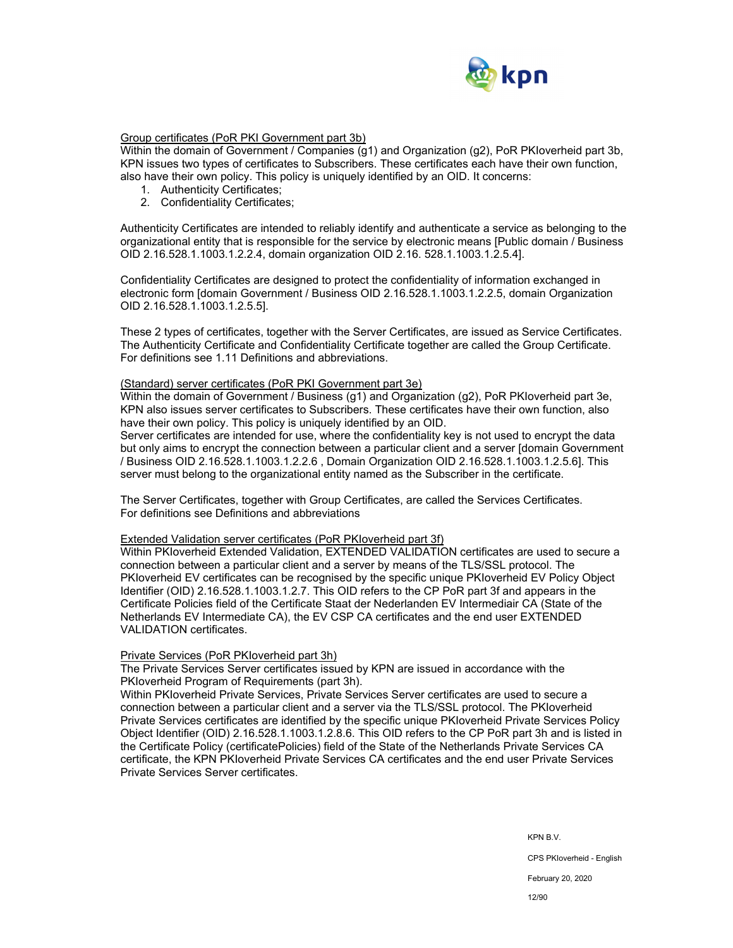

## Group certificates (PoR PKI Government part 3b)

Within the domain of Government / Companies (g1) and Organization (g2), PoR PKIoverheid part 3b, KPN issues two types of certificates to Subscribers. These certificates each have their own function, also have their own policy. This policy is uniquely identified by an OID. It concerns:

- 1. Authenticity Certificates;
- 2. Confidentiality Certificates;

Authenticity Certificates are intended to reliably identify and authenticate a service as belonging to the organizational entity that is responsible for the service by electronic means [Public domain / Business OID 2.16.528.1.1003.1.2.2.4, domain organization OID 2.16. 528.1.1003.1.2.5.4].

Confidentiality Certificates are designed to protect the confidentiality of information exchanged in electronic form [domain Government / Business OID 2.16.528.1.1003.1.2.2.5, domain Organization OID 2.16.528.1.1003.1.2.5.5].

These 2 types of certificates, together with the Server Certificates, are issued as Service Certificates. The Authenticity Certificate and Confidentiality Certificate together are called the Group Certificate. For definitions see 1.11 Definitions and abbreviations.

#### (Standard) server certificates (PoR PKI Government part 3e)

Within the domain of Government / Business (g1) and Organization (g2), PoR PKIoverheid part 3e, KPN also issues server certificates to Subscribers. These certificates have their own function, also have their own policy. This policy is uniquely identified by an OID.

Server certificates are intended for use, where the confidentiality key is not used to encrypt the data but only aims to encrypt the connection between a particular client and a server [domain Government / Business OID 2.16.528.1.1003.1.2.2.6 , Domain Organization OID 2.16.528.1.1003.1.2.5.6]. This server must belong to the organizational entity named as the Subscriber in the certificate.

The Server Certificates, together with Group Certificates, are called the Services Certificates. For definitions see Definitions and abbreviations

#### Extended Validation server certificates (PoR PKIoverheid part 3f)

Within PKIoverheid Extended Validation, EXTENDED VALIDATION certificates are used to secure a connection between a particular client and a server by means of the TLS/SSL protocol. The PKIoverheid EV certificates can be recognised by the specific unique PKIoverheid EV Policy Object Identifier (OID) 2.16.528.1.1003.1.2.7. This OID refers to the CP PoR part 3f and appears in the Certificate Policies field of the Certificate Staat der Nederlanden EV Intermediair CA (State of the Netherlands EV Intermediate CA), the EV CSP CA certificates and the end user EXTENDED VALIDATION certificates.

#### Private Services (PoR PKIoverheid part 3h)

The Private Services Server certificates issued by KPN are issued in accordance with the PKIoverheid Program of Requirements (part 3h).

Within PKIoverheid Private Services, Private Services Server certificates are used to secure a connection between a particular client and a server via the TLS/SSL protocol. The PKIoverheid Private Services certificates are identified by the specific unique PKIoverheid Private Services Policy Object Identifier (OID) 2.16.528.1.1003.1.2.8.6. This OID refers to the CP PoR part 3h and is listed in the Certificate Policy (certificatePolicies) field of the State of the Netherlands Private Services CA certificate, the KPN PKIoverheid Private Services CA certificates and the end user Private Services Private Services Server certificates.

KPN B.V.

CPS PKIoverheid - English

February 20, 2020

12/90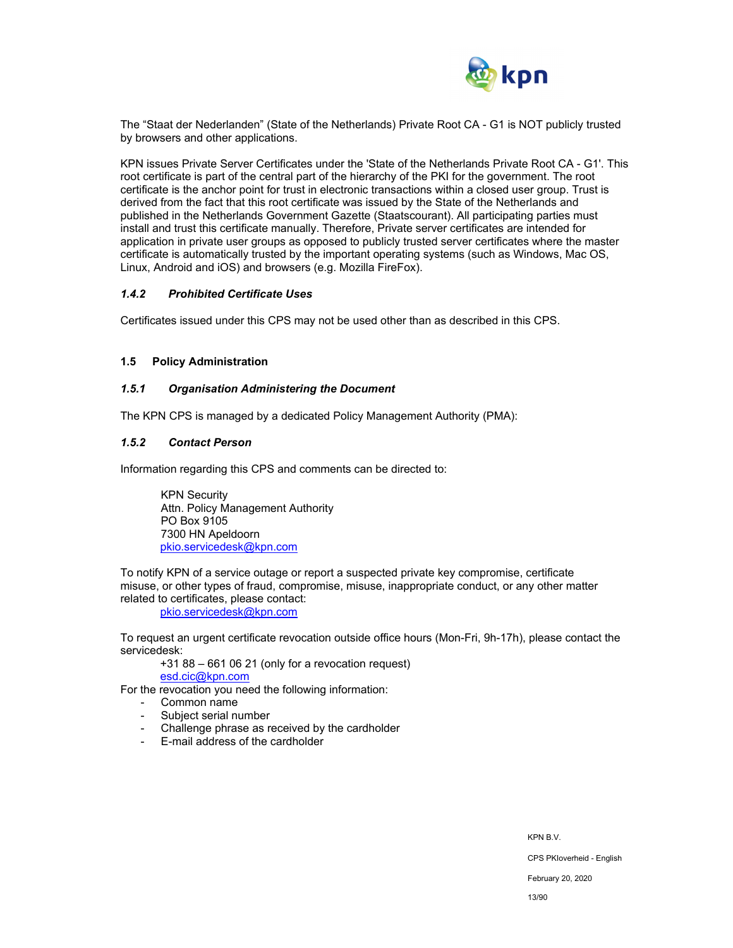

The "Staat der Nederlanden" (State of the Netherlands) Private Root CA - G1 is NOT publicly trusted by browsers and other applications.

KPN issues Private Server Certificates under the 'State of the Netherlands Private Root CA - G1'. This root certificate is part of the central part of the hierarchy of the PKI for the government. The root certificate is the anchor point for trust in electronic transactions within a closed user group. Trust is derived from the fact that this root certificate was issued by the State of the Netherlands and published in the Netherlands Government Gazette (Staatscourant). All participating parties must install and trust this certificate manually. Therefore, Private server certificates are intended for application in private user groups as opposed to publicly trusted server certificates where the master certificate is automatically trusted by the important operating systems (such as Windows, Mac OS, Linux, Android and iOS) and browsers (e.g. Mozilla FireFox).

#### *1.4.2 Prohibited Certificate Uses*

Certificates issued under this CPS may not be used other than as described in this CPS.

#### **1.5 Policy Administration**

#### *1.5.1 Organisation Administering the Document*

The KPN CPS is managed by a dedicated Policy Management Authority (PMA):

#### *1.5.2 Contact Person*

Information regarding this CPS and comments can be directed to:

KPN Security Attn. Policy Management Authority PO Box 9105 7300 HN Apeldoorn pkio.servicedesk@kpn.com

To notify KPN of a service outage or report a suspected private key compromise, certificate misuse, or other types of fraud, compromise, misuse, inappropriate conduct, or any other matter related to certificates, please contact:

pkio.servicedesk@kpn.com

To request an urgent certificate revocation outside office hours (Mon-Fri, 9h-17h), please contact the servicedesk:

+31 88 – 661 06 21 (only for a revocation request)

esd.cic@kpn.com

For the revocation you need the following information:

- Common name
- Subject serial number
- Challenge phrase as received by the cardholder
- E-mail address of the cardholder

KPN B.V.

CPS PKIoverheid - English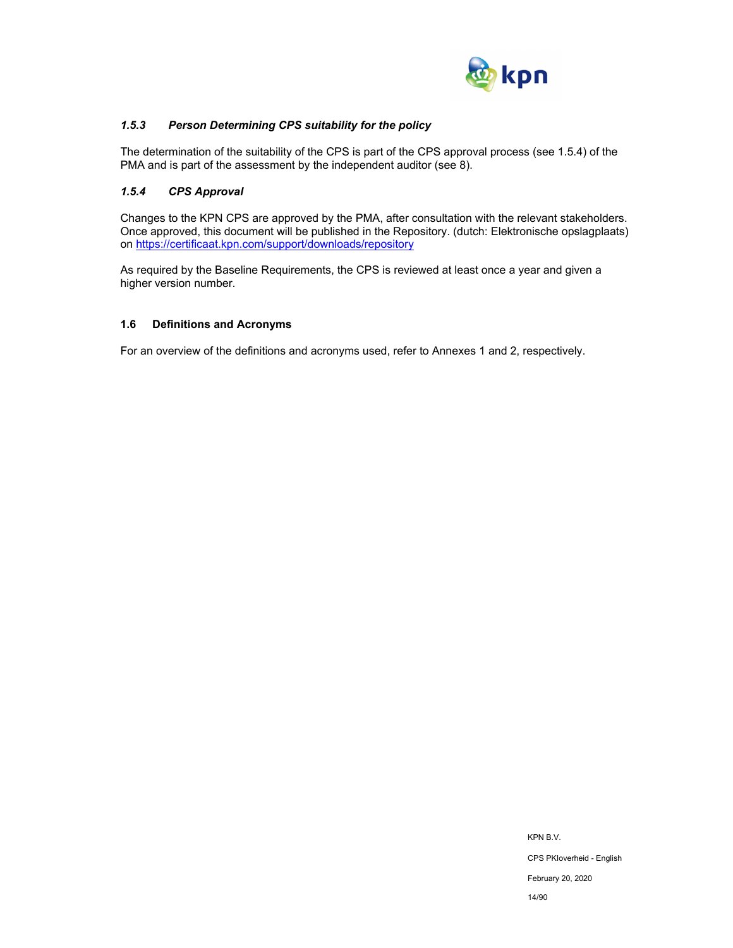

## *1.5.3 Person Determining CPS suitability for the policy*

The determination of the suitability of the CPS is part of the CPS approval process (see 1.5.4) of the PMA and is part of the assessment by the independent auditor (see 8).

## *1.5.4 CPS Approval*

Changes to the KPN CPS are approved by the PMA, after consultation with the relevant stakeholders. Once approved, this document will be published in the Repository. (dutch: Elektronische opslagplaats) on https://certificaat.kpn.com/support/downloads/repository

As required by the Baseline Requirements, the CPS is reviewed at least once a year and given a higher version number.

#### **1.6 Definitions and Acronyms**

For an overview of the definitions and acronyms used, refer to Annexes 1 and 2, respectively.

KPN B.V. CPS PKIoverheid - English February 20, 2020 14/90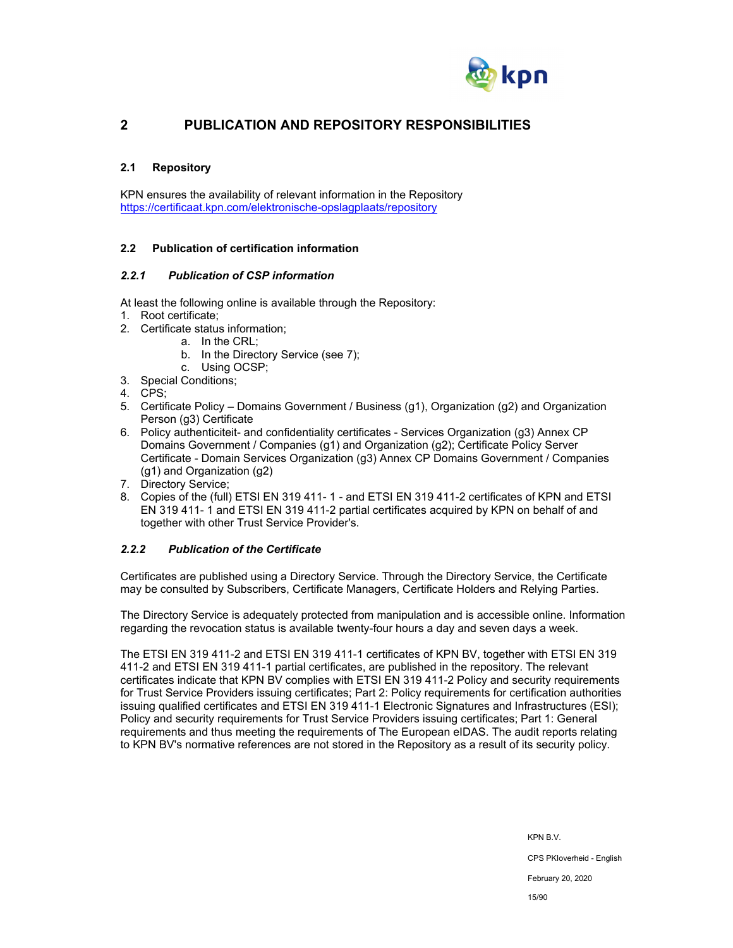

## **2 PUBLICATION AND REPOSITORY RESPONSIBILITIES**

## **2.1 Repository**

KPN ensures the availability of relevant information in the Repository https://certificaat.kpn.com/elektronische-opslagplaats/repository

## **2.2 Publication of certification information**

#### *2.2.1 Publication of CSP information*

At least the following online is available through the Repository:

- 1. Root certificate;
- 2. Certificate status information;
	- a. In the CRL;
	- b. In the Directory Service (see 7);
	- c. Using OCSP;
- 3. Special Conditions;
- 4. CPS;
- 5. Certificate Policy Domains Government / Business (g1), Organization (g2) and Organization Person (g3) Certificate
- 6. Policy authenticiteit- and confidentiality certificates Services Organization (g3) Annex CP Domains Government / Companies (g1) and Organization (g2); Certificate Policy Server Certificate - Domain Services Organization (g3) Annex CP Domains Government / Companies (g1) and Organization (g2)
- 7. Directory Service;
- 8. Copies of the (full) ETSI EN 319 411- 1 and ETSI EN 319 411-2 certificates of KPN and ETSI EN 319 411- 1 and ETSI EN 319 411-2 partial certificates acquired by KPN on behalf of and together with other Trust Service Provider's.

## *2.2.2 Publication of the Certificate*

Certificates are published using a Directory Service. Through the Directory Service, the Certificate may be consulted by Subscribers, Certificate Managers, Certificate Holders and Relying Parties.

The Directory Service is adequately protected from manipulation and is accessible online. Information regarding the revocation status is available twenty-four hours a day and seven days a week.

The ETSI EN 319 411-2 and ETSI EN 319 411-1 certificates of KPN BV, together with ETSI EN 319 411-2 and ETSI EN 319 411-1 partial certificates, are published in the repository. The relevant certificates indicate that KPN BV complies with ETSI EN 319 411-2 Policy and security requirements for Trust Service Providers issuing certificates; Part 2: Policy requirements for certification authorities issuing qualified certificates and ETSI EN 319 411-1 Electronic Signatures and Infrastructures (ESI); Policy and security requirements for Trust Service Providers issuing certificates; Part 1: General requirements and thus meeting the requirements of The European eIDAS. The audit reports relating to KPN BV's normative references are not stored in the Repository as a result of its security policy.

KPN B.V.

CPS PKIoverheid - English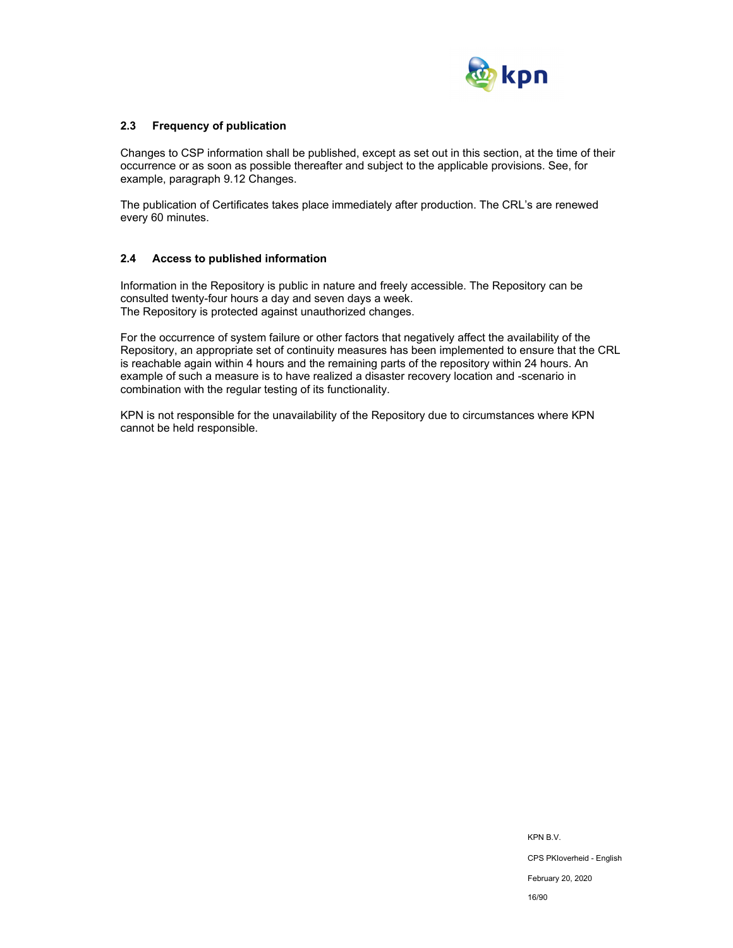

## **2.3 Frequency of publication**

Changes to CSP information shall be published, except as set out in this section, at the time of their occurrence or as soon as possible thereafter and subject to the applicable provisions. See, for example, paragraph 9.12 Changes.

The publication of Certificates takes place immediately after production. The CRL's are renewed every 60 minutes.

#### **2.4 Access to published information**

Information in the Repository is public in nature and freely accessible. The Repository can be consulted twenty-four hours a day and seven days a week. The Repository is protected against unauthorized changes.

For the occurrence of system failure or other factors that negatively affect the availability of the Repository, an appropriate set of continuity measures has been implemented to ensure that the CRL is reachable again within 4 hours and the remaining parts of the repository within 24 hours. An example of such a measure is to have realized a disaster recovery location and -scenario in combination with the regular testing of its functionality.

KPN is not responsible for the unavailability of the Repository due to circumstances where KPN cannot be held responsible.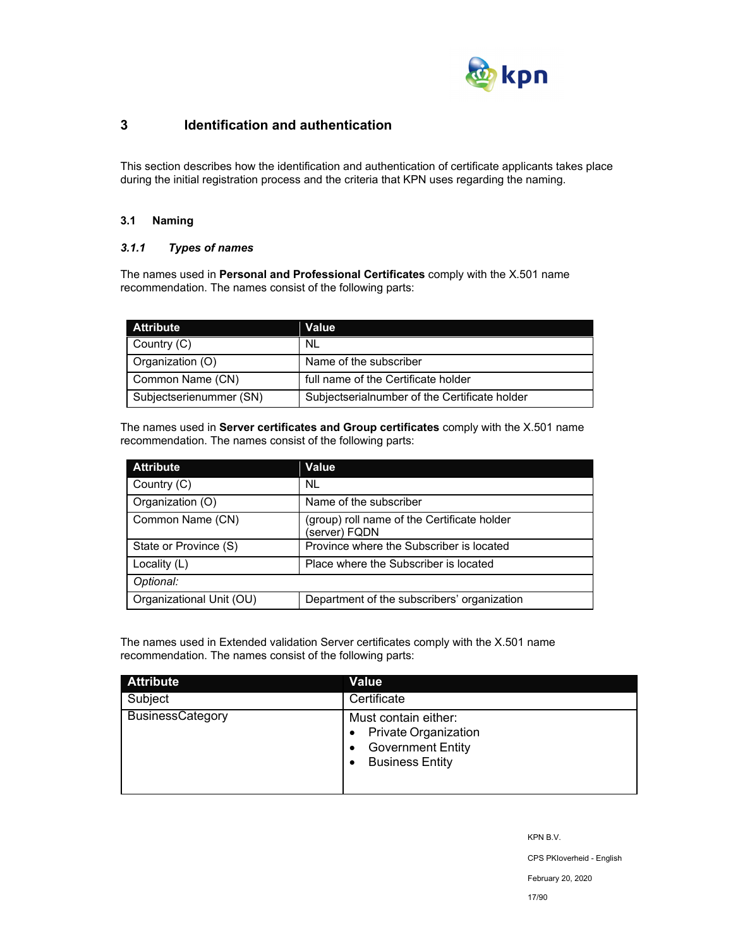

## **3 Identification and authentication**

This section describes how the identification and authentication of certificate applicants takes place during the initial registration process and the criteria that KPN uses regarding the naming.

## **3.1 Naming**

## *3.1.1 Types of names*

The names used in **Personal and Professional Certificates** comply with the X.501 name recommendation. The names consist of the following parts:

| <b>Attribute</b>        | Value                                         |
|-------------------------|-----------------------------------------------|
| Country (C)             | NL                                            |
| Organization (O)        | Name of the subscriber                        |
| Common Name (CN)        | full name of the Certificate holder           |
| Subjectserienummer (SN) | Subjectserialnumber of the Certificate holder |

The names used in **Server certificates and Group certificates** comply with the X.501 name recommendation. The names consist of the following parts:

| <b>Attribute</b>         | Value                                                        |
|--------------------------|--------------------------------------------------------------|
| Country (C)              | NL.                                                          |
| Organization (O)         | Name of the subscriber                                       |
| Common Name (CN)         | (group) roll name of the Certificate holder<br>(server) FQDN |
| State or Province (S)    | Province where the Subscriber is located                     |
| Locality $(L)$           | Place where the Subscriber is located                        |
| Optional:                |                                                              |
| Organizational Unit (OU) | Department of the subscribers' organization                  |

The names used in Extended validation Server certificates comply with the X.501 name recommendation. The names consist of the following parts:

| <b>Attribute</b>        | <b>Value</b>                                                                                              |
|-------------------------|-----------------------------------------------------------------------------------------------------------|
| Subject                 | Certificate                                                                                               |
| <b>BusinessCategory</b> | Must contain either:<br><b>Private Organization</b><br><b>Government Entity</b><br><b>Business Entity</b> |

KPN B.V.

CPS PKIoverheid - English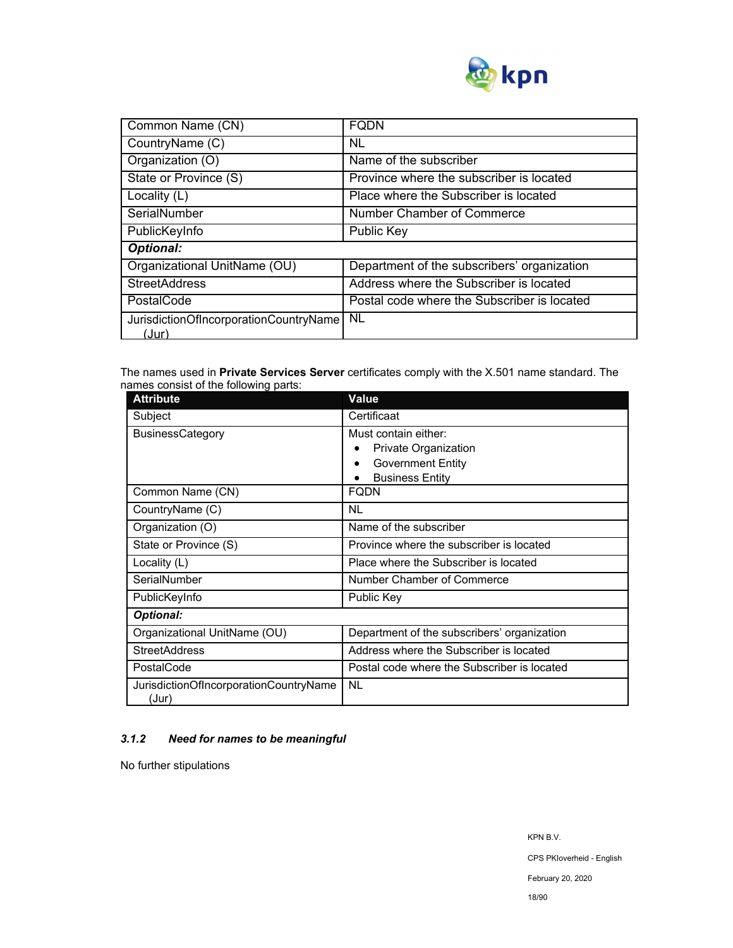

| Common Name (CN)                                | <b>FODN</b>                                 |  |
|-------------------------------------------------|---------------------------------------------|--|
| CountryName (C)                                 | NL                                          |  |
| Organization (O)                                | Name of the subscriber                      |  |
| State or Province (S)                           | Province where the subscriber is located    |  |
| Locality (L)                                    | Place where the Subscriber is located       |  |
| SerialNumber                                    | Number Chamber of Commerce                  |  |
| PublicKeyInfo                                   | <b>Public Key</b>                           |  |
| <b>Optional:</b>                                |                                             |  |
| Organizational UnitName (OU)                    | Department of the subscribers' organization |  |
| <b>StreetAddress</b>                            | Address where the Subscriber is located     |  |
| PostalCode                                      | Postal code where the Subscriber is located |  |
| JurisdictionOfIncorporationCountryName<br>(Jur) | <b>NL</b>                                   |  |

The names used in **Private Services Server** certificates comply with the X.501 name standard. The names consist of the following parts:

| <b>Attribute</b>                                | <b>Value</b>                                                                                       |  |
|-------------------------------------------------|----------------------------------------------------------------------------------------------------|--|
| Subject                                         | Certificaat                                                                                        |  |
| <b>BusinessCategory</b>                         | Must contain either:<br>Private Organization<br><b>Government Entity</b><br><b>Business Entity</b> |  |
| Common Name (CN)                                | FQDN                                                                                               |  |
| CountryName (C)                                 | NL                                                                                                 |  |
| Organization (O)                                | Name of the subscriber                                                                             |  |
| State or Province (S)                           | Province where the subscriber is located                                                           |  |
| Locality (L)                                    | Place where the Subscriber is located                                                              |  |
| SerialNumber                                    | Number Chamber of Commerce                                                                         |  |
| PublicKeyInfo                                   | Public Key                                                                                         |  |
| <b>Optional:</b>                                |                                                                                                    |  |
| Organizational UnitName (OU)                    | Department of the subscribers' organization                                                        |  |
| <b>StreetAddress</b>                            | Address where the Subscriber is located                                                            |  |
| PostalCode                                      | Postal code where the Subscriber is located                                                        |  |
| JurisdictionOfIncorporationCountryName<br>(Jur) | <b>NL</b>                                                                                          |  |

## *3.1.2 Need for names to be meaningful*

No further stipulations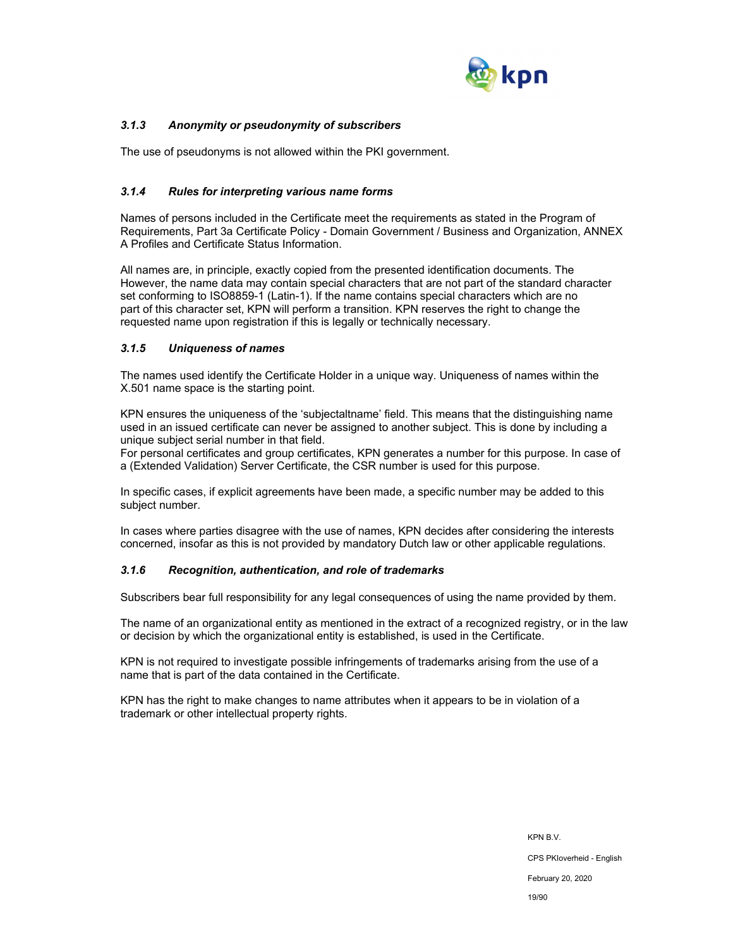

## *3.1.3 Anonymity or pseudonymity of subscribers*

The use of pseudonyms is not allowed within the PKI government.

## *3.1.4 Rules for interpreting various name forms*

Names of persons included in the Certificate meet the requirements as stated in the Program of Requirements, Part 3a Certificate Policy - Domain Government / Business and Organization, ANNEX A Profiles and Certificate Status Information.

All names are, in principle, exactly copied from the presented identification documents. The However, the name data may contain special characters that are not part of the standard character set conforming to ISO8859-1 (Latin-1). If the name contains special characters which are no part of this character set, KPN will perform a transition. KPN reserves the right to change the requested name upon registration if this is legally or technically necessary.

## *3.1.5 Uniqueness of names*

The names used identify the Certificate Holder in a unique way. Uniqueness of names within the X.501 name space is the starting point.

KPN ensures the uniqueness of the 'subjectaltname' field. This means that the distinguishing name used in an issued certificate can never be assigned to another subject. This is done by including a unique subject serial number in that field.

For personal certificates and group certificates, KPN generates a number for this purpose. In case of a (Extended Validation) Server Certificate, the CSR number is used for this purpose.

In specific cases, if explicit agreements have been made, a specific number may be added to this subject number.

In cases where parties disagree with the use of names, KPN decides after considering the interests concerned, insofar as this is not provided by mandatory Dutch law or other applicable regulations.

## *3.1.6 Recognition, authentication, and role of trademarks*

Subscribers bear full responsibility for any legal consequences of using the name provided by them.

The name of an organizational entity as mentioned in the extract of a recognized registry, or in the law or decision by which the organizational entity is established, is used in the Certificate.

KPN is not required to investigate possible infringements of trademarks arising from the use of a name that is part of the data contained in the Certificate.

KPN has the right to make changes to name attributes when it appears to be in violation of a trademark or other intellectual property rights.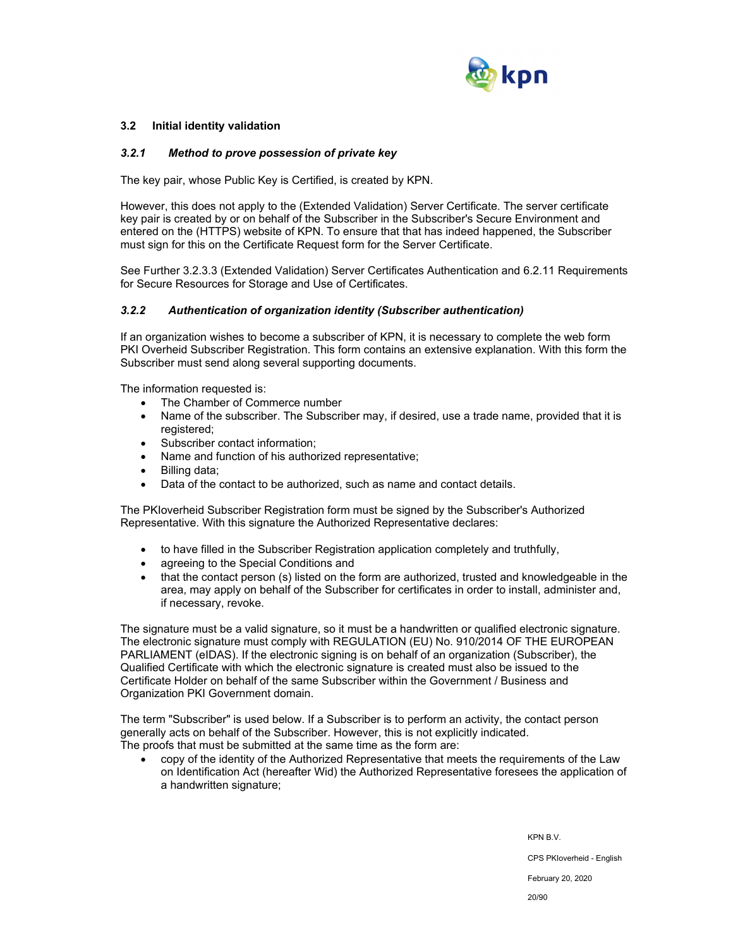

## **3.2 Initial identity validation**

#### *3.2.1 Method to prove possession of private key*

The key pair, whose Public Key is Certified, is created by KPN.

However, this does not apply to the (Extended Validation) Server Certificate. The server certificate key pair is created by or on behalf of the Subscriber in the Subscriber's Secure Environment and entered on the (HTTPS) website of KPN. To ensure that that has indeed happened, the Subscriber must sign for this on the Certificate Request form for the Server Certificate.

See Further 3.2.3.3 (Extended Validation) Server Certificates Authentication and 6.2.11 Requirements for Secure Resources for Storage and Use of Certificates.

#### *3.2.2 Authentication of organization identity (Subscriber authentication)*

If an organization wishes to become a subscriber of KPN, it is necessary to complete the web form PKI Overheid Subscriber Registration. This form contains an extensive explanation. With this form the Subscriber must send along several supporting documents.

The information requested is:

- The Chamber of Commerce number
- Name of the subscriber. The Subscriber may, if desired, use a trade name, provided that it is registered;
- Subscriber contact information:
- Name and function of his authorized representative;
- Billing data;
- Data of the contact to be authorized, such as name and contact details.

The PKIoverheid Subscriber Registration form must be signed by the Subscriber's Authorized Representative. With this signature the Authorized Representative declares:

- to have filled in the Subscriber Registration application completely and truthfully,
- agreeing to the Special Conditions and
- that the contact person (s) listed on the form are authorized, trusted and knowledgeable in the area, may apply on behalf of the Subscriber for certificates in order to install, administer and, if necessary, revoke.

The signature must be a valid signature, so it must be a handwritten or qualified electronic signature. The electronic signature must comply with REGULATION (EU) No. 910/2014 OF THE EUROPEAN PARLIAMENT (eIDAS). If the electronic signing is on behalf of an organization (Subscriber), the Qualified Certificate with which the electronic signature is created must also be issued to the Certificate Holder on behalf of the same Subscriber within the Government / Business and Organization PKI Government domain.

The term "Subscriber" is used below. If a Subscriber is to perform an activity, the contact person generally acts on behalf of the Subscriber. However, this is not explicitly indicated. The proofs that must be submitted at the same time as the form are:

 copy of the identity of the Authorized Representative that meets the requirements of the Law on Identification Act (hereafter Wid) the Authorized Representative foresees the application of a handwritten signature;

> KPN B.V. CPS PKIoverheid - English February 20, 2020

> > 20/90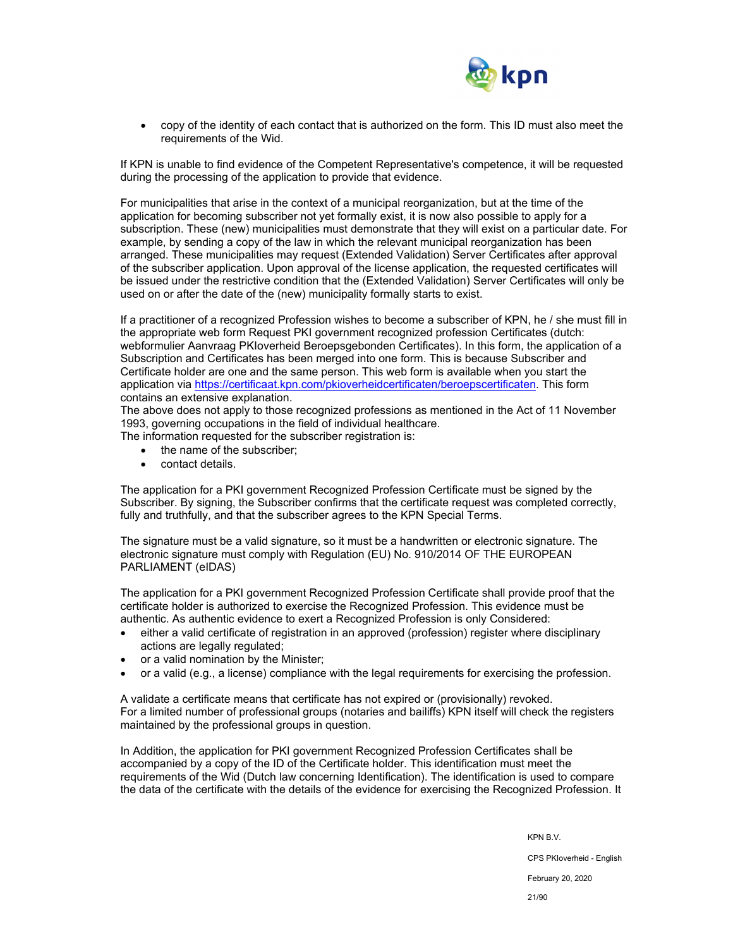

 copy of the identity of each contact that is authorized on the form. This ID must also meet the requirements of the Wid.

If KPN is unable to find evidence of the Competent Representative's competence, it will be requested during the processing of the application to provide that evidence.

For municipalities that arise in the context of a municipal reorganization, but at the time of the application for becoming subscriber not yet formally exist, it is now also possible to apply for a subscription. These (new) municipalities must demonstrate that they will exist on a particular date. For example, by sending a copy of the law in which the relevant municipal reorganization has been arranged. These municipalities may request (Extended Validation) Server Certificates after approval of the subscriber application. Upon approval of the license application, the requested certificates will be issued under the restrictive condition that the (Extended Validation) Server Certificates will only be used on or after the date of the (new) municipality formally starts to exist.

If a practitioner of a recognized Profession wishes to become a subscriber of KPN, he / she must fill in the appropriate web form Request PKI government recognized profession Certificates (dutch: webformulier Aanvraag PKIoverheid Beroepsgebonden Certificates). In this form, the application of a Subscription and Certificates has been merged into one form. This is because Subscriber and Certificate holder are one and the same person. This web form is available when you start the application via https://certificaat.kpn.com/pkioverheidcertificaten/beroepscertificaten. This form contains an extensive explanation.

The above does not apply to those recognized professions as mentioned in the Act of 11 November 1993, governing occupations in the field of individual healthcare.

The information requested for the subscriber registration is:

- the name of the subscriber:
- contact details.

The application for a PKI government Recognized Profession Certificate must be signed by the Subscriber. By signing, the Subscriber confirms that the certificate request was completed correctly, fully and truthfully, and that the subscriber agrees to the KPN Special Terms.

The signature must be a valid signature, so it must be a handwritten or electronic signature. The electronic signature must comply with Regulation (EU) No. 910/2014 OF THE EUROPEAN PARLIAMENT (eIDAS)

The application for a PKI government Recognized Profession Certificate shall provide proof that the certificate holder is authorized to exercise the Recognized Profession. This evidence must be authentic. As authentic evidence to exert a Recognized Profession is only Considered:

- either a valid certificate of registration in an approved (profession) register where disciplinary actions are legally regulated;
- or a valid nomination by the Minister;
- or a valid (e.g., a license) compliance with the legal requirements for exercising the profession.

A validate a certificate means that certificate has not expired or (provisionally) revoked. For a limited number of professional groups (notaries and bailiffs) KPN itself will check the registers maintained by the professional groups in question.

In Addition, the application for PKI government Recognized Profession Certificates shall be accompanied by a copy of the ID of the Certificate holder. This identification must meet the requirements of the Wid (Dutch law concerning Identification). The identification is used to compare the data of the certificate with the details of the evidence for exercising the Recognized Profession. It

KPN B.V.

CPS PKIoverheid - English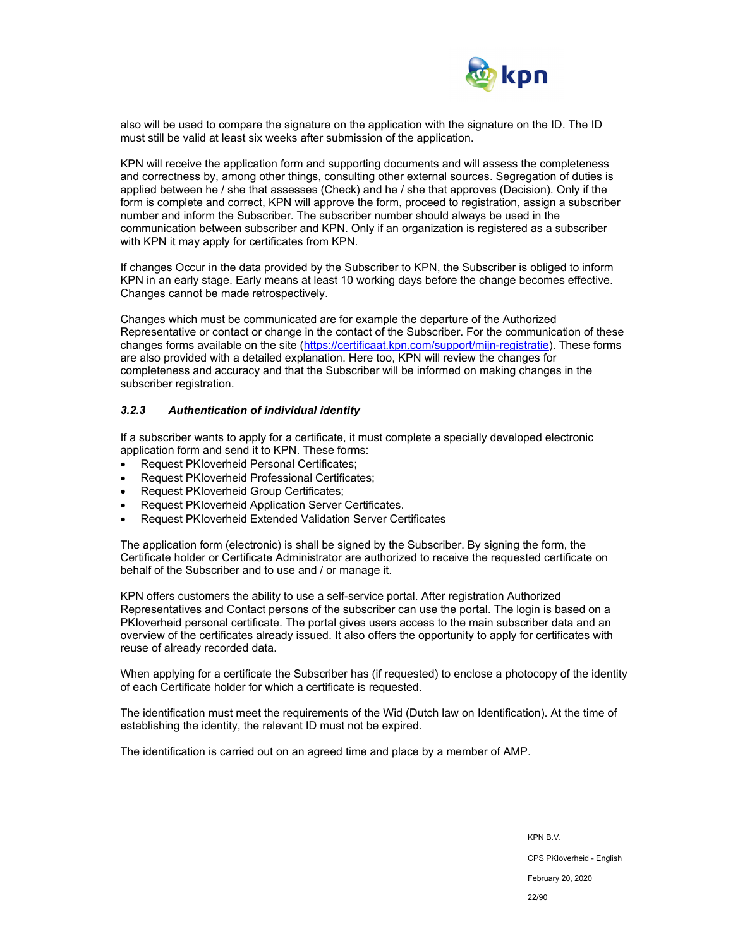

also will be used to compare the signature on the application with the signature on the ID. The ID must still be valid at least six weeks after submission of the application.

KPN will receive the application form and supporting documents and will assess the completeness and correctness by, among other things, consulting other external sources. Segregation of duties is applied between he / she that assesses (Check) and he / she that approves (Decision). Only if the form is complete and correct, KPN will approve the form, proceed to registration, assign a subscriber number and inform the Subscriber. The subscriber number should always be used in the communication between subscriber and KPN. Only if an organization is registered as a subscriber with KPN it may apply for certificates from KPN.

If changes Occur in the data provided by the Subscriber to KPN, the Subscriber is obliged to inform KPN in an early stage. Early means at least 10 working days before the change becomes effective. Changes cannot be made retrospectively.

Changes which must be communicated are for example the departure of the Authorized Representative or contact or change in the contact of the Subscriber. For the communication of these changes forms available on the site (https://certificaat.kpn.com/support/mijn-registratie). These forms are also provided with a detailed explanation. Here too, KPN will review the changes for completeness and accuracy and that the Subscriber will be informed on making changes in the subscriber registration.

#### *3.2.3 Authentication of individual identity*

If a subscriber wants to apply for a certificate, it must complete a specially developed electronic application form and send it to KPN. These forms:

- Request PKIoverheid Personal Certificates;
- Request PKIoverheid Professional Certificates;
- Request PKIoverheid Group Certificates;
- Request PKIoverheid Application Server Certificates.
- Request PKIoverheid Extended Validation Server Certificates

The application form (electronic) is shall be signed by the Subscriber. By signing the form, the Certificate holder or Certificate Administrator are authorized to receive the requested certificate on behalf of the Subscriber and to use and / or manage it.

KPN offers customers the ability to use a self-service portal. After registration Authorized Representatives and Contact persons of the subscriber can use the portal. The login is based on a PKIoverheid personal certificate. The portal gives users access to the main subscriber data and an overview of the certificates already issued. It also offers the opportunity to apply for certificates with reuse of already recorded data.

When applying for a certificate the Subscriber has (if requested) to enclose a photocopy of the identity of each Certificate holder for which a certificate is requested.

The identification must meet the requirements of the Wid (Dutch law on Identification). At the time of establishing the identity, the relevant ID must not be expired.

The identification is carried out on an agreed time and place by a member of AMP.

KPN B.V. CPS PKIoverheid - English February 20, 2020 22/90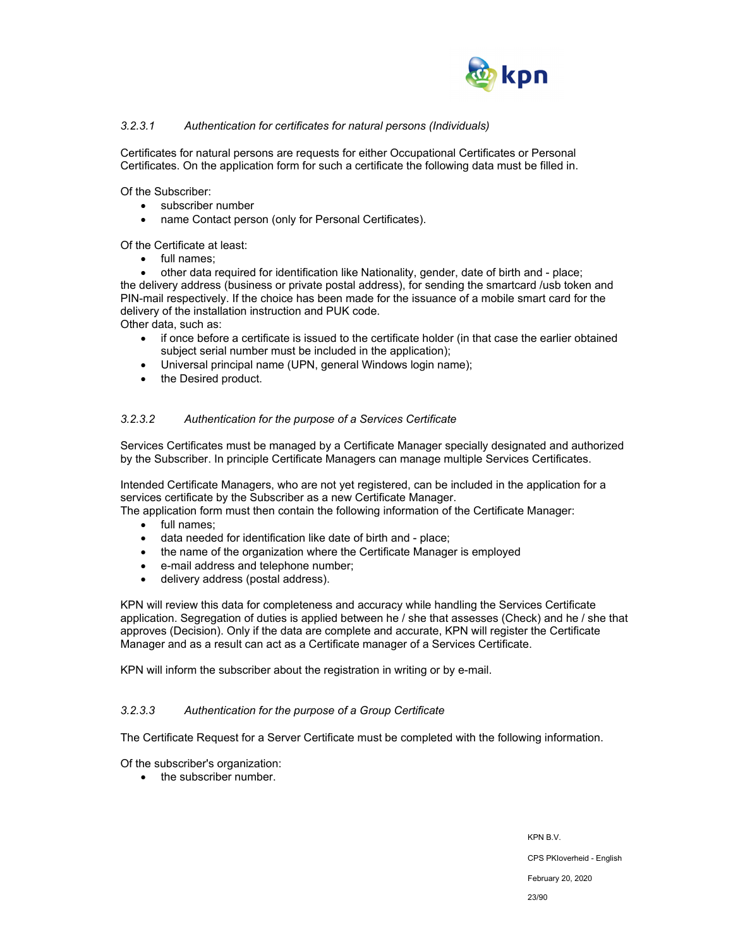

## *3.2.3.1 Authentication for certificates for natural persons (Individuals)*

Certificates for natural persons are requests for either Occupational Certificates or Personal Certificates. On the application form for such a certificate the following data must be filled in.

Of the Subscriber:

- subscriber number
- name Contact person (only for Personal Certificates).

Of the Certificate at least:

• full names;

 other data required for identification like Nationality, gender, date of birth and - place; the delivery address (business or private postal address), for sending the smartcard /usb token and PIN-mail respectively. If the choice has been made for the issuance of a mobile smart card for the delivery of the installation instruction and PUK code.

Other data, such as:

- if once before a certificate is issued to the certificate holder (in that case the earlier obtained subject serial number must be included in the application);
- Universal principal name (UPN, general Windows login name);
- the Desired product.

#### *3.2.3.2 Authentication for the purpose of a Services Certificate*

Services Certificates must be managed by a Certificate Manager specially designated and authorized by the Subscriber. In principle Certificate Managers can manage multiple Services Certificates.

Intended Certificate Managers, who are not yet registered, can be included in the application for a services certificate by the Subscriber as a new Certificate Manager.

The application form must then contain the following information of the Certificate Manager:

- full names;
- data needed for identification like date of birth and place;
- the name of the organization where the Certificate Manager is employed
- e-mail address and telephone number;
- delivery address (postal address).

KPN will review this data for completeness and accuracy while handling the Services Certificate application. Segregation of duties is applied between he / she that assesses (Check) and he / she that approves (Decision). Only if the data are complete and accurate, KPN will register the Certificate Manager and as a result can act as a Certificate manager of a Services Certificate.

KPN will inform the subscriber about the registration in writing or by e-mail.

#### *3.2.3.3 Authentication for the purpose of a Group Certificate*

The Certificate Request for a Server Certificate must be completed with the following information.

Of the subscriber's organization:

• the subscriber number.

KPN B.V. CPS PKIoverheid - English February 20, 2020 23/90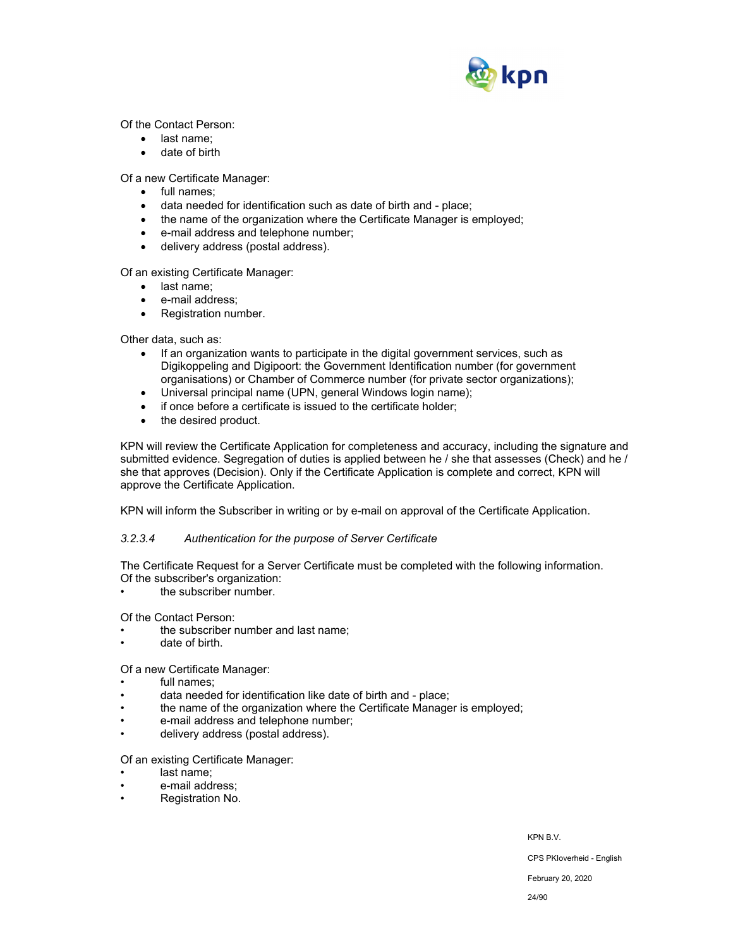

Of the Contact Person:

- last name;
- date of birth

Of a new Certificate Manager:

- full names;
- data needed for identification such as date of birth and place;
- the name of the organization where the Certificate Manager is employed;
- e-mail address and telephone number;
- delivery address (postal address).

Of an existing Certificate Manager:

- last name:
- e-mail address;
- Registration number.

Other data, such as:

- If an organization wants to participate in the digital government services, such as Digikoppeling and Digipoort: the Government Identification number (for government organisations) or Chamber of Commerce number (for private sector organizations);
- Universal principal name (UPN, general Windows login name);
- if once before a certificate is issued to the certificate holder;
- the desired product.

KPN will review the Certificate Application for completeness and accuracy, including the signature and submitted evidence. Segregation of duties is applied between he / she that assesses (Check) and he / she that approves (Decision). Only if the Certificate Application is complete and correct, KPN will approve the Certificate Application.

KPN will inform the Subscriber in writing or by e-mail on approval of the Certificate Application.

#### *3.2.3.4 Authentication for the purpose of Server Certificate*

The Certificate Request for a Server Certificate must be completed with the following information. Of the subscriber's organization:

the subscriber number.

Of the Contact Person:

- the subscriber number and last name;
- date of birth.

#### Of a new Certificate Manager:

- full names:
- data needed for identification like date of birth and place;
- the name of the organization where the Certificate Manager is employed;
- e-mail address and telephone number;
- delivery address (postal address).

Of an existing Certificate Manager:

- last name:
- e-mail address;
- Registration No.

KPN B.V.

CPS PKIoverheid - English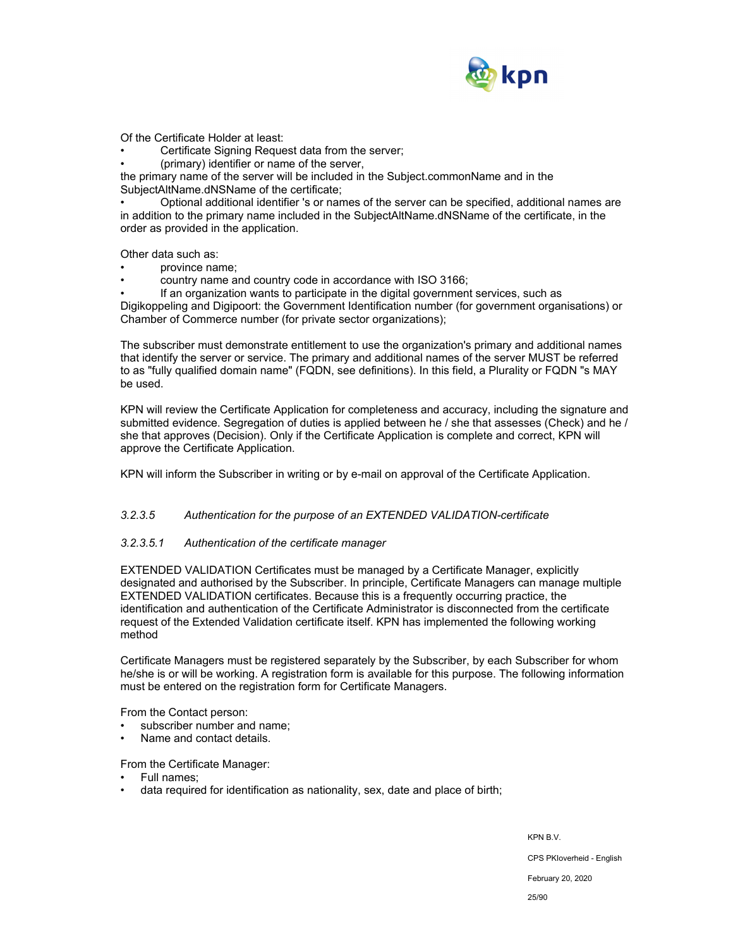

Of the Certificate Holder at least:

Certificate Signing Request data from the server;

• (primary) identifier or name of the server,

the primary name of the server will be included in the Subject.commonName and in the SubjectAltName.dNSName of the certificate;

• Optional additional identifier 's or names of the server can be specified, additional names are in addition to the primary name included in the SubjectAltName.dNSName of the certificate, in the order as provided in the application.

Other data such as:

- province name;
- country name and country code in accordance with ISO 3166;

• If an organization wants to participate in the digital government services, such as Digikoppeling and Digipoort: the Government Identification number (for government organisations) or Chamber of Commerce number (for private sector organizations);

The subscriber must demonstrate entitlement to use the organization's primary and additional names that identify the server or service. The primary and additional names of the server MUST be referred to as "fully qualified domain name" (FQDN, see definitions). In this field, a Plurality or FQDN "s MAY be used.

KPN will review the Certificate Application for completeness and accuracy, including the signature and submitted evidence. Segregation of duties is applied between he / she that assesses (Check) and he / she that approves (Decision). Only if the Certificate Application is complete and correct, KPN will approve the Certificate Application.

KPN will inform the Subscriber in writing or by e-mail on approval of the Certificate Application.

#### *3.2.3.5 Authentication for the purpose of an EXTENDED VALIDATION-certificate*

#### *3.2.3.5.1 Authentication of the certificate manager*

EXTENDED VALIDATION Certificates must be managed by a Certificate Manager, explicitly designated and authorised by the Subscriber. In principle, Certificate Managers can manage multiple EXTENDED VALIDATION certificates. Because this is a frequently occurring practice, the identification and authentication of the Certificate Administrator is disconnected from the certificate request of the Extended Validation certificate itself. KPN has implemented the following working method

Certificate Managers must be registered separately by the Subscriber, by each Subscriber for whom he/she is or will be working. A registration form is available for this purpose. The following information must be entered on the registration form for Certificate Managers.

From the Contact person:

- subscriber number and name;
- Name and contact details.

From the Certificate Manager:

- Full names;
- data required for identification as nationality, sex, date and place of birth;

KPN B.V.

CPS PKIoverheid - English

February 20, 2020

25/90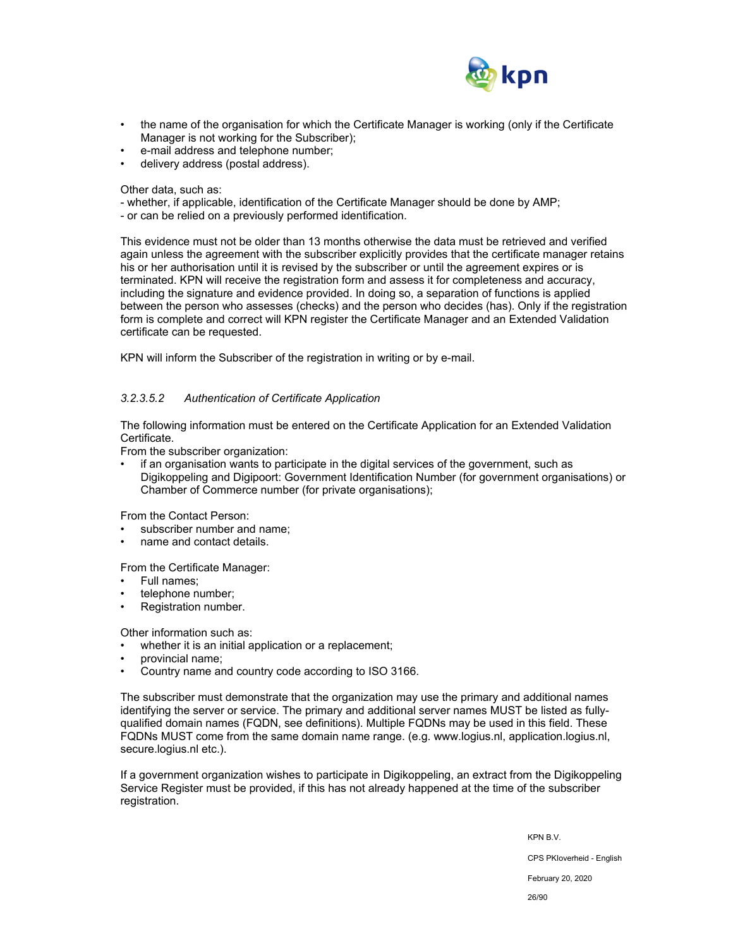

- the name of the organisation for which the Certificate Manager is working (only if the Certificate Manager is not working for the Subscriber);
- e-mail address and telephone number;
- delivery address (postal address).

Other data, such as:

- whether, if applicable, identification of the Certificate Manager should be done by AMP;
- or can be relied on a previously performed identification.

This evidence must not be older than 13 months otherwise the data must be retrieved and verified again unless the agreement with the subscriber explicitly provides that the certificate manager retains his or her authorisation until it is revised by the subscriber or until the agreement expires or is terminated. KPN will receive the registration form and assess it for completeness and accuracy, including the signature and evidence provided. In doing so, a separation of functions is applied between the person who assesses (checks) and the person who decides (has). Only if the registration form is complete and correct will KPN register the Certificate Manager and an Extended Validation certificate can be requested.

KPN will inform the Subscriber of the registration in writing or by e-mail.

## *3.2.3.5.2 Authentication of Certificate Application*

The following information must be entered on the Certificate Application for an Extended Validation Certificate.

From the subscriber organization:

• if an organisation wants to participate in the digital services of the government, such as Digikoppeling and Digipoort: Government Identification Number (for government organisations) or Chamber of Commerce number (for private organisations);

From the Contact Person:

- subscriber number and name;
- name and contact details.

From the Certificate Manager:

- Full names;
- telephone number;
- Registration number.

Other information such as:

whether it is an initial application or a replacement;

- provincial name;
- Country name and country code according to ISO 3166.

The subscriber must demonstrate that the organization may use the primary and additional names identifying the server or service. The primary and additional server names MUST be listed as fullyqualified domain names (FQDN, see definitions). Multiple FQDNs may be used in this field. These FQDNs MUST come from the same domain name range. (e.g. www.logius.nl, application.logius.nl, secure.logius.nl etc.).

If a government organization wishes to participate in Digikoppeling, an extract from the Digikoppeling Service Register must be provided, if this has not already happened at the time of the subscriber registration.

KPN B.V.

CPS PKIoverheid - English

February 20, 2020

26/90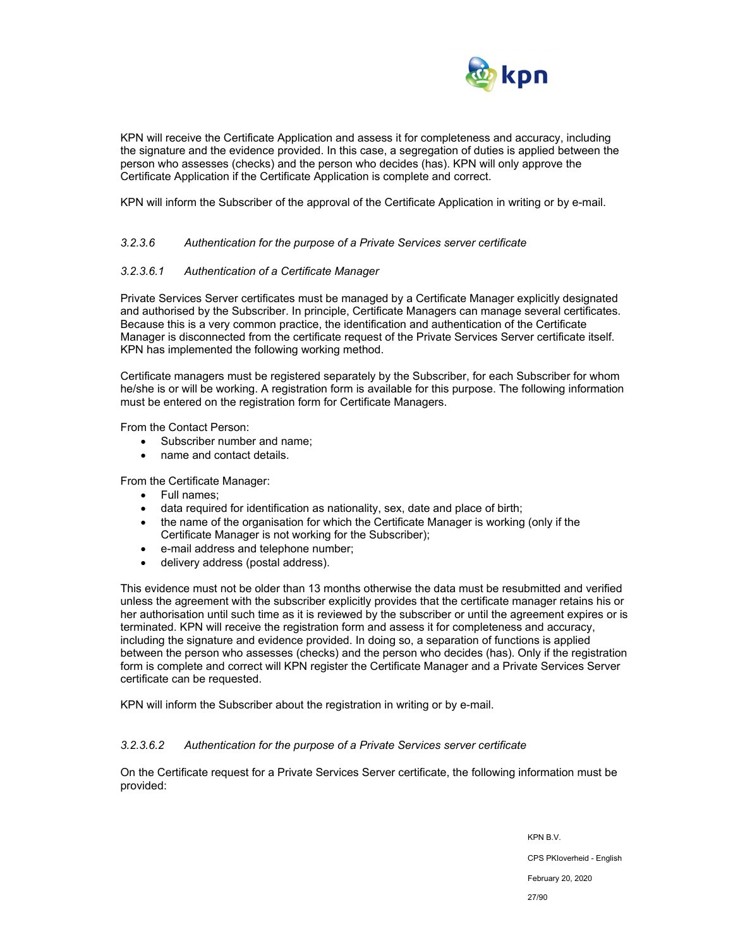

KPN will receive the Certificate Application and assess it for completeness and accuracy, including the signature and the evidence provided. In this case, a segregation of duties is applied between the person who assesses (checks) and the person who decides (has). KPN will only approve the Certificate Application if the Certificate Application is complete and correct.

KPN will inform the Subscriber of the approval of the Certificate Application in writing or by e-mail.

#### *3.2.3.6 Authentication for the purpose of a Private Services server certificate*

#### *3.2.3.6.1 Authentication of a Certificate Manager*

Private Services Server certificates must be managed by a Certificate Manager explicitly designated and authorised by the Subscriber. In principle, Certificate Managers can manage several certificates. Because this is a very common practice, the identification and authentication of the Certificate Manager is disconnected from the certificate request of the Private Services Server certificate itself. KPN has implemented the following working method.

Certificate managers must be registered separately by the Subscriber, for each Subscriber for whom he/she is or will be working. A registration form is available for this purpose. The following information must be entered on the registration form for Certificate Managers.

From the Contact Person:

- Subscriber number and name;
- name and contact details.

From the Certificate Manager:

- Full names;
- data required for identification as nationality, sex, date and place of birth;
- the name of the organisation for which the Certificate Manager is working (only if the Certificate Manager is not working for the Subscriber);
- e-mail address and telephone number;
- delivery address (postal address).

This evidence must not be older than 13 months otherwise the data must be resubmitted and verified unless the agreement with the subscriber explicitly provides that the certificate manager retains his or her authorisation until such time as it is reviewed by the subscriber or until the agreement expires or is terminated. KPN will receive the registration form and assess it for completeness and accuracy, including the signature and evidence provided. In doing so, a separation of functions is applied between the person who assesses (checks) and the person who decides (has). Only if the registration form is complete and correct will KPN register the Certificate Manager and a Private Services Server certificate can be requested.

KPN will inform the Subscriber about the registration in writing or by e-mail.

#### *3.2.3.6.2 Authentication for the purpose of a Private Services server certificate*

On the Certificate request for a Private Services Server certificate, the following information must be provided:

> KPN B.V. CPS PKIoverheid - English February 20, 2020 27/90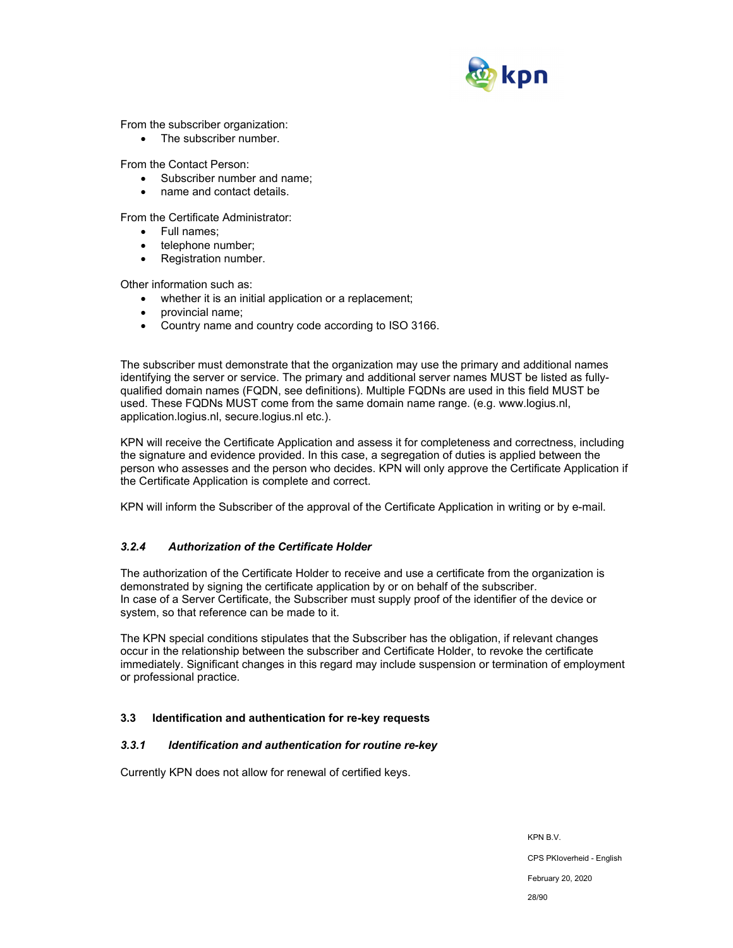

From the subscriber organization:

• The subscriber number.

From the Contact Person:

- Subscriber number and name;
- name and contact details.

From the Certificate Administrator:

- Full names:
- telephone number;
- Registration number.

Other information such as:

- whether it is an initial application or a replacement;
- provincial name;
- Country name and country code according to ISO 3166.

The subscriber must demonstrate that the organization may use the primary and additional names identifying the server or service. The primary and additional server names MUST be listed as fullyqualified domain names (FQDN, see definitions). Multiple FQDNs are used in this field MUST be used. These FQDNs MUST come from the same domain name range. (e.g. www.logius.nl, application.logius.nl, secure.logius.nl etc.).

KPN will receive the Certificate Application and assess it for completeness and correctness, including the signature and evidence provided. In this case, a segregation of duties is applied between the person who assesses and the person who decides. KPN will only approve the Certificate Application if the Certificate Application is complete and correct.

KPN will inform the Subscriber of the approval of the Certificate Application in writing or by e-mail.

## *3.2.4 Authorization of the Certificate Holder*

The authorization of the Certificate Holder to receive and use a certificate from the organization is demonstrated by signing the certificate application by or on behalf of the subscriber. In case of a Server Certificate, the Subscriber must supply proof of the identifier of the device or system, so that reference can be made to it.

The KPN special conditions stipulates that the Subscriber has the obligation, if relevant changes occur in the relationship between the subscriber and Certificate Holder, to revoke the certificate immediately. Significant changes in this regard may include suspension or termination of employment or professional practice.

## **3.3 Identification and authentication for re-key requests**

## *3.3.1 Identification and authentication for routine re-key*

Currently KPN does not allow for renewal of certified keys.

KPN B.V. CPS PKIoverheid - English

February 20, 2020

28/90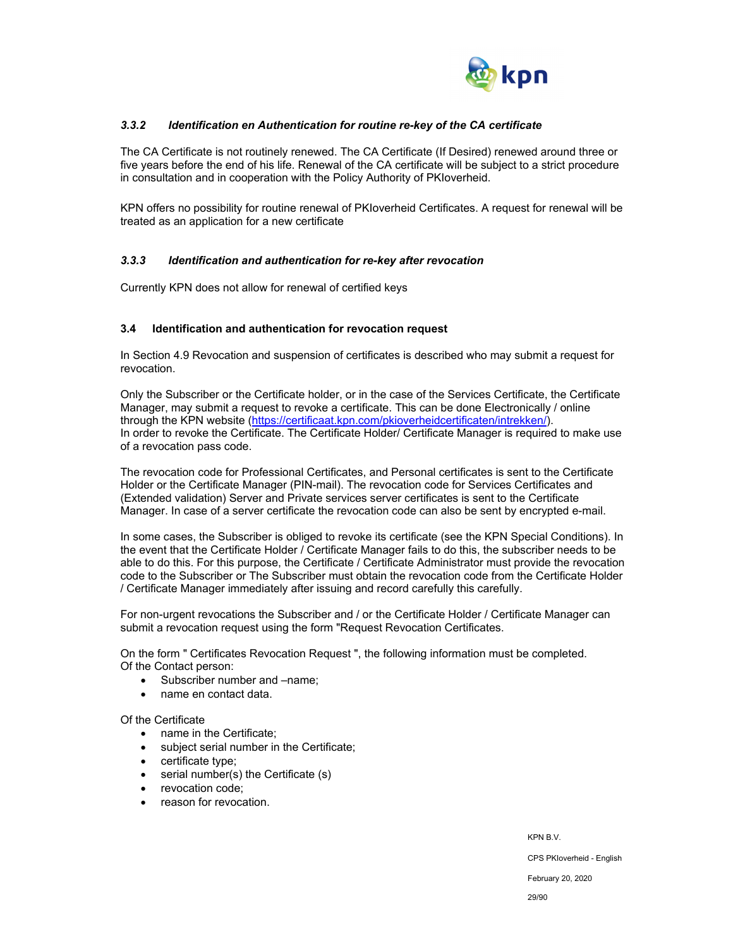

## *3.3.2 Identification en Authentication for routine re-key of the CA certificate*

The CA Certificate is not routinely renewed. The CA Certificate (If Desired) renewed around three or five years before the end of his life. Renewal of the CA certificate will be subject to a strict procedure in consultation and in cooperation with the Policy Authority of PKIoverheid.

KPN offers no possibility for routine renewal of PKIoverheid Certificates. A request for renewal will be treated as an application for a new certificate

## *3.3.3 Identification and authentication for re-key after revocation*

Currently KPN does not allow for renewal of certified keys

#### **3.4 Identification and authentication for revocation request**

In Section 4.9 Revocation and suspension of certificates is described who may submit a request for revocation.

Only the Subscriber or the Certificate holder, or in the case of the Services Certificate, the Certificate Manager, may submit a request to revoke a certificate. This can be done Electronically / online through the KPN website (https://certificaat.kpn.com/pkioverheidcertificaten/intrekken/). In order to revoke the Certificate. The Certificate Holder/ Certificate Manager is required to make use of a revocation pass code.

The revocation code for Professional Certificates, and Personal certificates is sent to the Certificate Holder or the Certificate Manager (PIN-mail). The revocation code for Services Certificates and (Extended validation) Server and Private services server certificates is sent to the Certificate Manager. In case of a server certificate the revocation code can also be sent by encrypted e-mail.

In some cases, the Subscriber is obliged to revoke its certificate (see the KPN Special Conditions). In the event that the Certificate Holder / Certificate Manager fails to do this, the subscriber needs to be able to do this. For this purpose, the Certificate / Certificate Administrator must provide the revocation code to the Subscriber or The Subscriber must obtain the revocation code from the Certificate Holder / Certificate Manager immediately after issuing and record carefully this carefully.

For non-urgent revocations the Subscriber and / or the Certificate Holder / Certificate Manager can submit a revocation request using the form "Request Revocation Certificates.

On the form " Certificates Revocation Request ", the following information must be completed. Of the Contact person:

- Subscriber number and –name;
- name en contact data.

Of the Certificate

- name in the Certificate:
- subject serial number in the Certificate;
- certificate type;
- serial number(s) the Certificate (s)
- revocation code:
- reason for revocation.

KPN B.V.

CPS PKIoverheid - English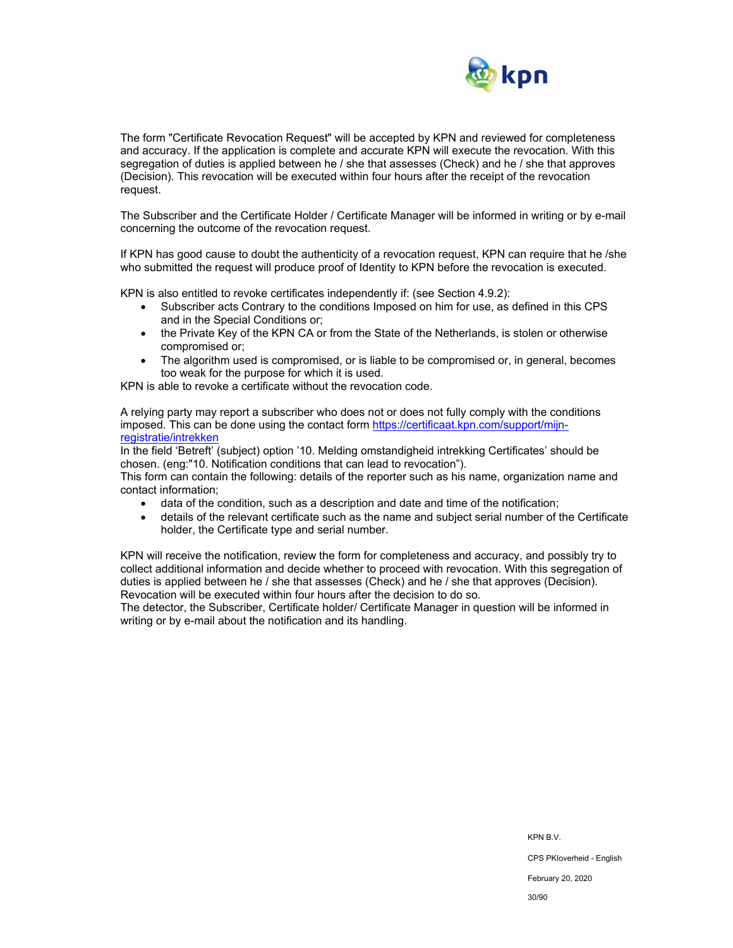

The form "Certificate Revocation Request" will be accepted by KPN and reviewed for completeness and accuracy. If the application is complete and accurate KPN will execute the revocation. With this segregation of duties is applied between he / she that assesses (Check) and he / she that approves (Decision). This revocation will be executed within four hours after the receipt of the revocation request.

The Subscriber and the Certificate Holder / Certificate Manager will be informed in writing or by e-mail concerning the outcome of the revocation request.

If KPN has good cause to doubt the authenticity of a revocation request, KPN can require that he /she who submitted the request will produce proof of Identity to KPN before the revocation is executed.

KPN is also entitled to revoke certificates independently if: (see Section 4.9.2):

- Subscriber acts Contrary to the conditions Imposed on him for use, as defined in this CPS and in the Special Conditions or;
- the Private Key of the KPN CA or from the State of the Netherlands, is stolen or otherwise compromised or;
- The algorithm used is compromised, or is liable to be compromised or, in general, becomes too weak for the purpose for which it is used.

KPN is able to revoke a certificate without the revocation code.

A relying party may report a subscriber who does not or does not fully comply with the conditions imposed. This can be done using the contact form https://certificaat.kpn.com/support/mijnregistratie/intrekken

In the field 'Betreft' (subject) option '10. Melding omstandigheid intrekking Certificates' should be chosen. (eng:"10. Notification conditions that can lead to revocation").

This form can contain the following: details of the reporter such as his name, organization name and contact information;

- data of the condition, such as a description and date and time of the notification;
- details of the relevant certificate such as the name and subject serial number of the Certificate holder, the Certificate type and serial number.

KPN will receive the notification, review the form for completeness and accuracy, and possibly try to collect additional information and decide whether to proceed with revocation. With this segregation of duties is applied between he / she that assesses (Check) and he / she that approves (Decision). Revocation will be executed within four hours after the decision to do so.

The detector, the Subscriber, Certificate holder/ Certificate Manager in question will be informed in writing or by e-mail about the notification and its handling.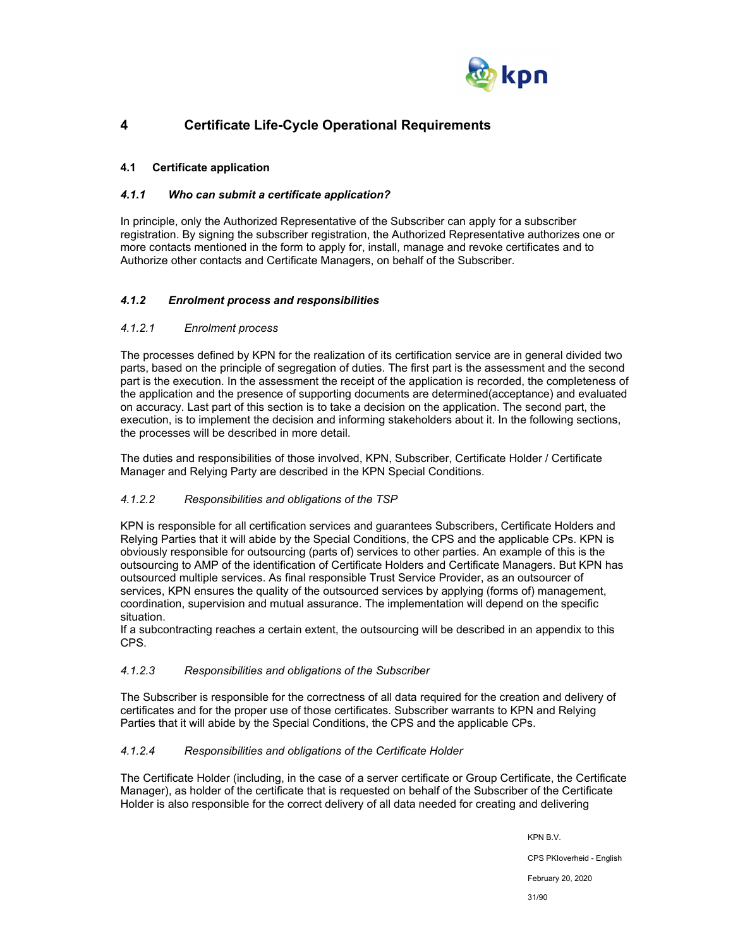

## **4 Certificate Life-Cycle Operational Requirements**

## **4.1 Certificate application**

## *4.1.1 Who can submit a certificate application?*

In principle, only the Authorized Representative of the Subscriber can apply for a subscriber registration. By signing the subscriber registration, the Authorized Representative authorizes one or more contacts mentioned in the form to apply for, install, manage and revoke certificates and to Authorize other contacts and Certificate Managers, on behalf of the Subscriber.

## *4.1.2 Enrolment process and responsibilities*

## *4.1.2.1 Enrolment process*

The processes defined by KPN for the realization of its certification service are in general divided two parts, based on the principle of segregation of duties. The first part is the assessment and the second part is the execution. In the assessment the receipt of the application is recorded, the completeness of the application and the presence of supporting documents are determined(acceptance) and evaluated on accuracy. Last part of this section is to take a decision on the application. The second part, the execution, is to implement the decision and informing stakeholders about it. In the following sections, the processes will be described in more detail.

The duties and responsibilities of those involved, KPN, Subscriber, Certificate Holder / Certificate Manager and Relying Party are described in the KPN Special Conditions.

## *4.1.2.2 Responsibilities and obligations of the TSP*

KPN is responsible for all certification services and guarantees Subscribers, Certificate Holders and Relying Parties that it will abide by the Special Conditions, the CPS and the applicable CPs. KPN is obviously responsible for outsourcing (parts of) services to other parties. An example of this is the outsourcing to AMP of the identification of Certificate Holders and Certificate Managers. But KPN has outsourced multiple services. As final responsible Trust Service Provider, as an outsourcer of services, KPN ensures the quality of the outsourced services by applying (forms of) management, coordination, supervision and mutual assurance. The implementation will depend on the specific situation.

If a subcontracting reaches a certain extent, the outsourcing will be described in an appendix to this CPS.

#### *4.1.2.3 Responsibilities and obligations of the Subscriber*

The Subscriber is responsible for the correctness of all data required for the creation and delivery of certificates and for the proper use of those certificates. Subscriber warrants to KPN and Relying Parties that it will abide by the Special Conditions, the CPS and the applicable CPs.

## *4.1.2.4 Responsibilities and obligations of the Certificate Holder*

The Certificate Holder (including, in the case of a server certificate or Group Certificate, the Certificate Manager), as holder of the certificate that is requested on behalf of the Subscriber of the Certificate Holder is also responsible for the correct delivery of all data needed for creating and delivering

KPN B.V.

CPS PKIoverheid - English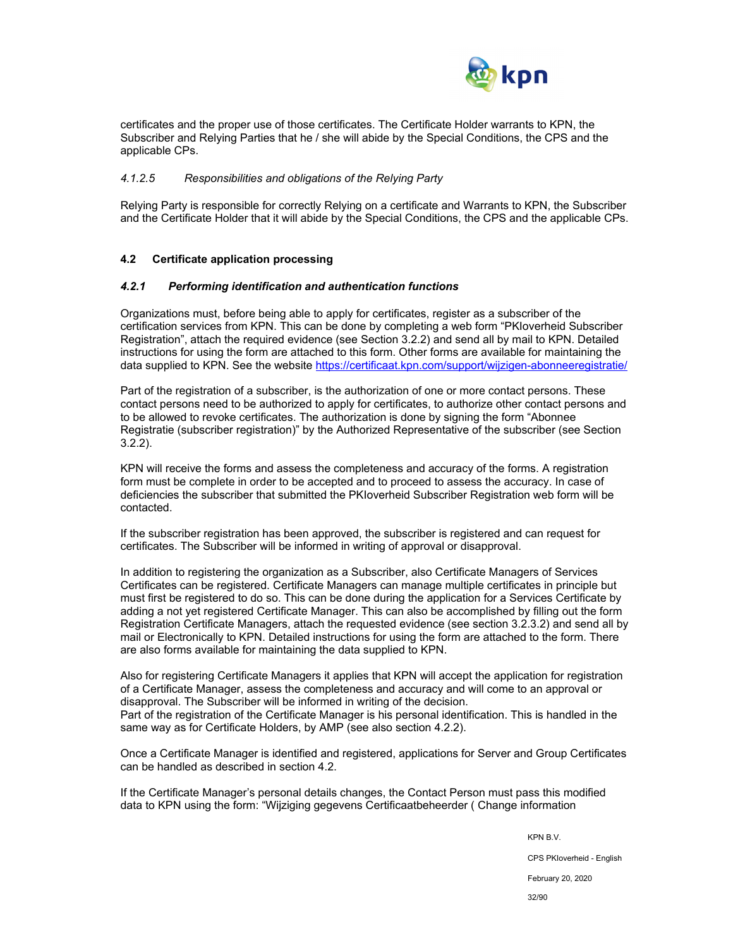

certificates and the proper use of those certificates. The Certificate Holder warrants to KPN, the Subscriber and Relying Parties that he / she will abide by the Special Conditions, the CPS and the applicable CPs.

#### *4.1.2.5 Responsibilities and obligations of the Relying Party*

Relying Party is responsible for correctly Relying on a certificate and Warrants to KPN, the Subscriber and the Certificate Holder that it will abide by the Special Conditions, the CPS and the applicable CPs.

#### **4.2 Certificate application processing**

#### *4.2.1 Performing identification and authentication functions*

Organizations must, before being able to apply for certificates, register as a subscriber of the certification services from KPN. This can be done by completing a web form "PKIoverheid Subscriber Registration", attach the required evidence (see Section 3.2.2) and send all by mail to KPN. Detailed instructions for using the form are attached to this form. Other forms are available for maintaining the data supplied to KPN. See the website https://certificaat.kpn.com/support/wijzigen-abonneeregistratie/

Part of the registration of a subscriber, is the authorization of one or more contact persons. These contact persons need to be authorized to apply for certificates, to authorize other contact persons and to be allowed to revoke certificates. The authorization is done by signing the form "Abonnee Registratie (subscriber registration)" by the Authorized Representative of the subscriber (see Section 3.2.2).

KPN will receive the forms and assess the completeness and accuracy of the forms. A registration form must be complete in order to be accepted and to proceed to assess the accuracy. In case of deficiencies the subscriber that submitted the PKIoverheid Subscriber Registration web form will be contacted.

If the subscriber registration has been approved, the subscriber is registered and can request for certificates. The Subscriber will be informed in writing of approval or disapproval.

In addition to registering the organization as a Subscriber, also Certificate Managers of Services Certificates can be registered. Certificate Managers can manage multiple certificates in principle but must first be registered to do so. This can be done during the application for a Services Certificate by adding a not yet registered Certificate Manager. This can also be accomplished by filling out the form Registration Certificate Managers, attach the requested evidence (see section 3.2.3.2) and send all by mail or Electronically to KPN. Detailed instructions for using the form are attached to the form. There are also forms available for maintaining the data supplied to KPN.

Also for registering Certificate Managers it applies that KPN will accept the application for registration of a Certificate Manager, assess the completeness and accuracy and will come to an approval or disapproval. The Subscriber will be informed in writing of the decision. Part of the registration of the Certificate Manager is his personal identification. This is handled in the same way as for Certificate Holders, by AMP (see also section 4.2.2).

Once a Certificate Manager is identified and registered, applications for Server and Group Certificates can be handled as described in section 4.2.

If the Certificate Manager's personal details changes, the Contact Person must pass this modified data to KPN using the form: "Wijziging gegevens Certificaatbeheerder ( Change information

KPN B.V.

CPS PKIoverheid - English

February 20, 2020

32/90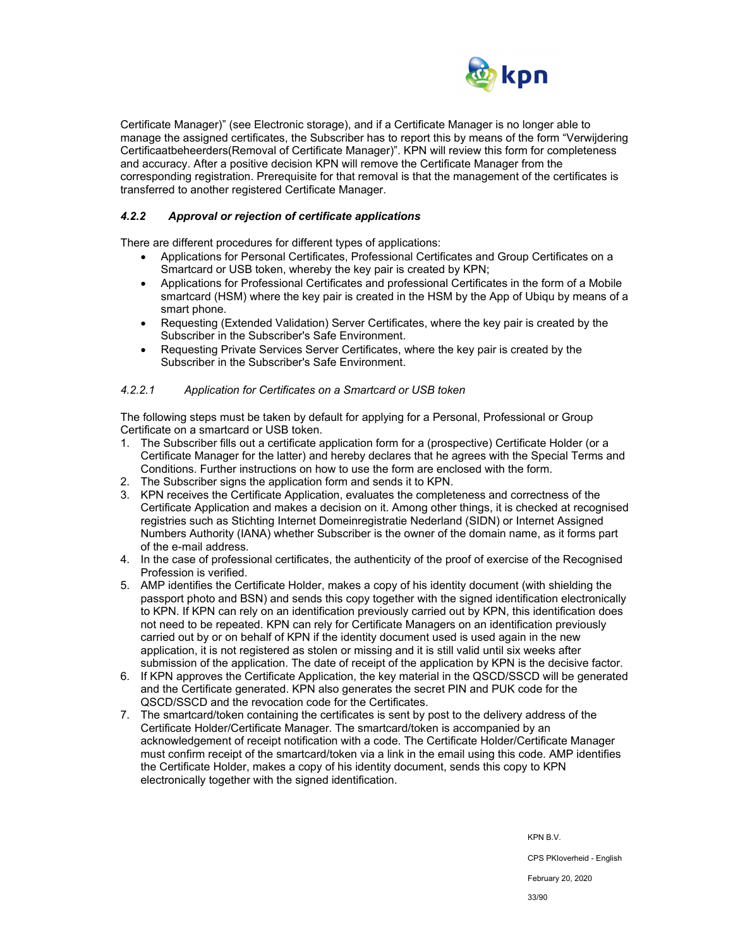

Certificate Manager)" (see Electronic storage), and if a Certificate Manager is no longer able to manage the assigned certificates, the Subscriber has to report this by means of the form "Verwijdering Certificaatbeheerders(Removal of Certificate Manager)". KPN will review this form for completeness and accuracy. After a positive decision KPN will remove the Certificate Manager from the corresponding registration. Prerequisite for that removal is that the management of the certificates is transferred to another registered Certificate Manager.

## *4.2.2 Approval or rejection of certificate applications*

There are different procedures for different types of applications:

- Applications for Personal Certificates, Professional Certificates and Group Certificates on a Smartcard or USB token, whereby the key pair is created by KPN;
- Applications for Professional Certificates and professional Certificates in the form of a Mobile smartcard (HSM) where the key pair is created in the HSM by the App of Ubiqu by means of a smart phone.
- Requesting (Extended Validation) Server Certificates, where the key pair is created by the Subscriber in the Subscriber's Safe Environment.
- Requesting Private Services Server Certificates, where the key pair is created by the Subscriber in the Subscriber's Safe Environment.

## *4.2.2.1 Application for Certificates on a Smartcard or USB token*

The following steps must be taken by default for applying for a Personal, Professional or Group Certificate on a smartcard or USB token.

- 1. The Subscriber fills out a certificate application form for a (prospective) Certificate Holder (or a Certificate Manager for the latter) and hereby declares that he agrees with the Special Terms and Conditions. Further instructions on how to use the form are enclosed with the form.
- 2. The Subscriber signs the application form and sends it to KPN.
- 3. KPN receives the Certificate Application, evaluates the completeness and correctness of the Certificate Application and makes a decision on it. Among other things, it is checked at recognised registries such as Stichting Internet Domeinregistratie Nederland (SIDN) or Internet Assigned Numbers Authority (IANA) whether Subscriber is the owner of the domain name, as it forms part of the e-mail address.
- 4. In the case of professional certificates, the authenticity of the proof of exercise of the Recognised Profession is verified.
- 5. AMP identifies the Certificate Holder, makes a copy of his identity document (with shielding the passport photo and BSN) and sends this copy together with the signed identification electronically to KPN. If KPN can rely on an identification previously carried out by KPN, this identification does not need to be repeated. KPN can rely for Certificate Managers on an identification previously carried out by or on behalf of KPN if the identity document used is used again in the new application, it is not registered as stolen or missing and it is still valid until six weeks after submission of the application. The date of receipt of the application by KPN is the decisive factor.
- 6. If KPN approves the Certificate Application, the key material in the QSCD/SSCD will be generated and the Certificate generated. KPN also generates the secret PIN and PUK code for the QSCD/SSCD and the revocation code for the Certificates.
- 7. The smartcard/token containing the certificates is sent by post to the delivery address of the Certificate Holder/Certificate Manager. The smartcard/token is accompanied by an acknowledgement of receipt notification with a code. The Certificate Holder/Certificate Manager must confirm receipt of the smartcard/token via a link in the email using this code. AMP identifies the Certificate Holder, makes a copy of his identity document, sends this copy to KPN electronically together with the signed identification.

KPN B.V.

CPS PKIoverheid - English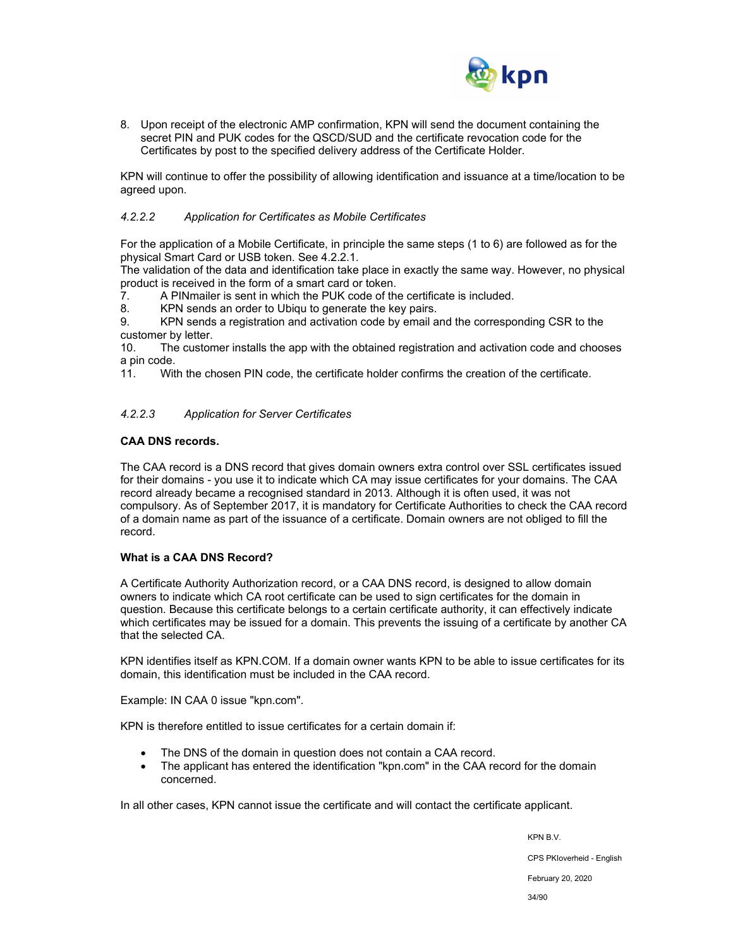

8. Upon receipt of the electronic AMP confirmation, KPN will send the document containing the secret PIN and PUK codes for the QSCD/SUD and the certificate revocation code for the Certificates by post to the specified delivery address of the Certificate Holder.

KPN will continue to offer the possibility of allowing identification and issuance at a time/location to be agreed upon.

#### *4.2.2.2 Application for Certificates as Mobile Certificates*

For the application of a Mobile Certificate, in principle the same steps (1 to 6) are followed as for the physical Smart Card or USB token. See 4.2.2.1.

The validation of the data and identification take place in exactly the same way. However, no physical product is received in the form of a smart card or token.

7. A PINmailer is sent in which the PUK code of the certificate is included.

8. KPN sends an order to Ubiqu to generate the key pairs.

9. KPN sends a registration and activation code by email and the corresponding CSR to the customer by letter.

10. The customer installs the app with the obtained registration and activation code and chooses a pin code.

11. With the chosen PIN code, the certificate holder confirms the creation of the certificate.

#### *4.2.2.3 Application for Server Certificates*

#### **CAA DNS records.**

The CAA record is a DNS record that gives domain owners extra control over SSL certificates issued for their domains - you use it to indicate which CA may issue certificates for your domains. The CAA record already became a recognised standard in 2013. Although it is often used, it was not compulsory. As of September 2017, it is mandatory for Certificate Authorities to check the CAA record of a domain name as part of the issuance of a certificate. Domain owners are not obliged to fill the record.

#### **What is a CAA DNS Record?**

A Certificate Authority Authorization record, or a CAA DNS record, is designed to allow domain owners to indicate which CA root certificate can be used to sign certificates for the domain in question. Because this certificate belongs to a certain certificate authority, it can effectively indicate which certificates may be issued for a domain. This prevents the issuing of a certificate by another CA that the selected CA.

KPN identifies itself as KPN.COM. If a domain owner wants KPN to be able to issue certificates for its domain, this identification must be included in the CAA record.

Example: IN CAA 0 issue "kpn.com".

KPN is therefore entitled to issue certificates for a certain domain if:

- The DNS of the domain in question does not contain a CAA record.
- The applicant has entered the identification "kpn.com" in the CAA record for the domain concerned.

In all other cases, KPN cannot issue the certificate and will contact the certificate applicant.

KPN B.V. CPS PKIoverheid - English February 20, 2020 34/90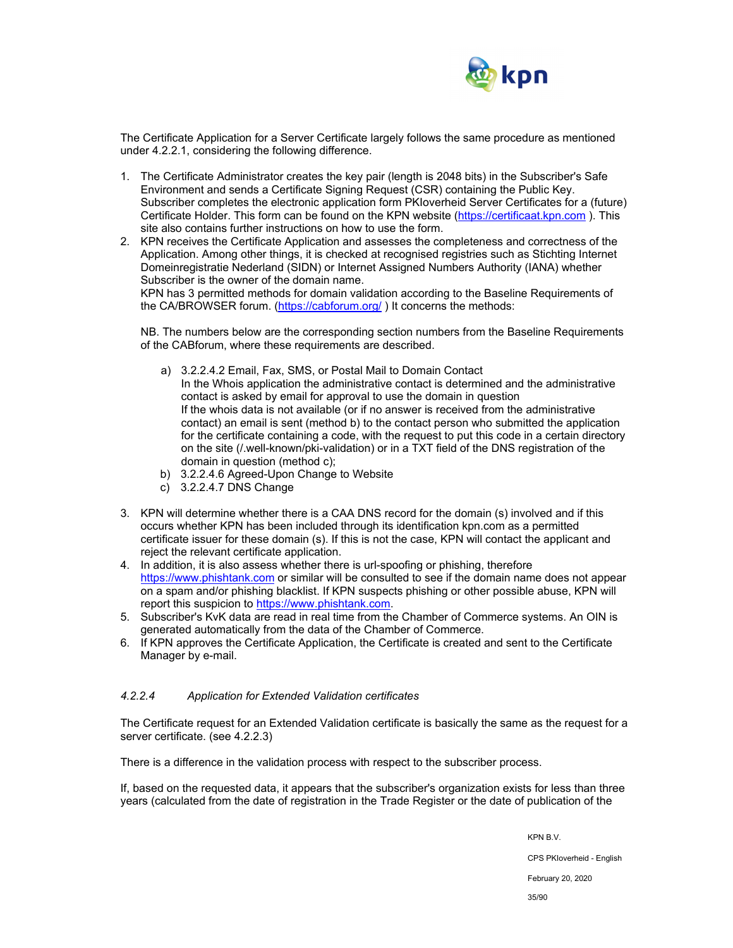

The Certificate Application for a Server Certificate largely follows the same procedure as mentioned under 4.2.2.1, considering the following difference.

- 1. The Certificate Administrator creates the key pair (length is 2048 bits) in the Subscriber's Safe Environment and sends a Certificate Signing Request (CSR) containing the Public Key. Subscriber completes the electronic application form PKIoverheid Server Certificates for a (future) Certificate Holder. This form can be found on the KPN website (https://certificaat.kpn.com ). This site also contains further instructions on how to use the form.
- 2. KPN receives the Certificate Application and assesses the completeness and correctness of the Application. Among other things, it is checked at recognised registries such as Stichting Internet Domeinregistratie Nederland (SIDN) or Internet Assigned Numbers Authority (IANA) whether Subscriber is the owner of the domain name.

KPN has 3 permitted methods for domain validation according to the Baseline Requirements of the CA/BROWSER forum. (https://cabforum.org/ ) It concerns the methods:

NB. The numbers below are the corresponding section numbers from the Baseline Requirements of the CABforum, where these requirements are described.

- a) 3.2.2.4.2 Email, Fax, SMS, or Postal Mail to Domain Contact In the Whois application the administrative contact is determined and the administrative contact is asked by email for approval to use the domain in question If the whois data is not available (or if no answer is received from the administrative contact) an email is sent (method b) to the contact person who submitted the application for the certificate containing a code, with the request to put this code in a certain directory on the site (/.well-known/pki-validation) or in a TXT field of the DNS registration of the domain in question (method c);
- b) 3.2.2.4.6 Agreed-Upon Change to Website
- c) 3.2.2.4.7 DNS Change
- 3. KPN will determine whether there is a CAA DNS record for the domain (s) involved and if this occurs whether KPN has been included through its identification kpn.com as a permitted certificate issuer for these domain (s). If this is not the case, KPN will contact the applicant and reject the relevant certificate application.
- 4. In addition, it is also assess whether there is url-spoofing or phishing, therefore https://www.phishtank.com or similar will be consulted to see if the domain name does not appear on a spam and/or phishing blacklist. If KPN suspects phishing or other possible abuse, KPN will report this suspicion to https://www.phishtank.com.
- 5. Subscriber's KvK data are read in real time from the Chamber of Commerce systems. An OIN is generated automatically from the data of the Chamber of Commerce.
- 6. If KPN approves the Certificate Application, the Certificate is created and sent to the Certificate Manager by e-mail.

#### *4.2.2.4 Application for Extended Validation certificates*

The Certificate request for an Extended Validation certificate is basically the same as the request for a server certificate. (see 4.2.2.3)

There is a difference in the validation process with respect to the subscriber process.

If, based on the requested data, it appears that the subscriber's organization exists for less than three years (calculated from the date of registration in the Trade Register or the date of publication of the

KPN B.V.

CPS PKIoverheid - English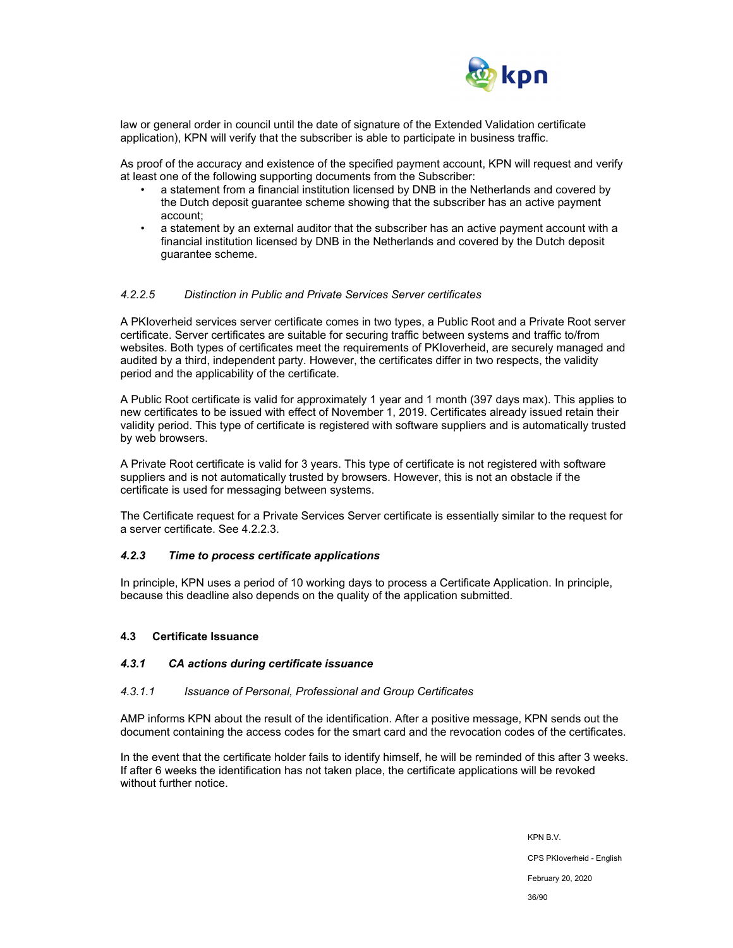

law or general order in council until the date of signature of the Extended Validation certificate application), KPN will verify that the subscriber is able to participate in business traffic.

As proof of the accuracy and existence of the specified payment account, KPN will request and verify at least one of the following supporting documents from the Subscriber:

- a statement from a financial institution licensed by DNB in the Netherlands and covered by the Dutch deposit guarantee scheme showing that the subscriber has an active payment account;
- a statement by an external auditor that the subscriber has an active payment account with a financial institution licensed by DNB in the Netherlands and covered by the Dutch deposit guarantee scheme.

#### *4.2.2.5 Distinction in Public and Private Services Server certificates*

A PKIoverheid services server certificate comes in two types, a Public Root and a Private Root server certificate. Server certificates are suitable for securing traffic between systems and traffic to/from websites. Both types of certificates meet the requirements of PKIoverheid, are securely managed and audited by a third, independent party. However, the certificates differ in two respects, the validity period and the applicability of the certificate.

A Public Root certificate is valid for approximately 1 year and 1 month (397 days max). This applies to new certificates to be issued with effect of November 1, 2019. Certificates already issued retain their validity period. This type of certificate is registered with software suppliers and is automatically trusted by web browsers.

A Private Root certificate is valid for 3 years. This type of certificate is not registered with software suppliers and is not automatically trusted by browsers. However, this is not an obstacle if the certificate is used for messaging between systems.

The Certificate request for a Private Services Server certificate is essentially similar to the request for a server certificate. See 4.2.2.3.

#### *4.2.3 Time to process certificate applications*

In principle, KPN uses a period of 10 working days to process a Certificate Application. In principle, because this deadline also depends on the quality of the application submitted.

#### **4.3 Certificate Issuance**

#### *4.3.1 CA actions during certificate issuance*

#### *4.3.1.1 Issuance of Personal, Professional and Group Certificates*

AMP informs KPN about the result of the identification. After a positive message, KPN sends out the document containing the access codes for the smart card and the revocation codes of the certificates.

In the event that the certificate holder fails to identify himself, he will be reminded of this after 3 weeks. If after 6 weeks the identification has not taken place, the certificate applications will be revoked without further notice.

> KPN B.V. CPS PKIoverheid - English February 20, 2020 36/90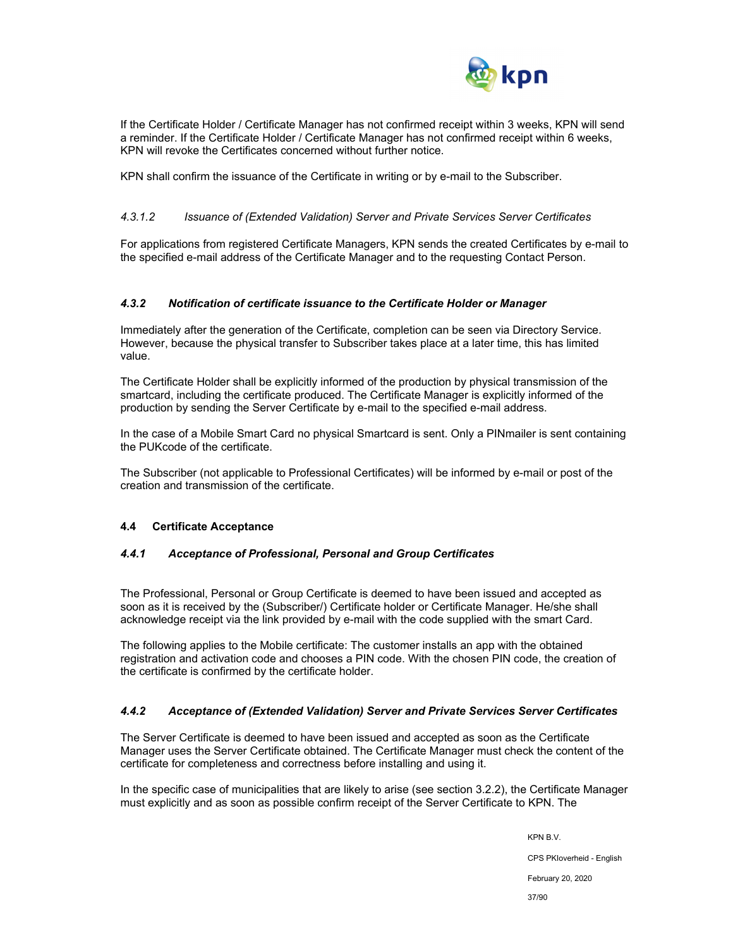

If the Certificate Holder / Certificate Manager has not confirmed receipt within 3 weeks, KPN will send a reminder. If the Certificate Holder / Certificate Manager has not confirmed receipt within 6 weeks, KPN will revoke the Certificates concerned without further notice.

KPN shall confirm the issuance of the Certificate in writing or by e-mail to the Subscriber.

### *4.3.1.2 Issuance of (Extended Validation) Server and Private Services Server Certificates*

For applications from registered Certificate Managers, KPN sends the created Certificates by e-mail to the specified e-mail address of the Certificate Manager and to the requesting Contact Person.

#### *4.3.2 Notification of certificate issuance to the Certificate Holder or Manager*

Immediately after the generation of the Certificate, completion can be seen via Directory Service. However, because the physical transfer to Subscriber takes place at a later time, this has limited value.

The Certificate Holder shall be explicitly informed of the production by physical transmission of the smartcard, including the certificate produced. The Certificate Manager is explicitly informed of the production by sending the Server Certificate by e-mail to the specified e-mail address.

In the case of a Mobile Smart Card no physical Smartcard is sent. Only a PINmailer is sent containing the PUKcode of the certificate.

The Subscriber (not applicable to Professional Certificates) will be informed by e-mail or post of the creation and transmission of the certificate.

#### **4.4 Certificate Acceptance**

#### *4.4.1 Acceptance of Professional, Personal and Group Certificates*

The Professional, Personal or Group Certificate is deemed to have been issued and accepted as soon as it is received by the (Subscriber/) Certificate holder or Certificate Manager. He/she shall acknowledge receipt via the link provided by e-mail with the code supplied with the smart Card.

The following applies to the Mobile certificate: The customer installs an app with the obtained registration and activation code and chooses a PIN code. With the chosen PIN code, the creation of the certificate is confirmed by the certificate holder.

#### *4.4.2 Acceptance of (Extended Validation) Server and Private Services Server Certificates*

The Server Certificate is deemed to have been issued and accepted as soon as the Certificate Manager uses the Server Certificate obtained. The Certificate Manager must check the content of the certificate for completeness and correctness before installing and using it.

In the specific case of municipalities that are likely to arise (see section 3.2.2), the Certificate Manager must explicitly and as soon as possible confirm receipt of the Server Certificate to KPN. The

KPN B.V.

CPS PKIoverheid - English

February 20, 2020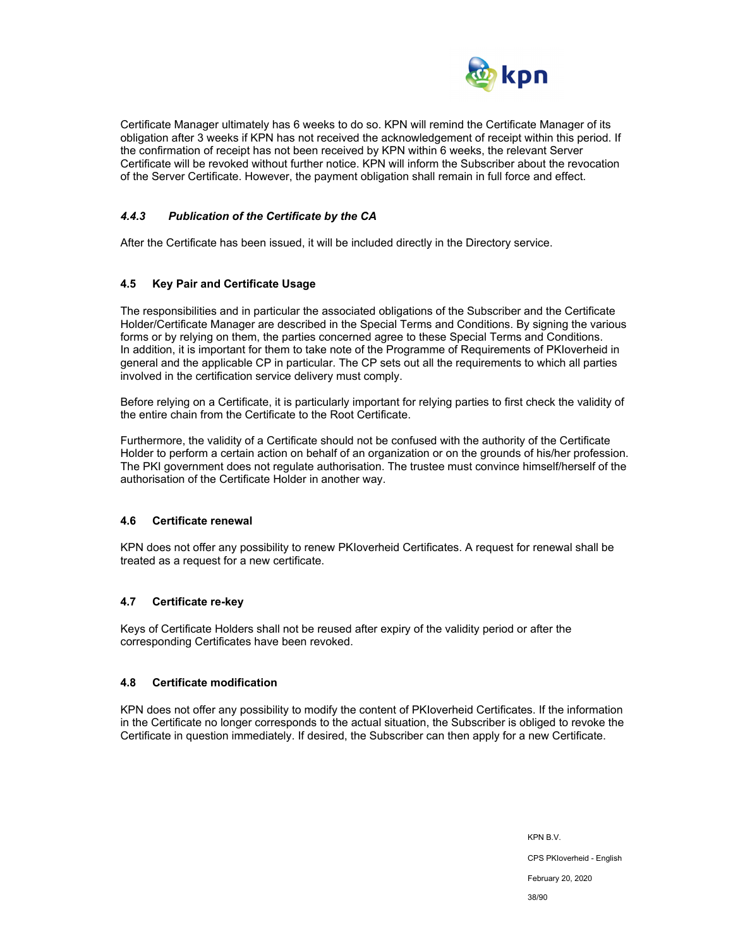

Certificate Manager ultimately has 6 weeks to do so. KPN will remind the Certificate Manager of its obligation after 3 weeks if KPN has not received the acknowledgement of receipt within this period. If the confirmation of receipt has not been received by KPN within 6 weeks, the relevant Server Certificate will be revoked without further notice. KPN will inform the Subscriber about the revocation of the Server Certificate. However, the payment obligation shall remain in full force and effect.

### *4.4.3 Publication of the Certificate by the CA*

After the Certificate has been issued, it will be included directly in the Directory service.

#### **4.5 Key Pair and Certificate Usage**

The responsibilities and in particular the associated obligations of the Subscriber and the Certificate Holder/Certificate Manager are described in the Special Terms and Conditions. By signing the various forms or by relying on them, the parties concerned agree to these Special Terms and Conditions. In addition, it is important for them to take note of the Programme of Requirements of PKIoverheid in general and the applicable CP in particular. The CP sets out all the requirements to which all parties involved in the certification service delivery must comply.

Before relying on a Certificate, it is particularly important for relying parties to first check the validity of the entire chain from the Certificate to the Root Certificate.

Furthermore, the validity of a Certificate should not be confused with the authority of the Certificate Holder to perform a certain action on behalf of an organization or on the grounds of his/her profession. The PKI government does not regulate authorisation. The trustee must convince himself/herself of the authorisation of the Certificate Holder in another way.

#### **4.6 Certificate renewal**

KPN does not offer any possibility to renew PKIoverheid Certificates. A request for renewal shall be treated as a request for a new certificate.

#### **4.7 Certificate re-key**

Keys of Certificate Holders shall not be reused after expiry of the validity period or after the corresponding Certificates have been revoked.

#### **4.8 Certificate modification**

KPN does not offer any possibility to modify the content of PKIoverheid Certificates. If the information in the Certificate no longer corresponds to the actual situation, the Subscriber is obliged to revoke the Certificate in question immediately. If desired, the Subscriber can then apply for a new Certificate.

> KPN B.V. CPS PKIoverheid - English February 20, 2020 38/90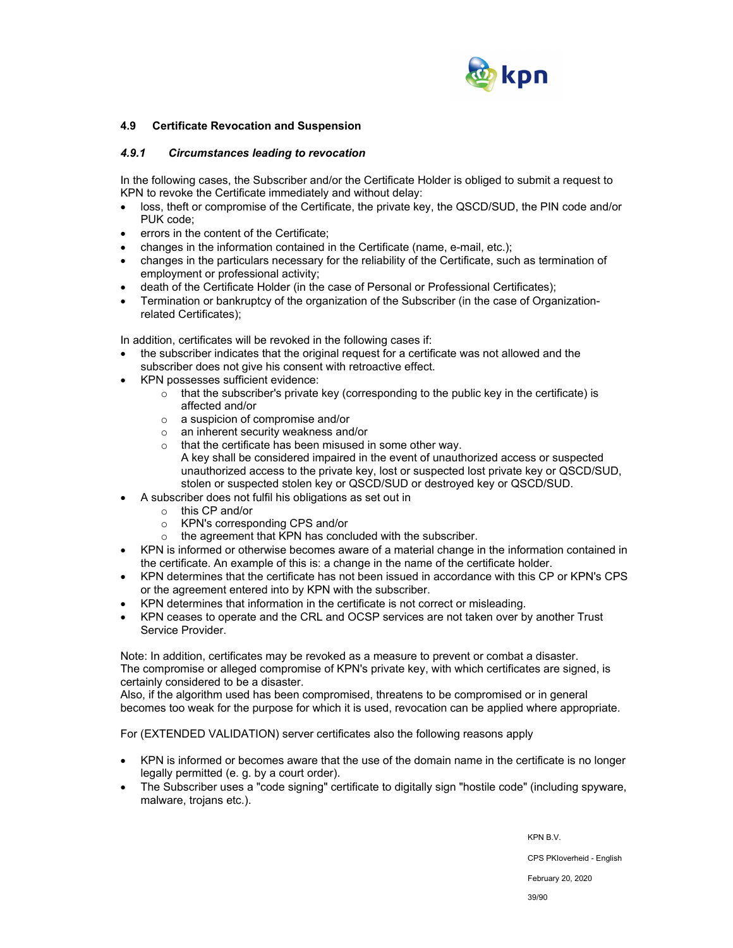

#### **4.9 Certificate Revocation and Suspension**

#### *4.9.1 Circumstances leading to revocation*

In the following cases, the Subscriber and/or the Certificate Holder is obliged to submit a request to KPN to revoke the Certificate immediately and without delay:

- loss, theft or compromise of the Certificate, the private key, the QSCD/SUD, the PIN code and/or PUK code;
- errors in the content of the Certificate;
- changes in the information contained in the Certificate (name, e-mail, etc.);
- changes in the particulars necessary for the reliability of the Certificate, such as termination of employment or professional activity;
- death of the Certificate Holder (in the case of Personal or Professional Certificates);
- Termination or bankruptcy of the organization of the Subscriber (in the case of Organizationrelated Certificates);

In addition, certificates will be revoked in the following cases if:

- the subscriber indicates that the original request for a certificate was not allowed and the subscriber does not give his consent with retroactive effect.
- KPN possesses sufficient evidence:
	- $\circ$  that the subscriber's private key (corresponding to the public key in the certificate) is affected and/or
	- o a suspicion of compromise and/or
	- o an inherent security weakness and/or
	- o that the certificate has been misused in some other way. A key shall be considered impaired in the event of unauthorized access or suspected unauthorized access to the private key, lost or suspected lost private key or QSCD/SUD, stolen or suspected stolen key or QSCD/SUD or destroyed key or QSCD/SUD.
- A subscriber does not fulfil his obligations as set out in
	- o this CP and/or
	- o KPN's corresponding CPS and/or
	- o the agreement that KPN has concluded with the subscriber.
- KPN is informed or otherwise becomes aware of a material change in the information contained in the certificate. An example of this is: a change in the name of the certificate holder.
- KPN determines that the certificate has not been issued in accordance with this CP or KPN's CPS or the agreement entered into by KPN with the subscriber.
- KPN determines that information in the certificate is not correct or misleading.
- KPN ceases to operate and the CRL and OCSP services are not taken over by another Trust Service Provider.

Note: In addition, certificates may be revoked as a measure to prevent or combat a disaster. The compromise or alleged compromise of KPN's private key, with which certificates are signed, is certainly considered to be a disaster.

Also, if the algorithm used has been compromised, threatens to be compromised or in general becomes too weak for the purpose for which it is used, revocation can be applied where appropriate.

For (EXTENDED VALIDATION) server certificates also the following reasons apply

- KPN is informed or becomes aware that the use of the domain name in the certificate is no longer legally permitted (e. g. by a court order).
- The Subscriber uses a "code signing" certificate to digitally sign "hostile code" (including spyware, malware, trojans etc.).

KPN B.V.

CPS PKIoverheid - English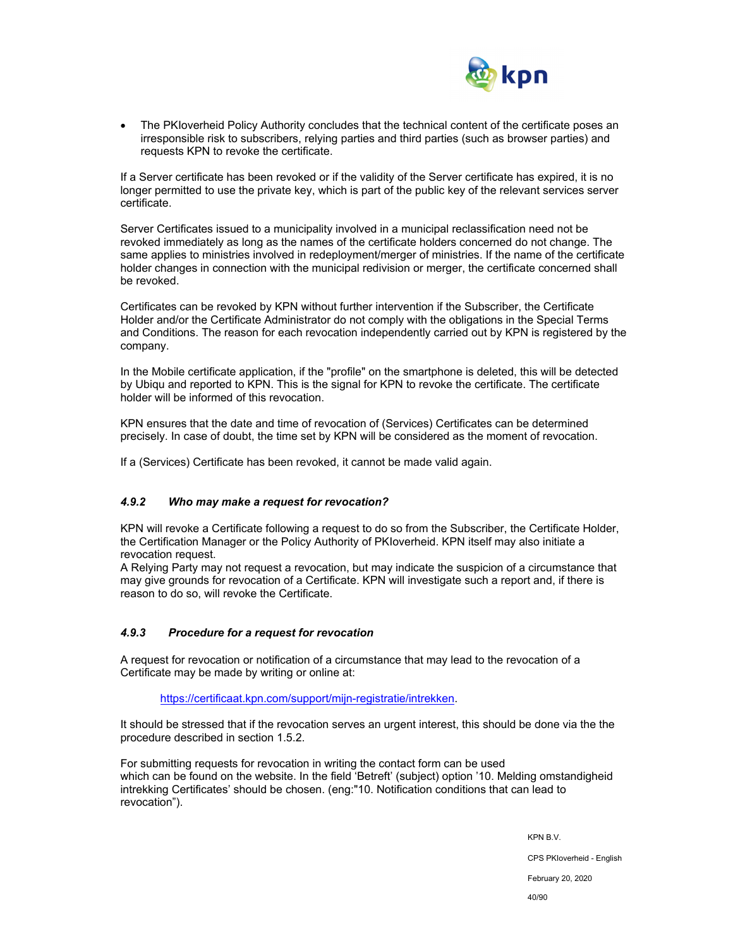

 The PKIoverheid Policy Authority concludes that the technical content of the certificate poses an irresponsible risk to subscribers, relying parties and third parties (such as browser parties) and requests KPN to revoke the certificate.

If a Server certificate has been revoked or if the validity of the Server certificate has expired, it is no longer permitted to use the private key, which is part of the public key of the relevant services server certificate.

Server Certificates issued to a municipality involved in a municipal reclassification need not be revoked immediately as long as the names of the certificate holders concerned do not change. The same applies to ministries involved in redeployment/merger of ministries. If the name of the certificate holder changes in connection with the municipal redivision or merger, the certificate concerned shall be revoked.

Certificates can be revoked by KPN without further intervention if the Subscriber, the Certificate Holder and/or the Certificate Administrator do not comply with the obligations in the Special Terms and Conditions. The reason for each revocation independently carried out by KPN is registered by the company.

In the Mobile certificate application, if the "profile" on the smartphone is deleted, this will be detected by Ubiqu and reported to KPN. This is the signal for KPN to revoke the certificate. The certificate holder will be informed of this revocation.

KPN ensures that the date and time of revocation of (Services) Certificates can be determined precisely. In case of doubt, the time set by KPN will be considered as the moment of revocation.

If a (Services) Certificate has been revoked, it cannot be made valid again.

### *4.9.2 Who may make a request for revocation?*

KPN will revoke a Certificate following a request to do so from the Subscriber, the Certificate Holder, the Certification Manager or the Policy Authority of PKIoverheid. KPN itself may also initiate a revocation request.

A Relying Party may not request a revocation, but may indicate the suspicion of a circumstance that may give grounds for revocation of a Certificate. KPN will investigate such a report and, if there is reason to do so, will revoke the Certificate.

#### *4.9.3 Procedure for a request for revocation*

A request for revocation or notification of a circumstance that may lead to the revocation of a Certificate may be made by writing or online at:

https://certificaat.kpn.com/support/mijn-registratie/intrekken.

It should be stressed that if the revocation serves an urgent interest, this should be done via the the procedure described in section 1.5.2.

For submitting requests for revocation in writing the contact form can be used which can be found on the website. In the field 'Betreft' (subject) option '10. Melding omstandigheid intrekking Certificates' should be chosen. (eng:"10. Notification conditions that can lead to revocation").

KPN B.V.

CPS PKIoverheid - English

February 20, 2020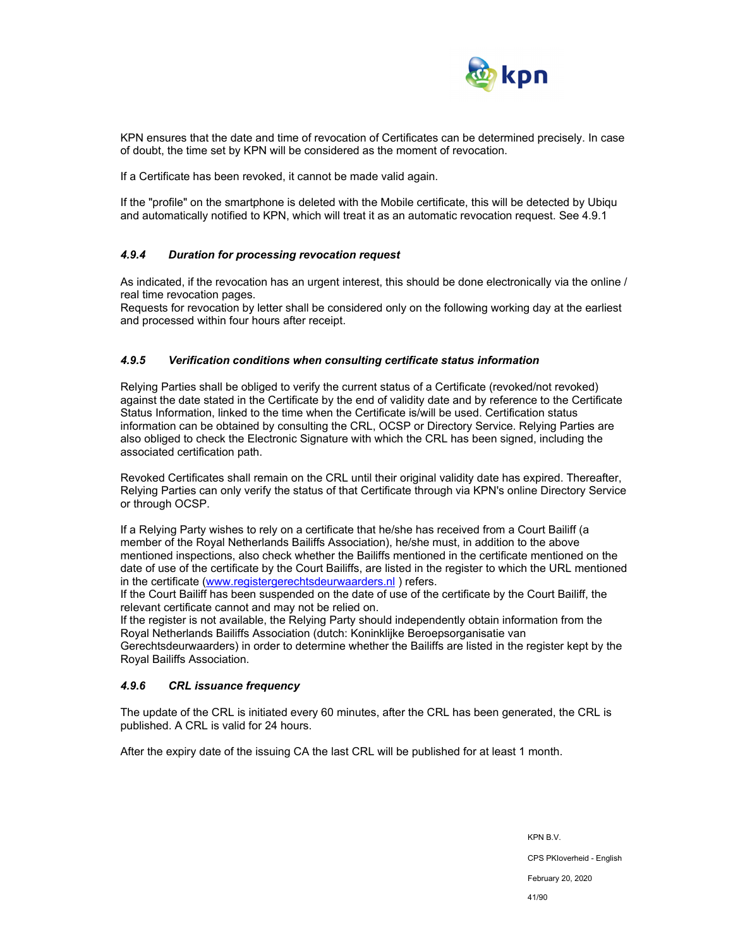

KPN ensures that the date and time of revocation of Certificates can be determined precisely. In case of doubt, the time set by KPN will be considered as the moment of revocation.

If a Certificate has been revoked, it cannot be made valid again.

If the "profile" on the smartphone is deleted with the Mobile certificate, this will be detected by Ubiqu and automatically notified to KPN, which will treat it as an automatic revocation request. See 4.9.1

#### *4.9.4 Duration for processing revocation request*

As indicated, if the revocation has an urgent interest, this should be done electronically via the online / real time revocation pages.

Requests for revocation by letter shall be considered only on the following working day at the earliest and processed within four hours after receipt.

#### *4.9.5 Verification conditions when consulting certificate status information*

Relying Parties shall be obliged to verify the current status of a Certificate (revoked/not revoked) against the date stated in the Certificate by the end of validity date and by reference to the Certificate Status Information, linked to the time when the Certificate is/will be used. Certification status information can be obtained by consulting the CRL, OCSP or Directory Service. Relying Parties are also obliged to check the Electronic Signature with which the CRL has been signed, including the associated certification path.

Revoked Certificates shall remain on the CRL until their original validity date has expired. Thereafter, Relying Parties can only verify the status of that Certificate through via KPN's online Directory Service or through OCSP.

If a Relying Party wishes to rely on a certificate that he/she has received from a Court Bailiff (a member of the Royal Netherlands Bailiffs Association), he/she must, in addition to the above mentioned inspections, also check whether the Bailiffs mentioned in the certificate mentioned on the date of use of the certificate by the Court Bailiffs, are listed in the register to which the URL mentioned in the certificate (www.registergerechtsdeurwaarders.nl) refers.

If the Court Bailiff has been suspended on the date of use of the certificate by the Court Bailiff, the relevant certificate cannot and may not be relied on.

If the register is not available, the Relying Party should independently obtain information from the Royal Netherlands Bailiffs Association (dutch: Koninklijke Beroepsorganisatie van Gerechtsdeurwaarders) in order to determine whether the Bailiffs are listed in the register kept by the Royal Bailiffs Association.

#### *4.9.6 CRL issuance frequency*

The update of the CRL is initiated every 60 minutes, after the CRL has been generated, the CRL is published. A CRL is valid for 24 hours.

After the expiry date of the issuing CA the last CRL will be published for at least 1 month.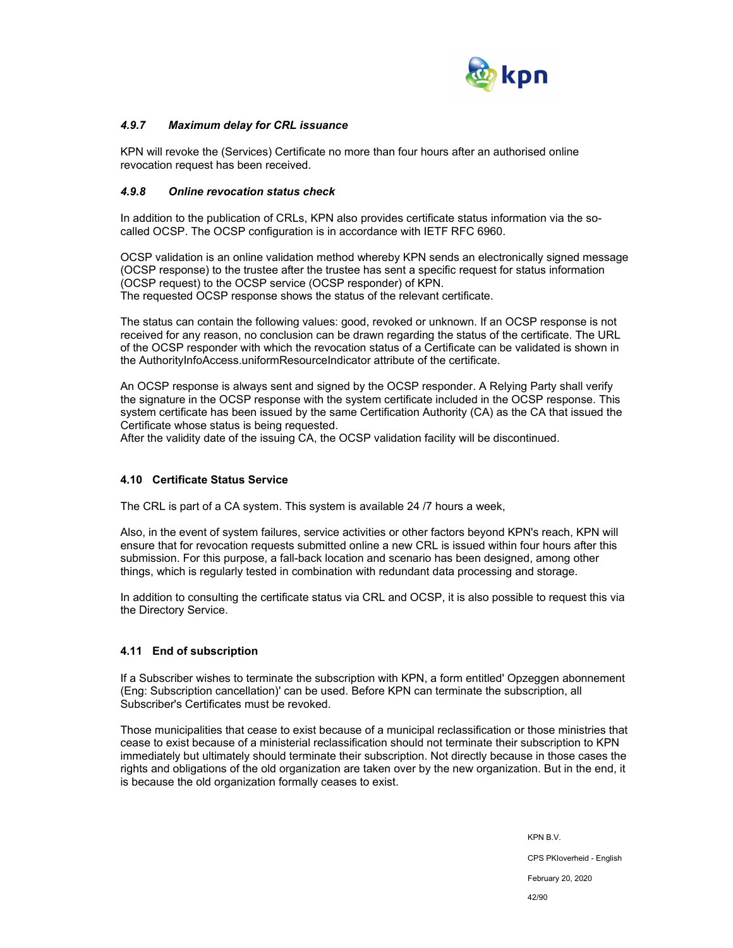

### *4.9.7 Maximum delay for CRL issuance*

KPN will revoke the (Services) Certificate no more than four hours after an authorised online revocation request has been received.

#### *4.9.8 Online revocation status check*

In addition to the publication of CRLs, KPN also provides certificate status information via the socalled OCSP. The OCSP configuration is in accordance with IETF RFC 6960.

OCSP validation is an online validation method whereby KPN sends an electronically signed message (OCSP response) to the trustee after the trustee has sent a specific request for status information (OCSP request) to the OCSP service (OCSP responder) of KPN. The requested OCSP response shows the status of the relevant certificate.

The status can contain the following values: good, revoked or unknown. If an OCSP response is not received for any reason, no conclusion can be drawn regarding the status of the certificate. The URL of the OCSP responder with which the revocation status of a Certificate can be validated is shown in the AuthorityInfoAccess.uniformResourceIndicator attribute of the certificate.

An OCSP response is always sent and signed by the OCSP responder. A Relying Party shall verify the signature in the OCSP response with the system certificate included in the OCSP response. This system certificate has been issued by the same Certification Authority (CA) as the CA that issued the Certificate whose status is being requested.

After the validity date of the issuing CA, the OCSP validation facility will be discontinued.

#### **4.10 Certificate Status Service**

The CRL is part of a CA system. This system is available 24 /7 hours a week,

Also, in the event of system failures, service activities or other factors beyond KPN's reach, KPN will ensure that for revocation requests submitted online a new CRL is issued within four hours after this submission. For this purpose, a fall-back location and scenario has been designed, among other things, which is regularly tested in combination with redundant data processing and storage.

In addition to consulting the certificate status via CRL and OCSP, it is also possible to request this via the Directory Service.

#### **4.11 End of subscription**

If a Subscriber wishes to terminate the subscription with KPN, a form entitled' Opzeggen abonnement (Eng: Subscription cancellation)' can be used. Before KPN can terminate the subscription, all Subscriber's Certificates must be revoked.

Those municipalities that cease to exist because of a municipal reclassification or those ministries that cease to exist because of a ministerial reclassification should not terminate their subscription to KPN immediately but ultimately should terminate their subscription. Not directly because in those cases the rights and obligations of the old organization are taken over by the new organization. But in the end, it is because the old organization formally ceases to exist.

> KPN B.V. CPS PKIoverheid - English February 20, 2020 42/90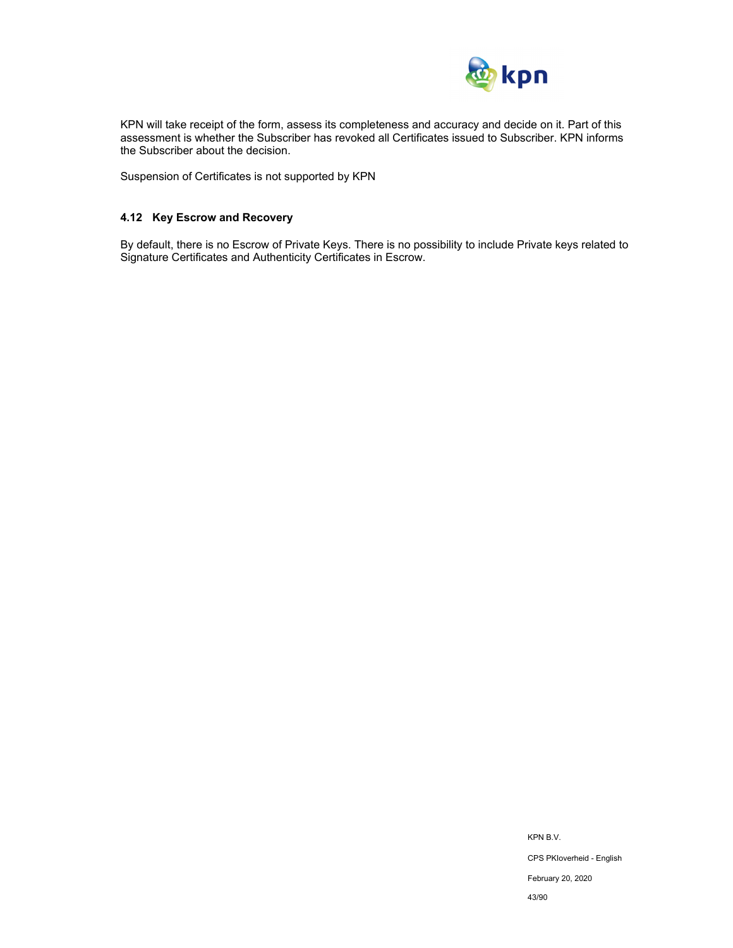

KPN will take receipt of the form, assess its completeness and accuracy and decide on it. Part of this assessment is whether the Subscriber has revoked all Certificates issued to Subscriber. KPN informs the Subscriber about the decision.

Suspension of Certificates is not supported by KPN

### **4.12 Key Escrow and Recovery**

By default, there is no Escrow of Private Keys. There is no possibility to include Private keys related to Signature Certificates and Authenticity Certificates in Escrow.

> KPN B.V. CPS PKIoverheid - English February 20, 2020 43/90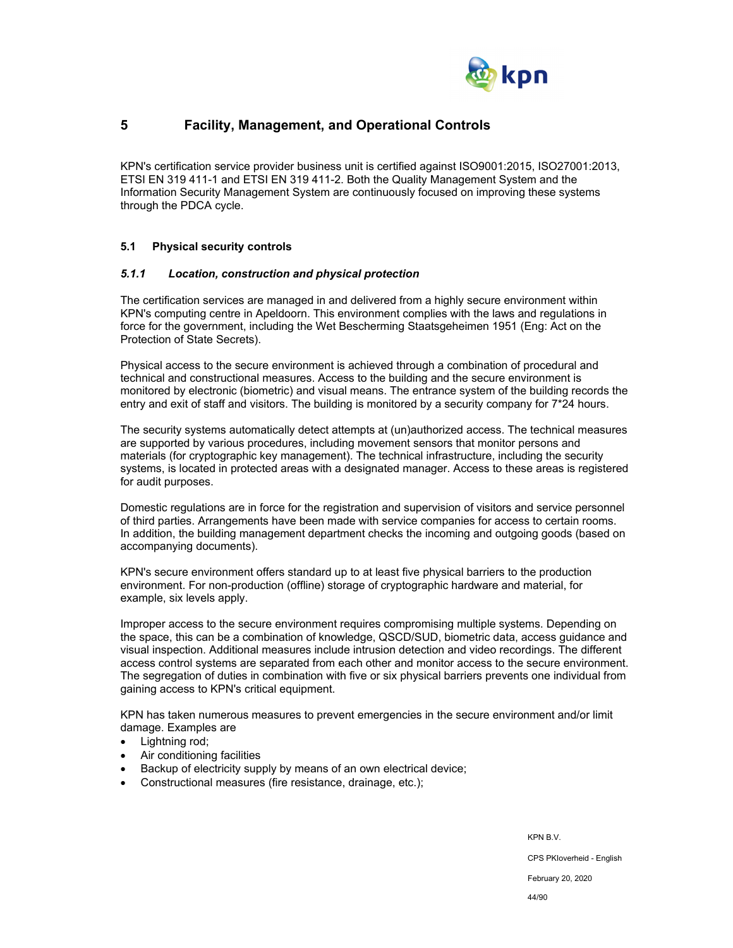

# **5 Facility, Management, and Operational Controls**

KPN's certification service provider business unit is certified against ISO9001:2015, ISO27001:2013, ETSI EN 319 411-1 and ETSI EN 319 411-2. Both the Quality Management System and the Information Security Management System are continuously focused on improving these systems through the PDCA cycle.

#### **5.1 Physical security controls**

#### *5.1.1 Location, construction and physical protection*

The certification services are managed in and delivered from a highly secure environment within KPN's computing centre in Apeldoorn. This environment complies with the laws and regulations in force for the government, including the Wet Bescherming Staatsgeheimen 1951 (Eng: Act on the Protection of State Secrets).

Physical access to the secure environment is achieved through a combination of procedural and technical and constructional measures. Access to the building and the secure environment is monitored by electronic (biometric) and visual means. The entrance system of the building records the entry and exit of staff and visitors. The building is monitored by a security company for 7\*24 hours.

The security systems automatically detect attempts at (un)authorized access. The technical measures are supported by various procedures, including movement sensors that monitor persons and materials (for cryptographic key management). The technical infrastructure, including the security systems, is located in protected areas with a designated manager. Access to these areas is registered for audit purposes.

Domestic regulations are in force for the registration and supervision of visitors and service personnel of third parties. Arrangements have been made with service companies for access to certain rooms. In addition, the building management department checks the incoming and outgoing goods (based on accompanying documents).

KPN's secure environment offers standard up to at least five physical barriers to the production environment. For non-production (offline) storage of cryptographic hardware and material, for example, six levels apply.

Improper access to the secure environment requires compromising multiple systems. Depending on the space, this can be a combination of knowledge, QSCD/SUD, biometric data, access guidance and visual inspection. Additional measures include intrusion detection and video recordings. The different access control systems are separated from each other and monitor access to the secure environment. The segregation of duties in combination with five or six physical barriers prevents one individual from gaining access to KPN's critical equipment.

KPN has taken numerous measures to prevent emergencies in the secure environment and/or limit damage. Examples are

- Lightning rod;
- Air conditioning facilities
- Backup of electricity supply by means of an own electrical device;
- Constructional measures (fire resistance, drainage, etc.);

KPN B.V.

CPS PKIoverheid - English

February 20, 2020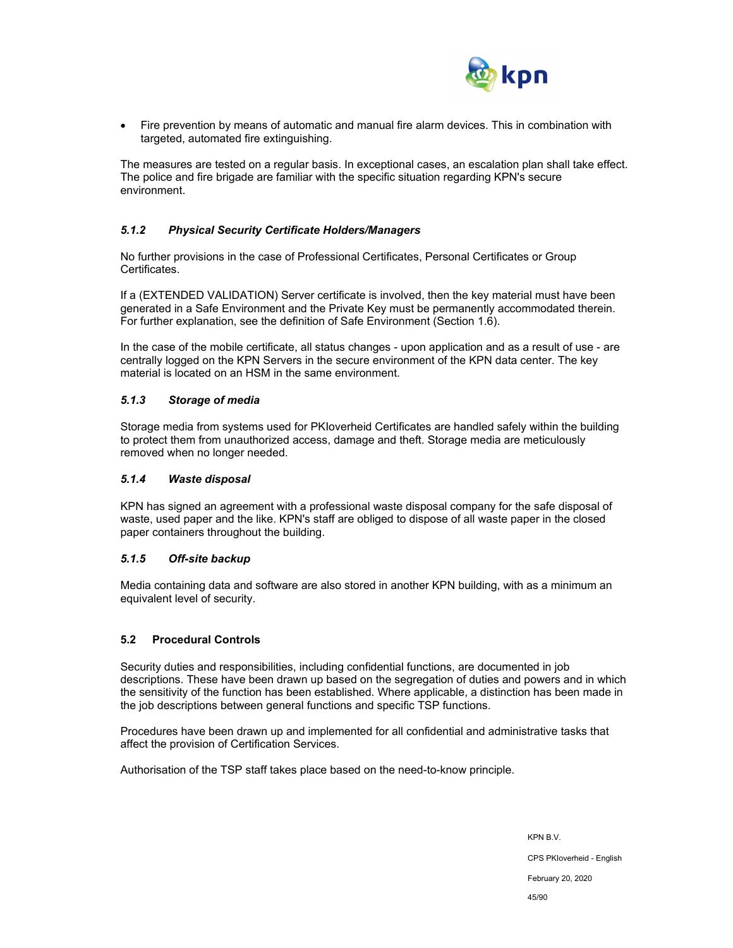

 Fire prevention by means of automatic and manual fire alarm devices. This in combination with targeted, automated fire extinguishing.

The measures are tested on a regular basis. In exceptional cases, an escalation plan shall take effect. The police and fire brigade are familiar with the specific situation regarding KPN's secure environment.

### *5.1.2 Physical Security Certificate Holders/Managers*

No further provisions in the case of Professional Certificates, Personal Certificates or Group Certificates.

If a (EXTENDED VALIDATION) Server certificate is involved, then the key material must have been generated in a Safe Environment and the Private Key must be permanently accommodated therein. For further explanation, see the definition of Safe Environment (Section 1.6).

In the case of the mobile certificate, all status changes - upon application and as a result of use - are centrally logged on the KPN Servers in the secure environment of the KPN data center. The key material is located on an HSM in the same environment.

#### *5.1.3 Storage of media*

Storage media from systems used for PKIoverheid Certificates are handled safely within the building to protect them from unauthorized access, damage and theft. Storage media are meticulously removed when no longer needed.

#### *5.1.4 Waste disposal*

KPN has signed an agreement with a professional waste disposal company for the safe disposal of waste, used paper and the like. KPN's staff are obliged to dispose of all waste paper in the closed paper containers throughout the building.

### *5.1.5 Off-site backup*

Media containing data and software are also stored in another KPN building, with as a minimum an equivalent level of security.

### **5.2 Procedural Controls**

Security duties and responsibilities, including confidential functions, are documented in job descriptions. These have been drawn up based on the segregation of duties and powers and in which the sensitivity of the function has been established. Where applicable, a distinction has been made in the job descriptions between general functions and specific TSP functions.

Procedures have been drawn up and implemented for all confidential and administrative tasks that affect the provision of Certification Services.

Authorisation of the TSP staff takes place based on the need-to-know principle.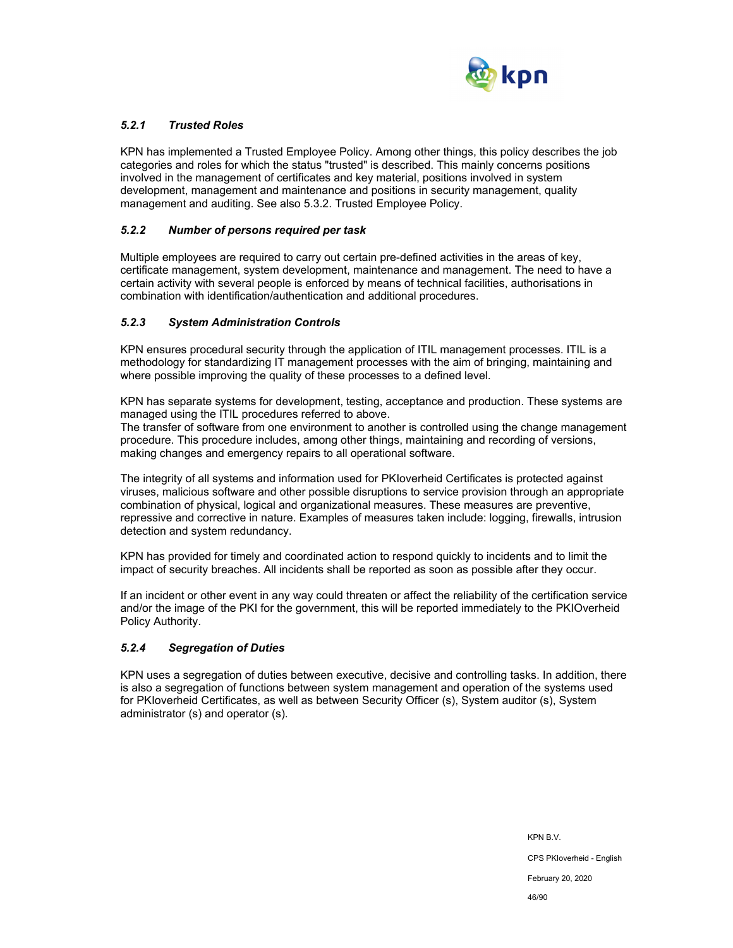

## *5.2.1 Trusted Roles*

KPN has implemented a Trusted Employee Policy. Among other things, this policy describes the job categories and roles for which the status "trusted" is described. This mainly concerns positions involved in the management of certificates and key material, positions involved in system development, management and maintenance and positions in security management, quality management and auditing. See also 5.3.2. Trusted Employee Policy.

### *5.2.2 Number of persons required per task*

Multiple employees are required to carry out certain pre-defined activities in the areas of key, certificate management, system development, maintenance and management. The need to have a certain activity with several people is enforced by means of technical facilities, authorisations in combination with identification/authentication and additional procedures.

#### *5.2.3 System Administration Controls*

KPN ensures procedural security through the application of ITIL management processes. ITIL is a methodology for standardizing IT management processes with the aim of bringing, maintaining and where possible improving the quality of these processes to a defined level.

KPN has separate systems for development, testing, acceptance and production. These systems are managed using the ITIL procedures referred to above.

The transfer of software from one environment to another is controlled using the change management procedure. This procedure includes, among other things, maintaining and recording of versions, making changes and emergency repairs to all operational software.

The integrity of all systems and information used for PKIoverheid Certificates is protected against viruses, malicious software and other possible disruptions to service provision through an appropriate combination of physical, logical and organizational measures. These measures are preventive, repressive and corrective in nature. Examples of measures taken include: logging, firewalls, intrusion detection and system redundancy.

KPN has provided for timely and coordinated action to respond quickly to incidents and to limit the impact of security breaches. All incidents shall be reported as soon as possible after they occur.

If an incident or other event in any way could threaten or affect the reliability of the certification service and/or the image of the PKI for the government, this will be reported immediately to the PKIOverheid Policy Authority.

#### *5.2.4 Segregation of Duties*

KPN uses a segregation of duties between executive, decisive and controlling tasks. In addition, there is also a segregation of functions between system management and operation of the systems used for PKIoverheid Certificates, as well as between Security Officer (s), System auditor (s), System administrator (s) and operator (s).

> KPN B.V. CPS PKIoverheid - English February 20, 2020 46/90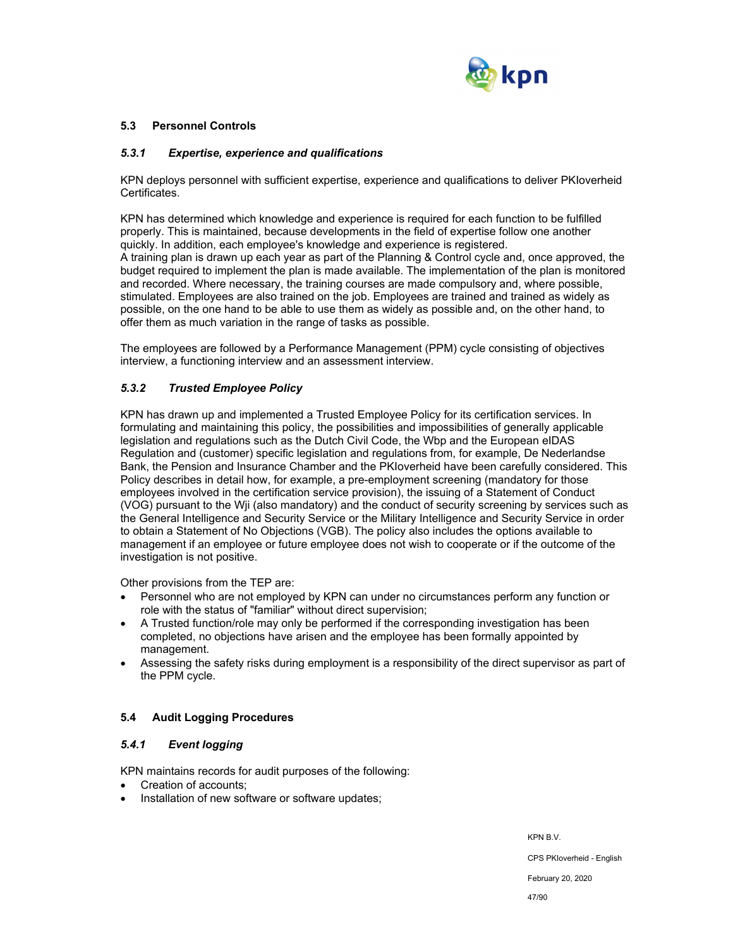

### **5.3 Personnel Controls**

#### *5.3.1 Expertise, experience and qualifications*

KPN deploys personnel with sufficient expertise, experience and qualifications to deliver PKIoverheid Certificates.

KPN has determined which knowledge and experience is required for each function to be fulfilled properly. This is maintained, because developments in the field of expertise follow one another quickly. In addition, each employee's knowledge and experience is registered. A training plan is drawn up each year as part of the Planning & Control cycle and, once approved, the budget required to implement the plan is made available. The implementation of the plan is monitored and recorded. Where necessary, the training courses are made compulsory and, where possible, stimulated. Employees are also trained on the job. Employees are trained and trained as widely as possible, on the one hand to be able to use them as widely as possible and, on the other hand, to offer them as much variation in the range of tasks as possible.

The employees are followed by a Performance Management (PPM) cycle consisting of objectives interview, a functioning interview and an assessment interview.

### *5.3.2 Trusted Employee Policy*

KPN has drawn up and implemented a Trusted Employee Policy for its certification services. In formulating and maintaining this policy, the possibilities and impossibilities of generally applicable legislation and regulations such as the Dutch Civil Code, the Wbp and the European eIDAS Regulation and (customer) specific legislation and regulations from, for example, De Nederlandse Bank, the Pension and Insurance Chamber and the PKIoverheid have been carefully considered. This Policy describes in detail how, for example, a pre-employment screening (mandatory for those employees involved in the certification service provision), the issuing of a Statement of Conduct (VOG) pursuant to the Wji (also mandatory) and the conduct of security screening by services such as the General Intelligence and Security Service or the Military Intelligence and Security Service in order to obtain a Statement of No Objections (VGB). The policy also includes the options available to management if an employee or future employee does not wish to cooperate or if the outcome of the investigation is not positive.

Other provisions from the TEP are:

- Personnel who are not employed by KPN can under no circumstances perform any function or role with the status of "familiar" without direct supervision;
- A Trusted function/role may only be performed if the corresponding investigation has been completed, no objections have arisen and the employee has been formally appointed by management.
- Assessing the safety risks during employment is a responsibility of the direct supervisor as part of the PPM cycle.

### **5.4 Audit Logging Procedures**

### *5.4.1 Event logging*

KPN maintains records for audit purposes of the following:

- Creation of accounts;
- Installation of new software or software updates;

KPN B.V.

CPS PKIoverheid - English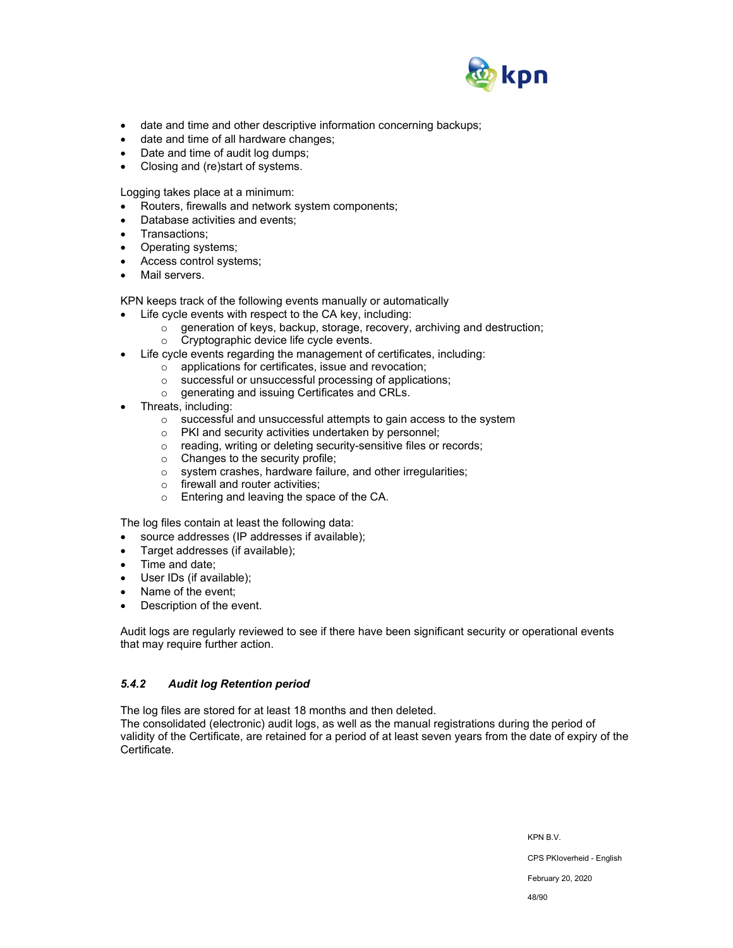

- date and time and other descriptive information concerning backups;
- date and time of all hardware changes;
- Date and time of audit log dumps;
- Closing and (re)start of systems.

Logging takes place at a minimum:

- Routers, firewalls and network system components;
- Database activities and events;
- Transactions;
- Operating systems;
- Access control systems;
- Mail servers.

KPN keeps track of the following events manually or automatically

- Life cycle events with respect to the CA key, including:
	- o generation of keys, backup, storage, recovery, archiving and destruction;
	- o Cryptographic device life cycle events.
- Life cycle events regarding the management of certificates, including:
	- o applications for certificates, issue and revocation;
		- o successful or unsuccessful processing of applications;
	- o generating and issuing Certificates and CRLs.
- Threats, including:
	- o successful and unsuccessful attempts to gain access to the system
	- o PKI and security activities undertaken by personnel;
	- o reading, writing or deleting security-sensitive files or records;
	- $\circ$  Changes to the security profile;
	- o system crashes, hardware failure, and other irregularities;
	- o firewall and router activities;
	- o Entering and leaving the space of the CA.

The log files contain at least the following data:

- source addresses (IP addresses if available);
- Target addresses (if available);
- Time and date;
- User IDs (if available);
- Name of the event;
- Description of the event.

Audit logs are regularly reviewed to see if there have been significant security or operational events that may require further action.

### *5.4.2 Audit log Retention period*

The log files are stored for at least 18 months and then deleted.

The consolidated (electronic) audit logs, as well as the manual registrations during the period of validity of the Certificate, are retained for a period of at least seven years from the date of expiry of the Certificate.

KPN B.V.

CPS PKIoverheid - English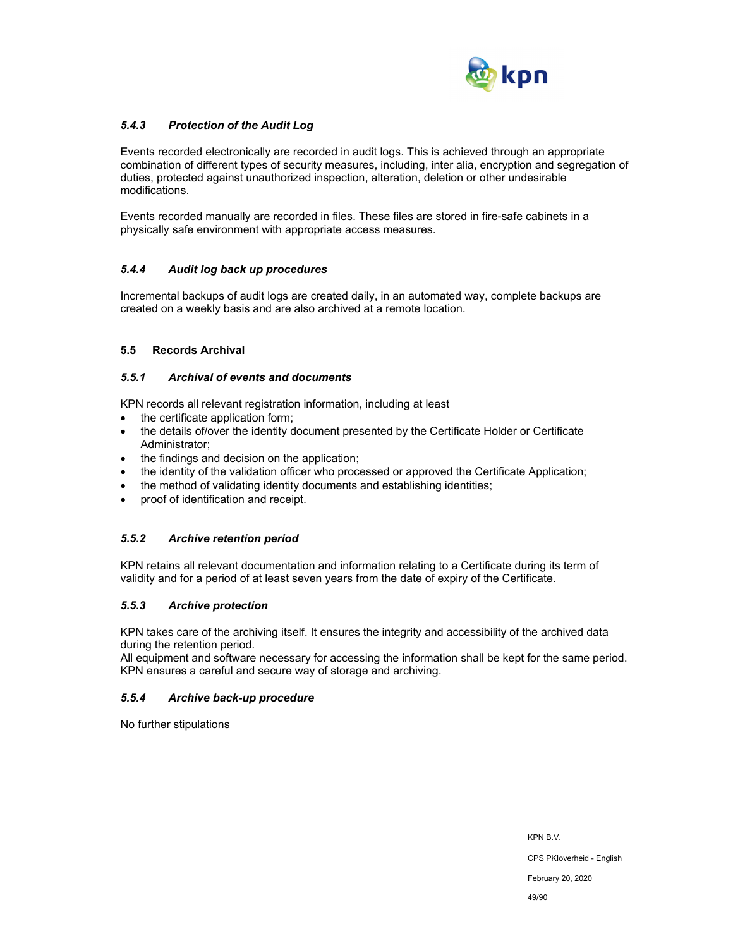

### *5.4.3 Protection of the Audit Log*

Events recorded electronically are recorded in audit logs. This is achieved through an appropriate combination of different types of security measures, including, inter alia, encryption and segregation of duties, protected against unauthorized inspection, alteration, deletion or other undesirable modifications.

Events recorded manually are recorded in files. These files are stored in fire-safe cabinets in a physically safe environment with appropriate access measures.

### *5.4.4 Audit log back up procedures*

Incremental backups of audit logs are created daily, in an automated way, complete backups are created on a weekly basis and are also archived at a remote location.

#### **5.5 Records Archival**

#### *5.5.1 Archival of events and documents*

KPN records all relevant registration information, including at least

- the certificate application form:
- the details of/over the identity document presented by the Certificate Holder or Certificate Administrator;
- the findings and decision on the application;
- the identity of the validation officer who processed or approved the Certificate Application;
- the method of validating identity documents and establishing identities;
- proof of identification and receipt.

### *5.5.2 Archive retention period*

KPN retains all relevant documentation and information relating to a Certificate during its term of validity and for a period of at least seven years from the date of expiry of the Certificate.

### *5.5.3 Archive protection*

KPN takes care of the archiving itself. It ensures the integrity and accessibility of the archived data during the retention period.

All equipment and software necessary for accessing the information shall be kept for the same period. KPN ensures a careful and secure way of storage and archiving.

### *5.5.4 Archive back-up procedure*

No further stipulations

KPN B.V. CPS PKIoverheid - English

February 20, 2020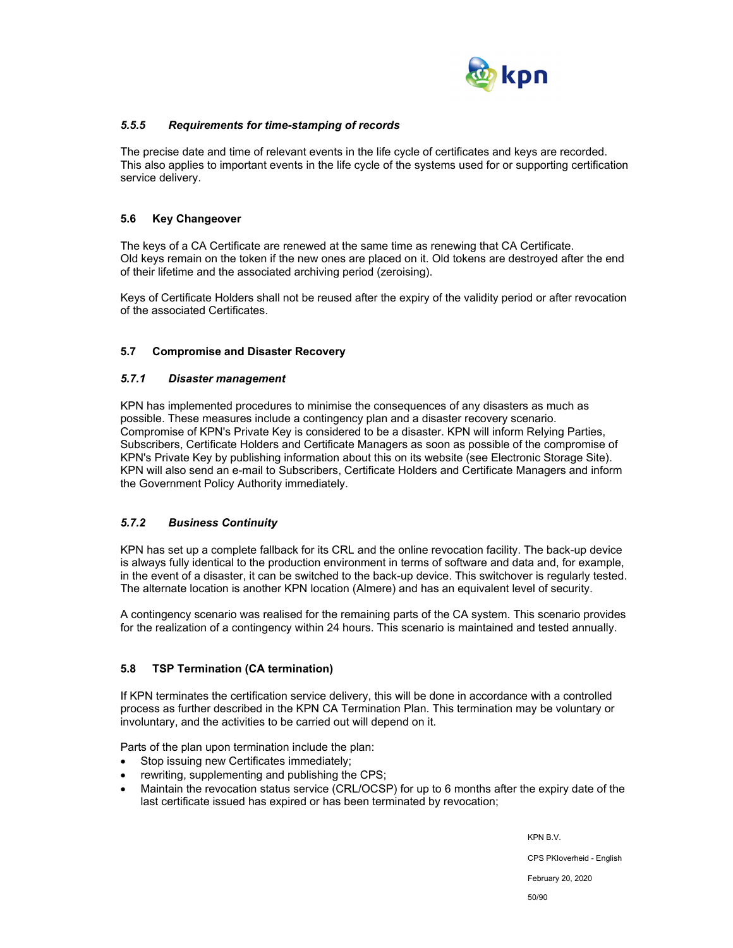

## *5.5.5 Requirements for time-stamping of records*

The precise date and time of relevant events in the life cycle of certificates and keys are recorded. This also applies to important events in the life cycle of the systems used for or supporting certification service delivery.

### **5.6 Key Changeover**

The keys of a CA Certificate are renewed at the same time as renewing that CA Certificate. Old keys remain on the token if the new ones are placed on it. Old tokens are destroyed after the end of their lifetime and the associated archiving period (zeroising).

Keys of Certificate Holders shall not be reused after the expiry of the validity period or after revocation of the associated Certificates.

### **5.7 Compromise and Disaster Recovery**

### *5.7.1 Disaster management*

KPN has implemented procedures to minimise the consequences of any disasters as much as possible. These measures include a contingency plan and a disaster recovery scenario. Compromise of KPN's Private Key is considered to be a disaster. KPN will inform Relying Parties, Subscribers, Certificate Holders and Certificate Managers as soon as possible of the compromise of KPN's Private Key by publishing information about this on its website (see Electronic Storage Site). KPN will also send an e-mail to Subscribers, Certificate Holders and Certificate Managers and inform the Government Policy Authority immediately.

## *5.7.2 Business Continuity*

KPN has set up a complete fallback for its CRL and the online revocation facility. The back-up device is always fully identical to the production environment in terms of software and data and, for example, in the event of a disaster, it can be switched to the back-up device. This switchover is regularly tested. The alternate location is another KPN location (Almere) and has an equivalent level of security.

A contingency scenario was realised for the remaining parts of the CA system. This scenario provides for the realization of a contingency within 24 hours. This scenario is maintained and tested annually.

### **5.8 TSP Termination (CA termination)**

If KPN terminates the certification service delivery, this will be done in accordance with a controlled process as further described in the KPN CA Termination Plan. This termination may be voluntary or involuntary, and the activities to be carried out will depend on it.

Parts of the plan upon termination include the plan:

- Stop issuing new Certificates immediately;
- rewriting, supplementing and publishing the CPS;
- Maintain the revocation status service (CRL/OCSP) for up to 6 months after the expiry date of the last certificate issued has expired or has been terminated by revocation;

KPN B.V.

CPS PKIoverheid - English

February 20, 2020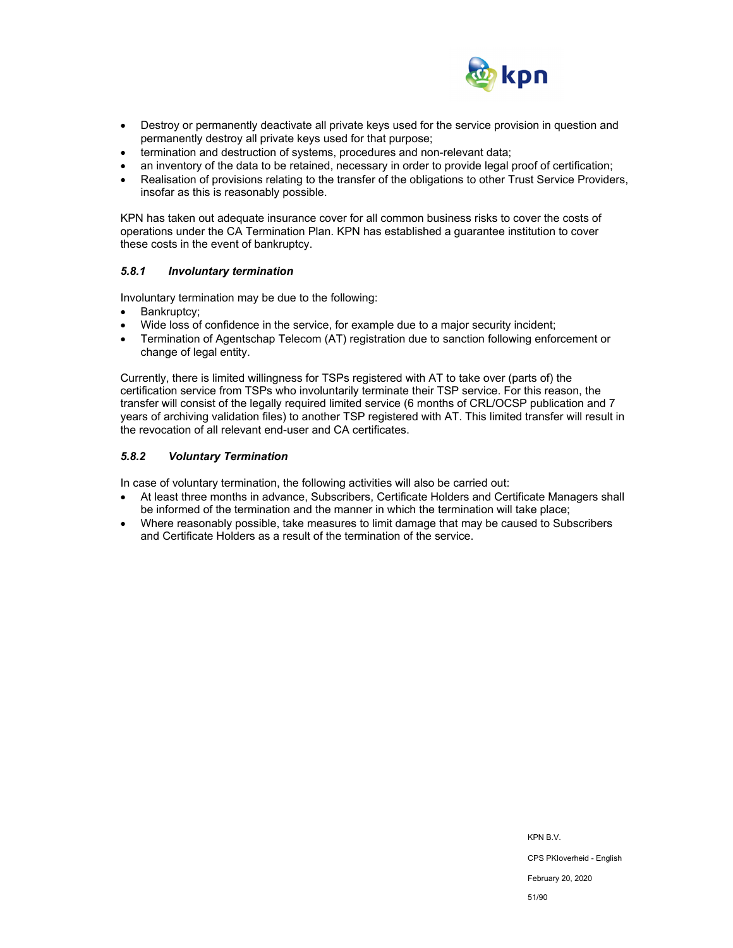

- Destroy or permanently deactivate all private keys used for the service provision in question and permanently destroy all private keys used for that purpose;
- termination and destruction of systems, procedures and non-relevant data;
- an inventory of the data to be retained, necessary in order to provide legal proof of certification;
- Realisation of provisions relating to the transfer of the obligations to other Trust Service Providers, insofar as this is reasonably possible.

KPN has taken out adequate insurance cover for all common business risks to cover the costs of operations under the CA Termination Plan. KPN has established a guarantee institution to cover these costs in the event of bankruptcy.

#### *5.8.1 Involuntary termination*

Involuntary termination may be due to the following:

- Bankruptcy;
- Wide loss of confidence in the service, for example due to a major security incident;
- Termination of Agentschap Telecom (AT) registration due to sanction following enforcement or change of legal entity.

Currently, there is limited willingness for TSPs registered with AT to take over (parts of) the certification service from TSPs who involuntarily terminate their TSP service. For this reason, the transfer will consist of the legally required limited service (6 months of CRL/OCSP publication and 7 years of archiving validation files) to another TSP registered with AT. This limited transfer will result in the revocation of all relevant end-user and CA certificates.

#### *5.8.2 Voluntary Termination*

In case of voluntary termination, the following activities will also be carried out:

- At least three months in advance, Subscribers, Certificate Holders and Certificate Managers shall be informed of the termination and the manner in which the termination will take place;
- Where reasonably possible, take measures to limit damage that may be caused to Subscribers and Certificate Holders as a result of the termination of the service.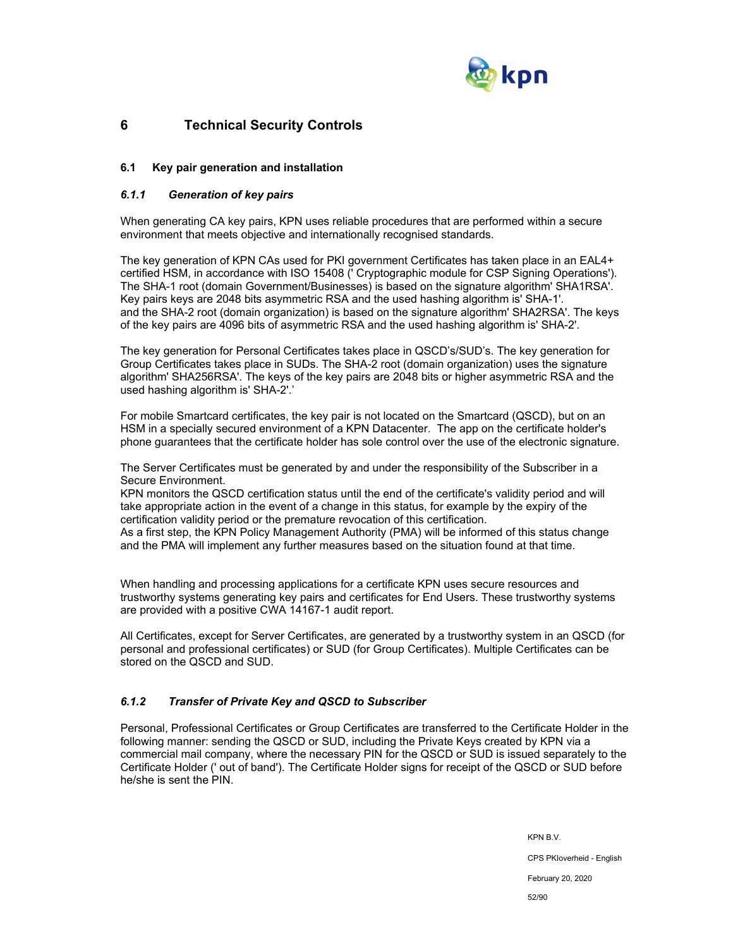

# **6 Technical Security Controls**

### **6.1 Key pair generation and installation**

### *6.1.1 Generation of key pairs*

When generating CA key pairs, KPN uses reliable procedures that are performed within a secure environment that meets objective and internationally recognised standards.

The key generation of KPN CAs used for PKI government Certificates has taken place in an EAL4+ certified HSM, in accordance with ISO 15408 (' Cryptographic module for CSP Signing Operations'). The SHA-1 root (domain Government/Businesses) is based on the signature algorithm' SHA1RSA'. Key pairs keys are 2048 bits asymmetric RSA and the used hashing algorithm is' SHA-1'. and the SHA-2 root (domain organization) is based on the signature algorithm' SHA2RSA'. The keys of the key pairs are 4096 bits of asymmetric RSA and the used hashing algorithm is' SHA-2'.

The key generation for Personal Certificates takes place in QSCD's/SUD's. The key generation for Group Certificates takes place in SUDs. The SHA-2 root (domain organization) uses the signature algorithm' SHA256RSA'. The keys of the key pairs are 2048 bits or higher asymmetric RSA and the used hashing algorithm is' SHA-2'.'

For mobile Smartcard certificates, the key pair is not located on the Smartcard (QSCD), but on an HSM in a specially secured environment of a KPN Datacenter. The app on the certificate holder's phone guarantees that the certificate holder has sole control over the use of the electronic signature.

The Server Certificates must be generated by and under the responsibility of the Subscriber in a Secure Environment.

KPN monitors the QSCD certification status until the end of the certificate's validity period and will take appropriate action in the event of a change in this status, for example by the expiry of the certification validity period or the premature revocation of this certification.

As a first step, the KPN Policy Management Authority (PMA) will be informed of this status change and the PMA will implement any further measures based on the situation found at that time.

When handling and processing applications for a certificate KPN uses secure resources and trustworthy systems generating key pairs and certificates for End Users. These trustworthy systems are provided with a positive CWA 14167-1 audit report.

All Certificates, except for Server Certificates, are generated by a trustworthy system in an QSCD (for personal and professional certificates) or SUD (for Group Certificates). Multiple Certificates can be stored on the QSCD and SUD.

### *6.1.2 Transfer of Private Key and QSCD to Subscriber*

Personal, Professional Certificates or Group Certificates are transferred to the Certificate Holder in the following manner: sending the QSCD or SUD, including the Private Keys created by KPN via a commercial mail company, where the necessary PIN for the QSCD or SUD is issued separately to the Certificate Holder (' out of band'). The Certificate Holder signs for receipt of the QSCD or SUD before he/she is sent the PIN.

> KPN B.V. CPS PKIoverheid - English February 20, 2020 52/90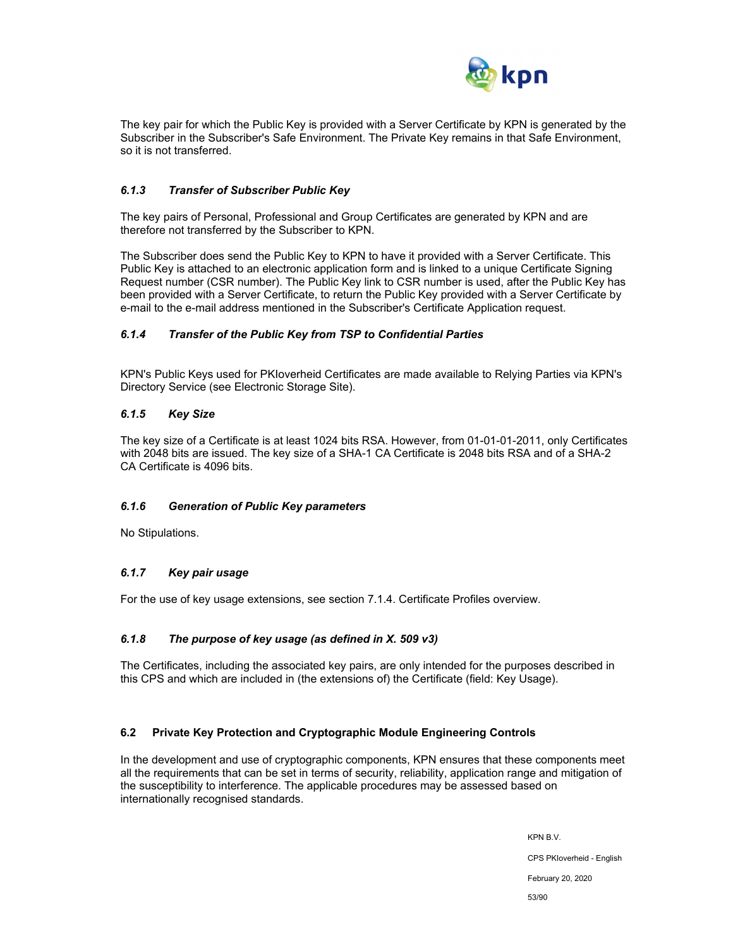

The key pair for which the Public Key is provided with a Server Certificate by KPN is generated by the Subscriber in the Subscriber's Safe Environment. The Private Key remains in that Safe Environment, so it is not transferred.

### *6.1.3 Transfer of Subscriber Public Key*

The key pairs of Personal, Professional and Group Certificates are generated by KPN and are therefore not transferred by the Subscriber to KPN.

The Subscriber does send the Public Key to KPN to have it provided with a Server Certificate. This Public Key is attached to an electronic application form and is linked to a unique Certificate Signing Request number (CSR number). The Public Key link to CSR number is used, after the Public Key has been provided with a Server Certificate, to return the Public Key provided with a Server Certificate by e-mail to the e-mail address mentioned in the Subscriber's Certificate Application request.

### *6.1.4 Transfer of the Public Key from TSP to Confidential Parties*

KPN's Public Keys used for PKIoverheid Certificates are made available to Relying Parties via KPN's Directory Service (see Electronic Storage Site).

#### *6.1.5 Key Size*

The key size of a Certificate is at least 1024 bits RSA. However, from 01-01-01-2011, only Certificates with 2048 bits are issued. The key size of a SHA-1 CA Certificate is 2048 bits RSA and of a SHA-2 CA Certificate is 4096 bits.

#### *6.1.6 Generation of Public Key parameters*

No Stipulations.

### *6.1.7 Key pair usage*

For the use of key usage extensions, see section 7.1.4. Certificate Profiles overview.

#### *6.1.8 The purpose of key usage (as defined in X. 509 v3)*

The Certificates, including the associated key pairs, are only intended for the purposes described in this CPS and which are included in (the extensions of) the Certificate (field: Key Usage).

#### **6.2 Private Key Protection and Cryptographic Module Engineering Controls**

In the development and use of cryptographic components, KPN ensures that these components meet all the requirements that can be set in terms of security, reliability, application range and mitigation of the susceptibility to interference. The applicable procedures may be assessed based on internationally recognised standards.

> KPN B.V. CPS PKIoverheid - English February 20, 2020 53/90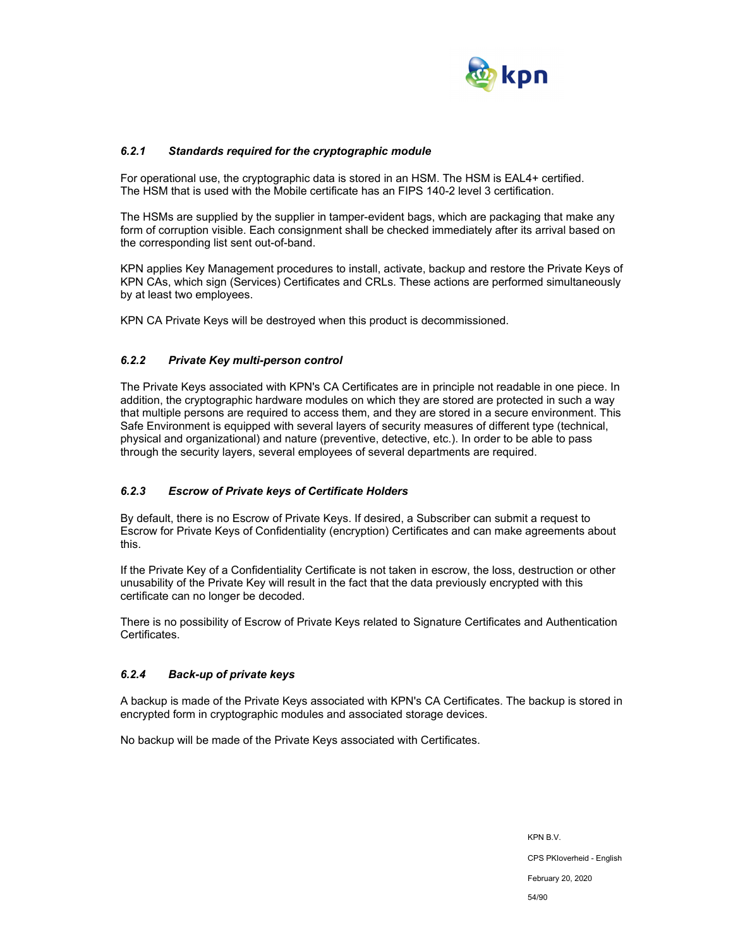

### *6.2.1 Standards required for the cryptographic module*

For operational use, the cryptographic data is stored in an HSM. The HSM is EAL4+ certified. The HSM that is used with the Mobile certificate has an FIPS 140-2 level 3 certification.

The HSMs are supplied by the supplier in tamper-evident bags, which are packaging that make any form of corruption visible. Each consignment shall be checked immediately after its arrival based on the corresponding list sent out-of-band.

KPN applies Key Management procedures to install, activate, backup and restore the Private Keys of KPN CAs, which sign (Services) Certificates and CRLs. These actions are performed simultaneously by at least two employees.

KPN CA Private Keys will be destroyed when this product is decommissioned.

### *6.2.2 Private Key multi-person control*

The Private Keys associated with KPN's CA Certificates are in principle not readable in one piece. In addition, the cryptographic hardware modules on which they are stored are protected in such a way that multiple persons are required to access them, and they are stored in a secure environment. This Safe Environment is equipped with several layers of security measures of different type (technical, physical and organizational) and nature (preventive, detective, etc.). In order to be able to pass through the security layers, several employees of several departments are required.

### *6.2.3 Escrow of Private keys of Certificate Holders*

By default, there is no Escrow of Private Keys. If desired, a Subscriber can submit a request to Escrow for Private Keys of Confidentiality (encryption) Certificates and can make agreements about this.

If the Private Key of a Confidentiality Certificate is not taken in escrow, the loss, destruction or other unusability of the Private Key will result in the fact that the data previously encrypted with this certificate can no longer be decoded.

There is no possibility of Escrow of Private Keys related to Signature Certificates and Authentication Certificates.

### *6.2.4 Back-up of private keys*

A backup is made of the Private Keys associated with KPN's CA Certificates. The backup is stored in encrypted form in cryptographic modules and associated storage devices.

No backup will be made of the Private Keys associated with Certificates.

KPN B.V. CPS PKIoverheid - English February 20, 2020 54/90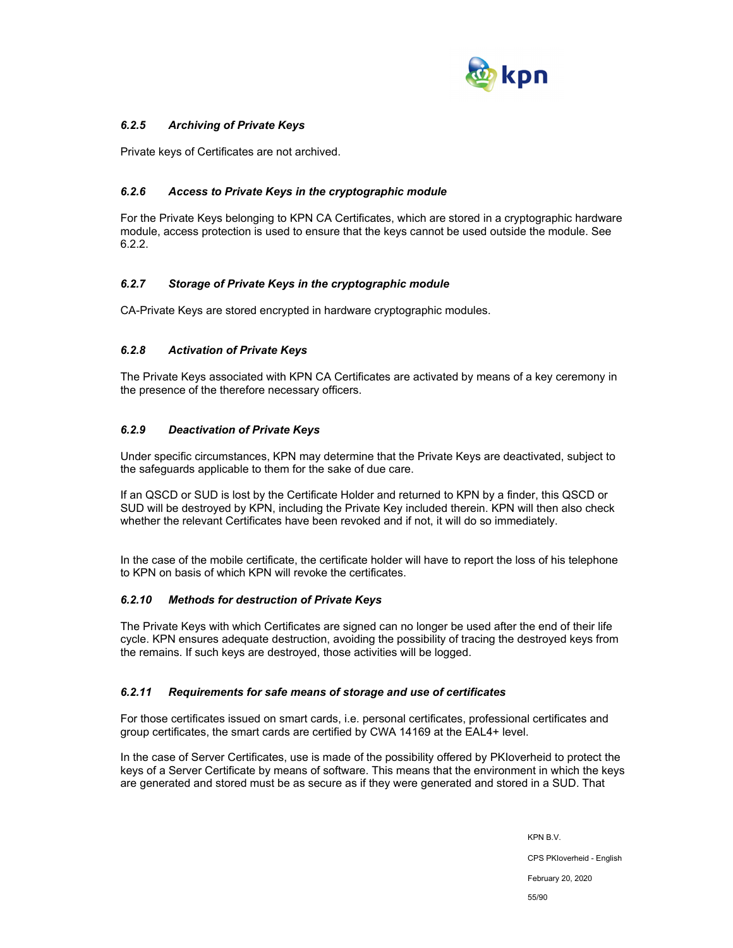

## *6.2.5 Archiving of Private Keys*

Private keys of Certificates are not archived.

### *6.2.6 Access to Private Keys in the cryptographic module*

For the Private Keys belonging to KPN CA Certificates, which are stored in a cryptographic hardware module, access protection is used to ensure that the keys cannot be used outside the module. See 6.2.2.

### *6.2.7 Storage of Private Keys in the cryptographic module*

CA-Private Keys are stored encrypted in hardware cryptographic modules.

### *6.2.8 Activation of Private Keys*

The Private Keys associated with KPN CA Certificates are activated by means of a key ceremony in the presence of the therefore necessary officers.

### *6.2.9 Deactivation of Private Keys*

Under specific circumstances, KPN may determine that the Private Keys are deactivated, subject to the safeguards applicable to them for the sake of due care.

If an QSCD or SUD is lost by the Certificate Holder and returned to KPN by a finder, this QSCD or SUD will be destroyed by KPN, including the Private Key included therein. KPN will then also check whether the relevant Certificates have been revoked and if not, it will do so immediately.

In the case of the mobile certificate, the certificate holder will have to report the loss of his telephone to KPN on basis of which KPN will revoke the certificates.

### *6.2.10 Methods for destruction of Private Keys*

The Private Keys with which Certificates are signed can no longer be used after the end of their life cycle. KPN ensures adequate destruction, avoiding the possibility of tracing the destroyed keys from the remains. If such keys are destroyed, those activities will be logged.

### *6.2.11 Requirements for safe means of storage and use of certificates*

For those certificates issued on smart cards, i.e. personal certificates, professional certificates and group certificates, the smart cards are certified by CWA 14169 at the EAL4+ level.

In the case of Server Certificates, use is made of the possibility offered by PKIoverheid to protect the keys of a Server Certificate by means of software. This means that the environment in which the keys are generated and stored must be as secure as if they were generated and stored in a SUD. That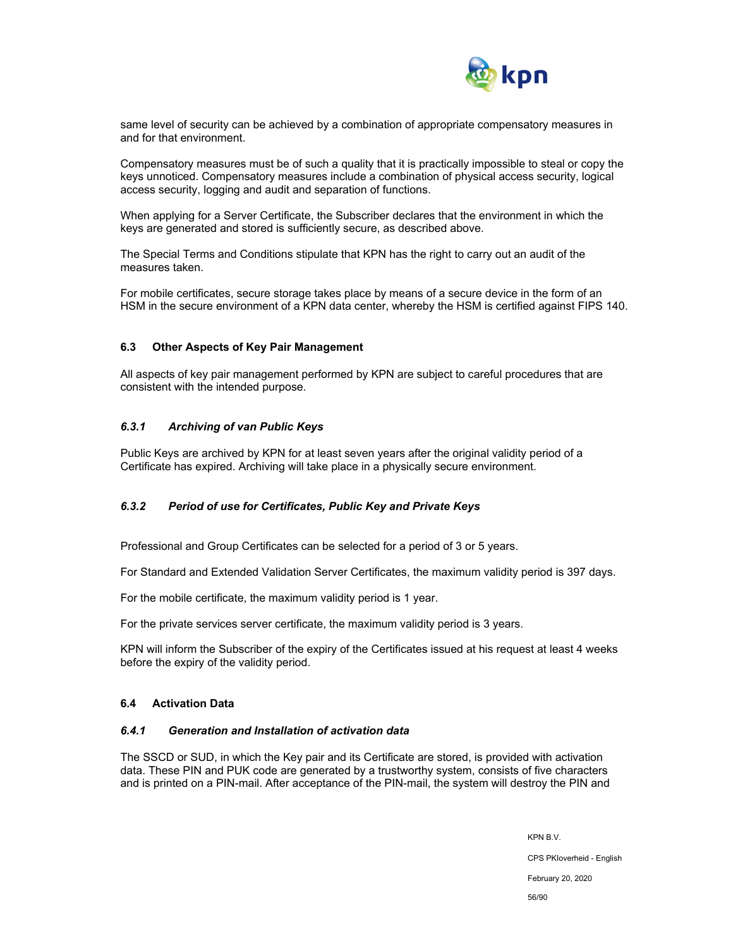

same level of security can be achieved by a combination of appropriate compensatory measures in and for that environment.

Compensatory measures must be of such a quality that it is practically impossible to steal or copy the keys unnoticed. Compensatory measures include a combination of physical access security, logical access security, logging and audit and separation of functions.

When applying for a Server Certificate, the Subscriber declares that the environment in which the keys are generated and stored is sufficiently secure, as described above.

The Special Terms and Conditions stipulate that KPN has the right to carry out an audit of the measures taken.

For mobile certificates, secure storage takes place by means of a secure device in the form of an HSM in the secure environment of a KPN data center, whereby the HSM is certified against FIPS 140.

#### **6.3 Other Aspects of Key Pair Management**

All aspects of key pair management performed by KPN are subject to careful procedures that are consistent with the intended purpose.

#### *6.3.1 Archiving of van Public Keys*

Public Keys are archived by KPN for at least seven years after the original validity period of a Certificate has expired. Archiving will take place in a physically secure environment.

### *6.3.2 Period of use for Certificates, Public Key and Private Keys*

Professional and Group Certificates can be selected for a period of 3 or 5 years.

For Standard and Extended Validation Server Certificates, the maximum validity period is 397 days.

For the mobile certificate, the maximum validity period is 1 year.

For the private services server certificate, the maximum validity period is 3 years.

KPN will inform the Subscriber of the expiry of the Certificates issued at his request at least 4 weeks before the expiry of the validity period.

#### **6.4 Activation Data**

#### *6.4.1 Generation and Installation of activation data*

The SSCD or SUD, in which the Key pair and its Certificate are stored, is provided with activation data. These PIN and PUK code are generated by a trustworthy system, consists of five characters and is printed on a PIN-mail. After acceptance of the PIN-mail, the system will destroy the PIN and

KPN B.V.

CPS PKIoverheid - English

February 20, 2020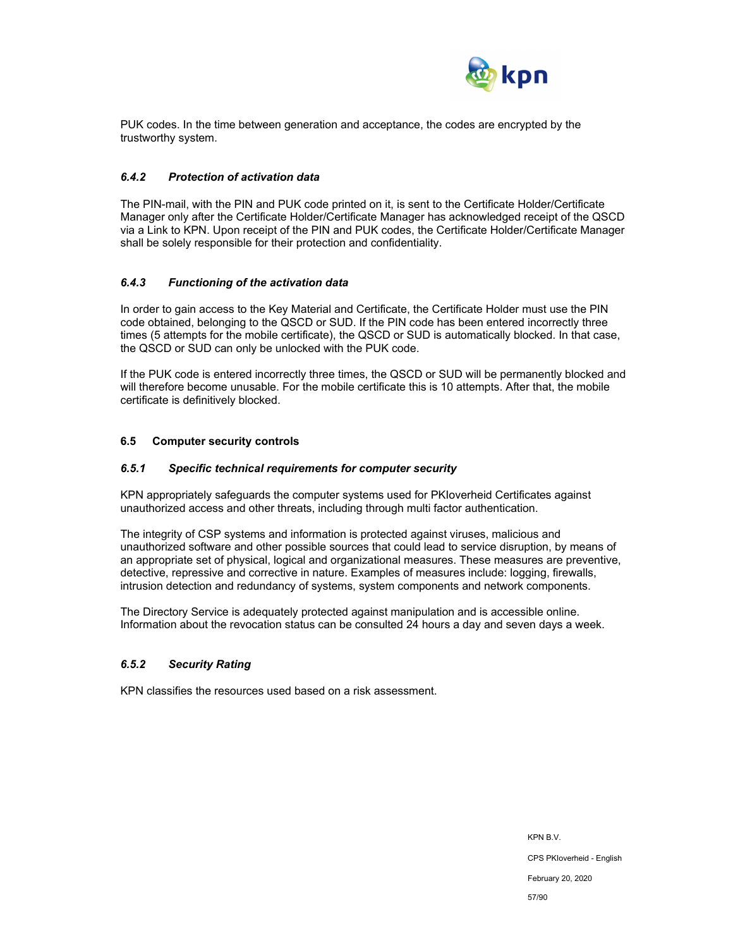

PUK codes. In the time between generation and acceptance, the codes are encrypted by the trustworthy system.

### *6.4.2 Protection of activation data*

The PIN-mail, with the PIN and PUK code printed on it, is sent to the Certificate Holder/Certificate Manager only after the Certificate Holder/Certificate Manager has acknowledged receipt of the QSCD via a Link to KPN. Upon receipt of the PIN and PUK codes, the Certificate Holder/Certificate Manager shall be solely responsible for their protection and confidentiality.

#### *6.4.3 Functioning of the activation data*

In order to gain access to the Key Material and Certificate, the Certificate Holder must use the PIN code obtained, belonging to the QSCD or SUD. If the PIN code has been entered incorrectly three times (5 attempts for the mobile certificate), the QSCD or SUD is automatically blocked. In that case, the QSCD or SUD can only be unlocked with the PUK code.

If the PUK code is entered incorrectly three times, the QSCD or SUD will be permanently blocked and will therefore become unusable. For the mobile certificate this is 10 attempts. After that, the mobile certificate is definitively blocked.

#### **6.5 Computer security controls**

#### *6.5.1 Specific technical requirements for computer security*

KPN appropriately safeguards the computer systems used for PKIoverheid Certificates against unauthorized access and other threats, including through multi factor authentication.

The integrity of CSP systems and information is protected against viruses, malicious and unauthorized software and other possible sources that could lead to service disruption, by means of an appropriate set of physical, logical and organizational measures. These measures are preventive, detective, repressive and corrective in nature. Examples of measures include: logging, firewalls, intrusion detection and redundancy of systems, system components and network components.

The Directory Service is adequately protected against manipulation and is accessible online. Information about the revocation status can be consulted 24 hours a day and seven days a week.

#### *6.5.2 Security Rating*

KPN classifies the resources used based on a risk assessment.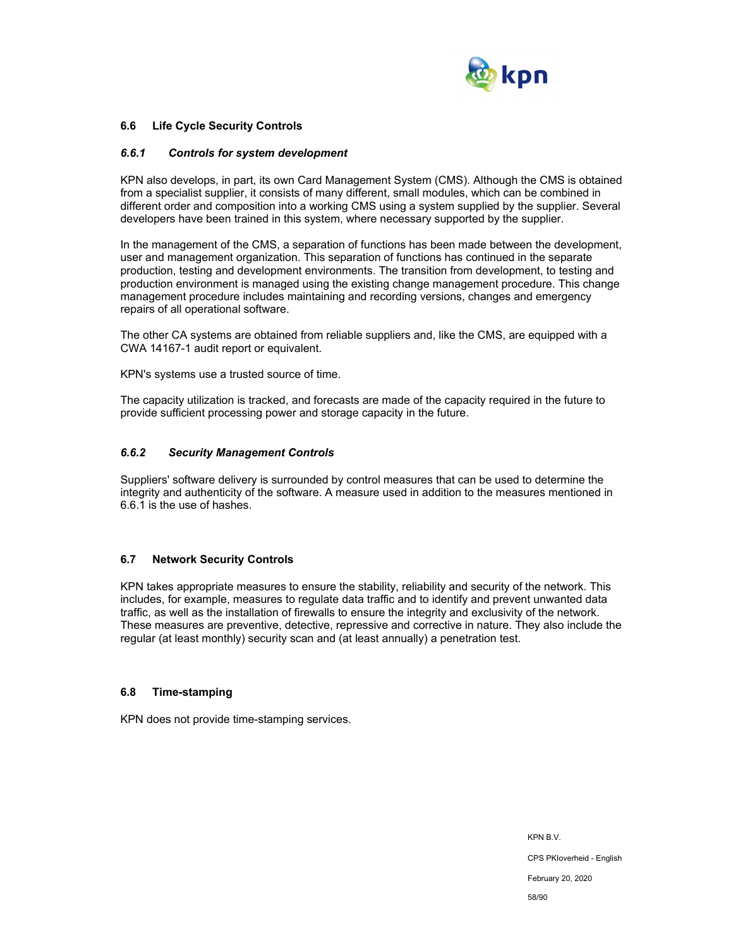

### **6.6 Life Cycle Security Controls**

#### *6.6.1 Controls for system development*

KPN also develops, in part, its own Card Management System (CMS). Although the CMS is obtained from a specialist supplier, it consists of many different, small modules, which can be combined in different order and composition into a working CMS using a system supplied by the supplier. Several developers have been trained in this system, where necessary supported by the supplier.

In the management of the CMS, a separation of functions has been made between the development, user and management organization. This separation of functions has continued in the separate production, testing and development environments. The transition from development, to testing and production environment is managed using the existing change management procedure. This change management procedure includes maintaining and recording versions, changes and emergency repairs of all operational software.

The other CA systems are obtained from reliable suppliers and, like the CMS, are equipped with a CWA 14167-1 audit report or equivalent.

KPN's systems use a trusted source of time.

The capacity utilization is tracked, and forecasts are made of the capacity required in the future to provide sufficient processing power and storage capacity in the future.

#### *6.6.2 Security Management Controls*

Suppliers' software delivery is surrounded by control measures that can be used to determine the integrity and authenticity of the software. A measure used in addition to the measures mentioned in 6.6.1 is the use of hashes.

#### **6.7 Network Security Controls**

KPN takes appropriate measures to ensure the stability, reliability and security of the network. This includes, for example, measures to regulate data traffic and to identify and prevent unwanted data traffic, as well as the installation of firewalls to ensure the integrity and exclusivity of the network. These measures are preventive, detective, repressive and corrective in nature. They also include the regular (at least monthly) security scan and (at least annually) a penetration test.

#### **6.8 Time-stamping**

KPN does not provide time-stamping services.

KPN B.V. CPS PKIoverheid - English February 20, 2020 58/90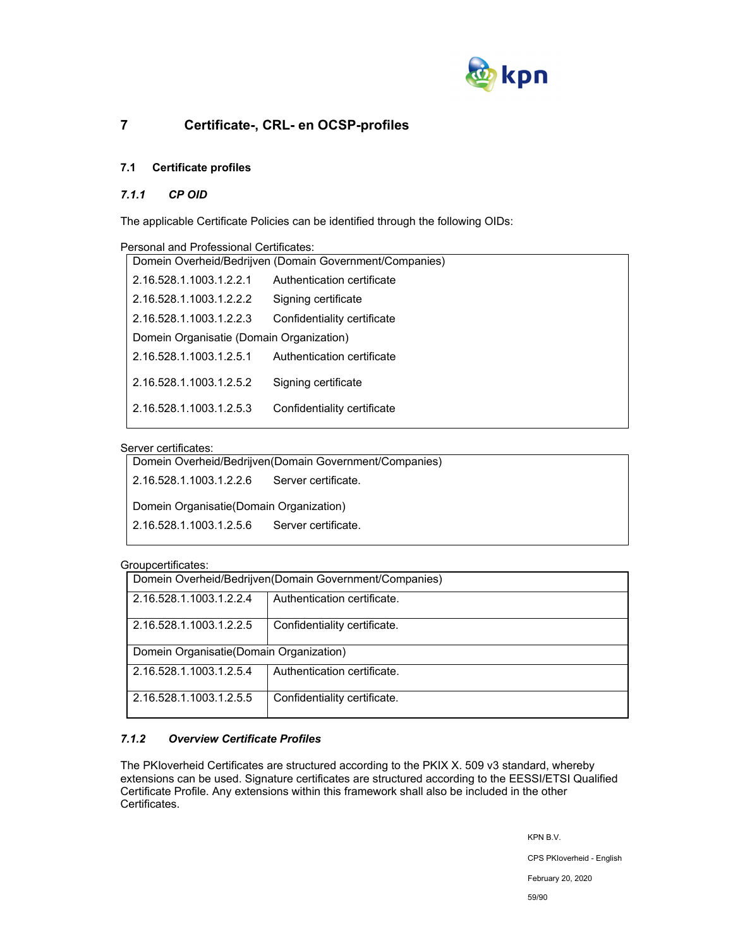

# **7 Certificate-, CRL- en OCSP-profiles**

## **7.1 Certificate profiles**

### *7.1.1 CP OID*

The applicable Certificate Policies can be identified through the following OIDs:

| Personal and Professional Certificates:<br>Domein Overheid/Bedrijven (Domain Government/Companies) |                             |  |  |  |
|----------------------------------------------------------------------------------------------------|-----------------------------|--|--|--|
|                                                                                                    |                             |  |  |  |
| 2.16.528.1.1003.1.2.2.1                                                                            | Authentication certificate  |  |  |  |
| 2.16.528.1.1003.1.2.2.2                                                                            | Signing certificate         |  |  |  |
| 2.16.528.1.1003.1.2.2.3                                                                            | Confidentiality certificate |  |  |  |
| Domein Organisatie (Domain Organization)                                                           |                             |  |  |  |
| 2.16.528.1.1003.1.2.5.1                                                                            | Authentication certificate  |  |  |  |
| 2.16.528.1.1003.1.2.5.2                                                                            | Signing certificate         |  |  |  |
|                                                                                                    |                             |  |  |  |
| 2.16.528.1.1003.1.2.5.3                                                                            | Confidentiality certificate |  |  |  |

### Server certificates:

| Domein Overheid/Bedrijven(Domain Government/Companies) |                     |  |
|--------------------------------------------------------|---------------------|--|
| 2.16.528.1.1003.1.2.2.6                                | Server certificate  |  |
| Domein Organisatie (Domain Organization)               |                     |  |
| 2.16.528.1.1003.1.2.5.6                                | Server certificate. |  |
|                                                        |                     |  |

### Groupcertificates:

|                                                        | -----------------                                       |                              |  |  |
|--------------------------------------------------------|---------------------------------------------------------|------------------------------|--|--|
|                                                        | Domein Overheid/Bedrijven(Domain Government/Companies)  |                              |  |  |
| Authentication certificate.<br>2.16.528.1.1003.1.2.2.4 |                                                         |                              |  |  |
|                                                        | Confidentiality certificate.<br>2.16.528.1.1003.1.2.2.5 |                              |  |  |
|                                                        | Domein Organisatie (Domain Organization)                |                              |  |  |
| Authentication certificate.<br>2.16.528.1.1003.1.2.5.4 |                                                         |                              |  |  |
|                                                        | 2.16.528.1.1003.1.2.5.5                                 | Confidentiality certificate. |  |  |

## *7.1.2 Overview Certificate Profiles*

The PKIoverheid Certificates are structured according to the PKIX X. 509 v3 standard, whereby extensions can be used. Signature certificates are structured according to the EESSI/ETSI Qualified Certificate Profile. Any extensions within this framework shall also be included in the other Certificates.

KPN B.V.

CPS PKIoverheid - English

February 20, 2020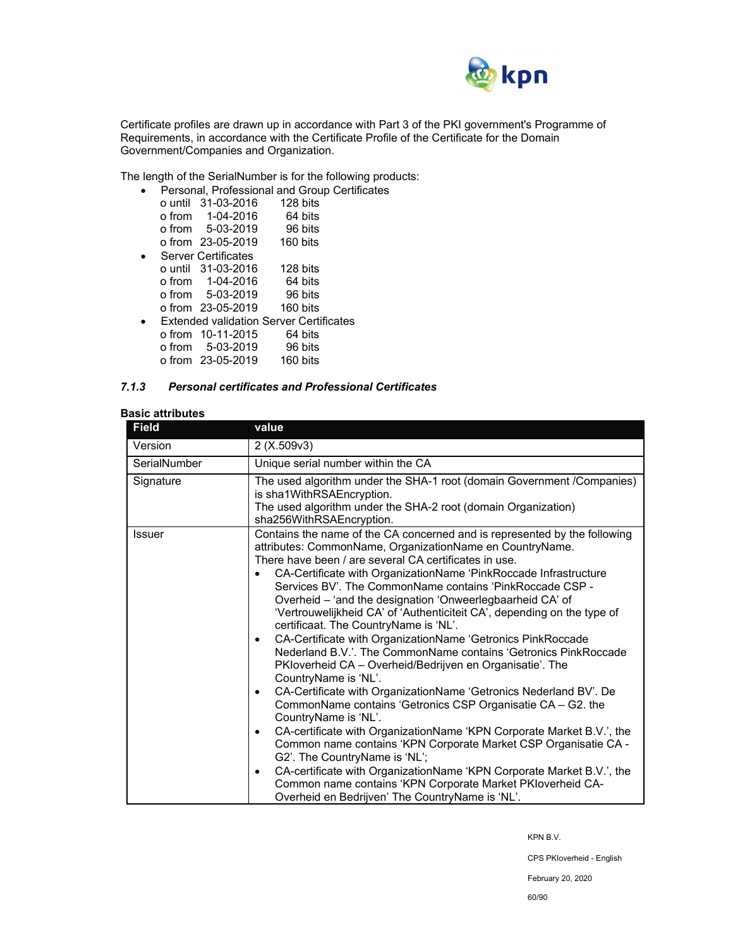

Certificate profiles are drawn up in accordance with Part 3 of the PKI government's Programme of Requirements, in accordance with the Certificate Profile of the Certificate for the Domain Government/Companies and Organization.

The length of the SerialNumber is for the following products:

|  | Personal, Professional and Group Certificates  |          |  |
|--|------------------------------------------------|----------|--|
|  | o until 31-03-2016                             | 128 bits |  |
|  | $o from 1-04-2016$                             | 64 bits  |  |
|  | o from 5-03-2019                               | 96 bits  |  |
|  | o from 23-05-2019                              | 160 bits |  |
|  | <b>Server Certificates</b>                     |          |  |
|  | o until 31-03-2016                             | 128 bits |  |
|  | o from 1-04-2016                               | 64 bits  |  |
|  | o from 5-03-2019                               | 96 bits  |  |
|  | o from 23-05-2019                              | 160 bits |  |
|  | <b>Extended validation Server Certificates</b> |          |  |
|  | o from 10-11-2015                              | 64 bits  |  |
|  | o from 5-03-2019                               | 96 bits  |  |
|  | o from 23-05-2019                              | 160 bits |  |

#### *7.1.3 Personal certificates and Professional Certificates*

### **Basic attributes**

| <b>Field</b>  | value                                                                                                                                                                                                                                                                                                                                                                                                                                                                                                                                                                                                                                                                                                                                                                                                                                                                                                                                                                                                                                                                                                                                                                                                                                                                                                        |  |  |
|---------------|--------------------------------------------------------------------------------------------------------------------------------------------------------------------------------------------------------------------------------------------------------------------------------------------------------------------------------------------------------------------------------------------------------------------------------------------------------------------------------------------------------------------------------------------------------------------------------------------------------------------------------------------------------------------------------------------------------------------------------------------------------------------------------------------------------------------------------------------------------------------------------------------------------------------------------------------------------------------------------------------------------------------------------------------------------------------------------------------------------------------------------------------------------------------------------------------------------------------------------------------------------------------------------------------------------------|--|--|
| Version       | 2(X.509v3)                                                                                                                                                                                                                                                                                                                                                                                                                                                                                                                                                                                                                                                                                                                                                                                                                                                                                                                                                                                                                                                                                                                                                                                                                                                                                                   |  |  |
| SerialNumber  | Unique serial number within the CA                                                                                                                                                                                                                                                                                                                                                                                                                                                                                                                                                                                                                                                                                                                                                                                                                                                                                                                                                                                                                                                                                                                                                                                                                                                                           |  |  |
| Signature     | The used algorithm under the SHA-1 root (domain Government / Companies)<br>is sha1WithRSAEncryption.<br>The used algorithm under the SHA-2 root (domain Organization)<br>sha256WithRSAEncryption.                                                                                                                                                                                                                                                                                                                                                                                                                                                                                                                                                                                                                                                                                                                                                                                                                                                                                                                                                                                                                                                                                                            |  |  |
| <b>Issuer</b> | Contains the name of the CA concerned and is represented by the following<br>attributes: CommonName, OrganizationName en CountryName.<br>There have been / are several CA certificates in use.<br>CA-Certificate with OrganizationName 'PinkRoccade Infrastructure<br>Services BV'. The CommonName contains 'PinkRoccade CSP -<br>Overheid - 'and the designation 'Onweerlegbaarheid CA' of<br>'Vertrouwelijkheid CA' of 'Authenticiteit CA', depending on the type of<br>certificaat. The CountryName is 'NL'.<br>CA-Certificate with OrganizationName 'Getronics PinkRoccade<br>$\bullet$<br>Nederland B.V.'. The CommonName contains 'Getronics PinkRoccade<br>PKloverheid CA - Overheid/Bedrijven en Organisatie'. The<br>CountryName is 'NL'.<br>CA-Certificate with OrganizationName 'Getronics Nederland BV'. De<br>٠<br>CommonName contains 'Getronics CSP Organisatie CA - G2. the<br>CountryName is 'NL'.<br>CA-certificate with OrganizationName 'KPN Corporate Market B.V.', the<br>٠<br>Common name contains 'KPN Corporate Market CSP Organisatie CA -<br>G2'. The CountryName is 'NL';<br>CA-certificate with OrganizationName 'KPN Corporate Market B.V.', the<br>$\bullet$<br>Common name contains 'KPN Corporate Market PKIoverheid CA-<br>Overheid en Bedrijven' The CountryName is 'NL'. |  |  |

KPN B.V.

CPS PKIoverheid - English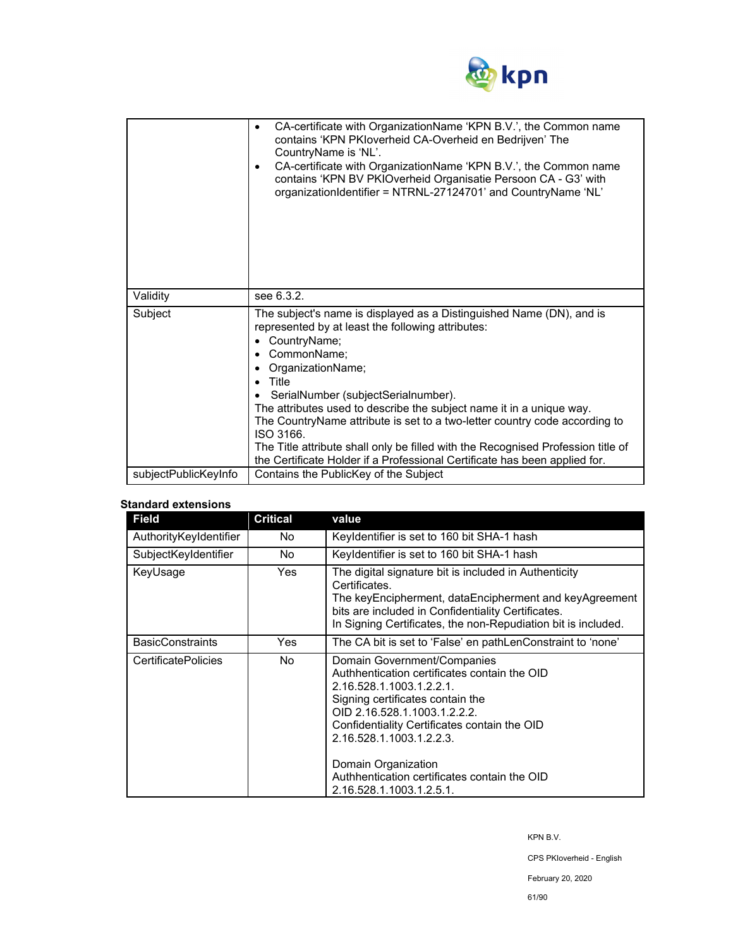

|                      | CA-certificate with OrganizationName 'KPN B.V.', the Common name<br>contains 'KPN PKIoverheid CA-Overheid en Bedrijven' The<br>CountryName is 'NL'.<br>CA-certificate with OrganizationName 'KPN B.V.', the Common name<br>contains 'KPN BV PKIOverheid Organisatie Persoon CA - G3' with<br>organizationIdentifier = NTRNL-27124701' and CountryName 'NL'                                                                                                                                                                                                         |  |
|----------------------|--------------------------------------------------------------------------------------------------------------------------------------------------------------------------------------------------------------------------------------------------------------------------------------------------------------------------------------------------------------------------------------------------------------------------------------------------------------------------------------------------------------------------------------------------------------------|--|
| Validity             | see 6.3.2.                                                                                                                                                                                                                                                                                                                                                                                                                                                                                                                                                         |  |
| Subject              | The subject's name is displayed as a Distinguished Name (DN), and is<br>represented by at least the following attributes:<br>CountryName;<br>CommonName;<br>OrganizationName;<br>Title<br>SerialNumber (subjectSerialnumber).<br>The attributes used to describe the subject name it in a unique way.<br>The CountryName attribute is set to a two-letter country code according to<br>ISO 3166.<br>The Title attribute shall only be filled with the Recognised Profession title of<br>the Certificate Holder if a Professional Certificate has been applied for. |  |
| subjectPublicKeyInfo | Contains the PublicKey of the Subject                                                                                                                                                                                                                                                                                                                                                                                                                                                                                                                              |  |

### **Standard extensions**

| <b>Field</b>               | <b>Critical</b> | value                                                                                                                                                                                                                                                                                                                                                      |
|----------------------------|-----------------|------------------------------------------------------------------------------------------------------------------------------------------------------------------------------------------------------------------------------------------------------------------------------------------------------------------------------------------------------------|
| AuthorityKeyIdentifier     | No.             | Keyldentifier is set to 160 bit SHA-1 hash                                                                                                                                                                                                                                                                                                                 |
| SubjectKeyIdentifier       | No.             | Keyldentifier is set to 160 bit SHA-1 hash                                                                                                                                                                                                                                                                                                                 |
| KeyUsage                   | Yes             | The digital signature bit is included in Authenticity<br>Certificates.<br>The keyEncipherment, dataEncipherment and keyAgreement<br>bits are included in Confidentiality Certificates.<br>In Signing Certificates, the non-Repudiation bit is included.                                                                                                    |
| <b>BasicConstraints</b>    | Yes             | The CA bit is set to 'False' en pathLenConstraint to 'none'                                                                                                                                                                                                                                                                                                |
| <b>CertificatePolicies</b> | No.             | Domain Government/Companies<br>Authhentication certificates contain the OID<br>2.16.528.1.1003.1.2.2.1.<br>Signing certificates contain the<br>OID 2.16.528.1.1003.1.2.2.2.<br>Confidentiality Certificates contain the OID<br>2.16.528.1.1003.1.2.2.3.<br>Domain Organization<br>Authhentication certificates contain the OID<br>2.16.528.1.1003.1.2.5.1. |

KPN B.V.

CPS PKIoverheid - English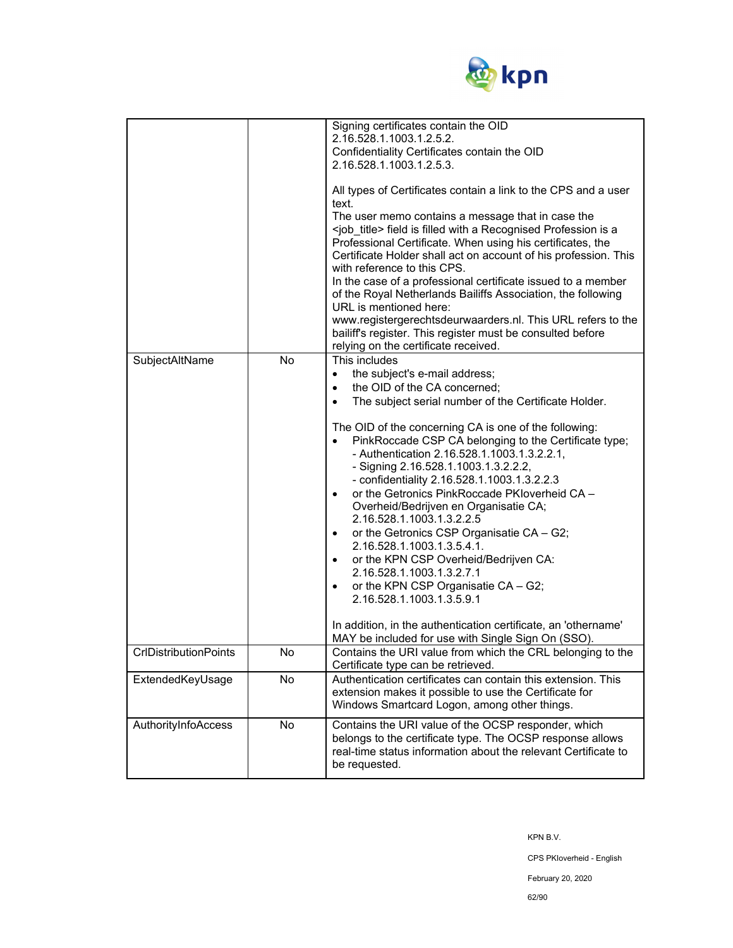

| SubjectAltName               | <b>No</b> | Signing certificates contain the OID<br>2.16.528.1.1003.1.2.5.2.<br>Confidentiality Certificates contain the OID<br>2.16.528.1.1003.1.2.5.3.<br>All types of Certificates contain a link to the CPS and a user<br>text.<br>The user memo contains a message that in case the<br><job_title> field is filled with a Recognised Profession is a<br/>Professional Certificate. When using his certificates, the<br/>Certificate Holder shall act on account of his profession. This<br/>with reference to this CPS.<br/>In the case of a professional certificate issued to a member<br/>of the Royal Netherlands Bailiffs Association, the following<br/>URL is mentioned here:<br/>www.registergerechtsdeurwaarders.nl. This URL refers to the<br/>bailiff's register. This register must be consulted before<br/>relying on the certificate received.<br/>This includes<br/>the subject's e-mail address;<br/><math>\bullet</math><br/>the OID of the CA concerned;<br/><math display="inline">\bullet</math><br/>The subject serial number of the Certificate Holder.<br/><math display="inline">\bullet</math><br/>The OID of the concerning CA is one of the following:<br/>PinkRoccade CSP CA belonging to the Certificate type;<br/>- Authentication 2.16.528.1.1003.1.3.2.2.1,<br/>- Signing 2.16.528.1.1003.1.3.2.2.2,<br/>- confidentiality 2.16.528.1.1003.1.3.2.2.3<br/>or the Getronics PinkRoccade PKIoverheid CA -<br/><math display="inline">\bullet</math><br/>Overheid/Bedrijven en Organisatie CA;<br/>2.16.528.1.1003.1.3.2.2.5<br/>or the Getronics CSP Organisatie CA - G2;<br/><math display="inline">\bullet</math><br/>2.16.528.1.1003.1.3.5.4.1.<br/>or the KPN CSP Overheid/Bedrijven CA:<br/><math display="inline">\bullet</math><br/>2.16.528.1.1003.1.3.2.7.1<br/>or the KPN CSP Organisatie CA - G2;<br/><math display="inline">\bullet</math><br/>2.16.528.1.1003.1.3.5.9.1<br/>In addition, in the authentication certificate, an 'othername'<br/>MAY be included for use with Single Sign On (SSO).</job_title> |
|------------------------------|-----------|--------------------------------------------------------------------------------------------------------------------------------------------------------------------------------------------------------------------------------------------------------------------------------------------------------------------------------------------------------------------------------------------------------------------------------------------------------------------------------------------------------------------------------------------------------------------------------------------------------------------------------------------------------------------------------------------------------------------------------------------------------------------------------------------------------------------------------------------------------------------------------------------------------------------------------------------------------------------------------------------------------------------------------------------------------------------------------------------------------------------------------------------------------------------------------------------------------------------------------------------------------------------------------------------------------------------------------------------------------------------------------------------------------------------------------------------------------------------------------------------------------------------------------------------------------------------------------------------------------------------------------------------------------------------------------------------------------------------------------------------------------------------------------------------------------------------------------------------------------------------------------------------------------------------------------------------------------------------------------------------------------------------------------------------------|
| <b>CrIDistributionPoints</b> | No        | Contains the URI value from which the CRL belonging to the<br>Certificate type can be retrieved.                                                                                                                                                                                                                                                                                                                                                                                                                                                                                                                                                                                                                                                                                                                                                                                                                                                                                                                                                                                                                                                                                                                                                                                                                                                                                                                                                                                                                                                                                                                                                                                                                                                                                                                                                                                                                                                                                                                                                 |
| ExtendedKeyUsage             | No        | Authentication certificates can contain this extension. This<br>extension makes it possible to use the Certificate for<br>Windows Smartcard Logon, among other things.                                                                                                                                                                                                                                                                                                                                                                                                                                                                                                                                                                                                                                                                                                                                                                                                                                                                                                                                                                                                                                                                                                                                                                                                                                                                                                                                                                                                                                                                                                                                                                                                                                                                                                                                                                                                                                                                           |
| AuthorityInfoAccess          | No        | Contains the URI value of the OCSP responder, which<br>belongs to the certificate type. The OCSP response allows<br>real-time status information about the relevant Certificate to<br>be requested.                                                                                                                                                                                                                                                                                                                                                                                                                                                                                                                                                                                                                                                                                                                                                                                                                                                                                                                                                                                                                                                                                                                                                                                                                                                                                                                                                                                                                                                                                                                                                                                                                                                                                                                                                                                                                                              |

KPN B.V.

CPS PKIoverheid - English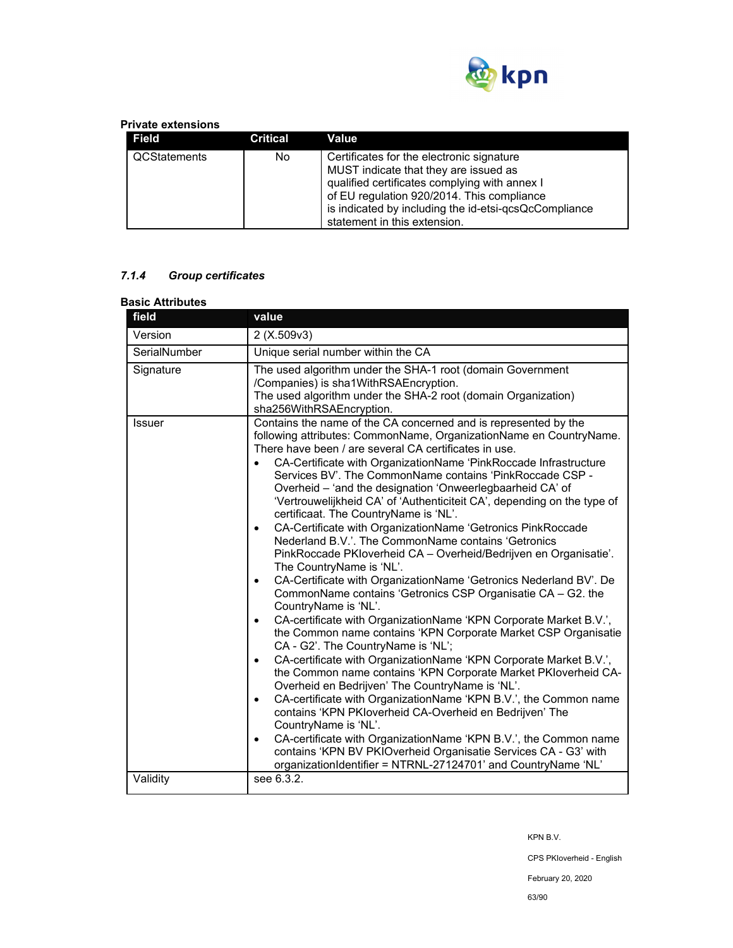

### **Private extensions**

| Field        | <b>Critical</b> | Value                                                                                                                                                                                                                                                                      |
|--------------|-----------------|----------------------------------------------------------------------------------------------------------------------------------------------------------------------------------------------------------------------------------------------------------------------------|
| QCStatements | No.             | Certificates for the electronic signature<br>MUST indicate that they are issued as<br>qualified certificates complying with annex I<br>of EU regulation 920/2014. This compliance<br>is indicated by including the id-etsi-qcsQcCompliance<br>statement in this extension. |

# *7.1.4 Group certificates*

| <b>Basic Attributes</b> |                                                                                                                                                                                                                                                                                                                                                                                                                                                                                                                                                                                                                                                                                                                                                                                                                                                                                                                                                                                                                                                                                                                                                                                                                                                                                                                                                                                                                                                                                                                                                                                                                                                                                                                                    |  |
|-------------------------|------------------------------------------------------------------------------------------------------------------------------------------------------------------------------------------------------------------------------------------------------------------------------------------------------------------------------------------------------------------------------------------------------------------------------------------------------------------------------------------------------------------------------------------------------------------------------------------------------------------------------------------------------------------------------------------------------------------------------------------------------------------------------------------------------------------------------------------------------------------------------------------------------------------------------------------------------------------------------------------------------------------------------------------------------------------------------------------------------------------------------------------------------------------------------------------------------------------------------------------------------------------------------------------------------------------------------------------------------------------------------------------------------------------------------------------------------------------------------------------------------------------------------------------------------------------------------------------------------------------------------------------------------------------------------------------------------------------------------------|--|
| field                   | value                                                                                                                                                                                                                                                                                                                                                                                                                                                                                                                                                                                                                                                                                                                                                                                                                                                                                                                                                                                                                                                                                                                                                                                                                                                                                                                                                                                                                                                                                                                                                                                                                                                                                                                              |  |
| Version                 | 2(X.509v3)                                                                                                                                                                                                                                                                                                                                                                                                                                                                                                                                                                                                                                                                                                                                                                                                                                                                                                                                                                                                                                                                                                                                                                                                                                                                                                                                                                                                                                                                                                                                                                                                                                                                                                                         |  |
| SerialNumber            | Unique serial number within the CA                                                                                                                                                                                                                                                                                                                                                                                                                                                                                                                                                                                                                                                                                                                                                                                                                                                                                                                                                                                                                                                                                                                                                                                                                                                                                                                                                                                                                                                                                                                                                                                                                                                                                                 |  |
| Signature               | The used algorithm under the SHA-1 root (domain Government<br>/Companies) is sha1WithRSAEncryption.<br>The used algorithm under the SHA-2 root (domain Organization)<br>sha256WithRSAEncryption.                                                                                                                                                                                                                                                                                                                                                                                                                                                                                                                                                                                                                                                                                                                                                                                                                                                                                                                                                                                                                                                                                                                                                                                                                                                                                                                                                                                                                                                                                                                                   |  |
| <b>Issuer</b>           | Contains the name of the CA concerned and is represented by the<br>following attributes: CommonName, OrganizationName en CountryName.<br>There have been / are several CA certificates in use.<br>CA-Certificate with OrganizationName 'PinkRoccade Infrastructure<br>$\bullet$<br>Services BV'. The CommonName contains 'PinkRoccade CSP -<br>Overheid - 'and the designation 'Onweerlegbaarheid CA' of<br>'Vertrouwelijkheid CA' of 'Authenticiteit CA', depending on the type of<br>certificaat. The CountryName is 'NL'.<br>CA-Certificate with OrganizationName 'Getronics PinkRoccade<br>$\bullet$<br>Nederland B.V.'. The CommonName contains 'Getronics<br>PinkRoccade PKIoverheid CA - Overheid/Bedrijven en Organisatie'.<br>The CountryName is 'NL'.<br>CA-Certificate with OrganizationName 'Getronics Nederland BV'. De<br>$\bullet$<br>CommonName contains 'Getronics CSP Organisatie CA - G2. the<br>CountryName is 'NL'.<br>CA-certificate with OrganizationName 'KPN Corporate Market B.V.',<br>$\bullet$<br>the Common name contains 'KPN Corporate Market CSP Organisatie<br>CA - G2'. The CountryName is 'NL';<br>CA-certificate with OrganizationName 'KPN Corporate Market B.V.',<br>$\bullet$<br>the Common name contains 'KPN Corporate Market PKIoverheid CA-<br>Overheid en Bedrijven' The CountryName is 'NL'.<br>CA-certificate with OrganizationName 'KPN B.V.', the Common name<br>$\bullet$<br>contains 'KPN PKIoverheid CA-Overheid en Bedrijven' The<br>CountryName is 'NL'.<br>CA-certificate with OrganizationName 'KPN B.V.', the Common name<br>$\bullet$<br>contains 'KPN BV PKIOverheid Organisatie Services CA - G3' with<br>organizationIdentifier = NTRNL-27124701' and CountryName 'NL' |  |
| Validity                | see 6.3.2.                                                                                                                                                                                                                                                                                                                                                                                                                                                                                                                                                                                                                                                                                                                                                                                                                                                                                                                                                                                                                                                                                                                                                                                                                                                                                                                                                                                                                                                                                                                                                                                                                                                                                                                         |  |

KPN B.V.

CPS PKIoverheid - English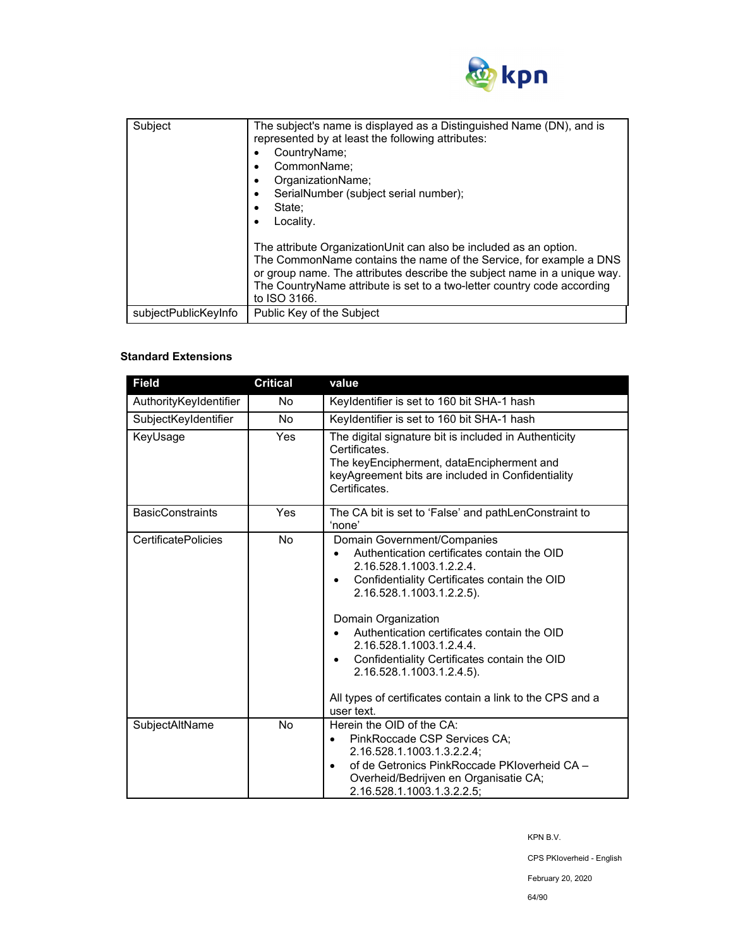

| Subject              | The subject's name is displayed as a Distinguished Name (DN), and is<br>represented by at least the following attributes:<br>CountryName;<br>CommonName;<br>٠<br>OrganizationName;<br>٠<br>SerialNumber (subject serial number);<br>$\bullet$<br>State:<br>Locality.<br>٠                                      |
|----------------------|----------------------------------------------------------------------------------------------------------------------------------------------------------------------------------------------------------------------------------------------------------------------------------------------------------------|
|                      | The attribute OrganizationUnit can also be included as an option.<br>The CommonName contains the name of the Service, for example a DNS<br>or group name. The attributes describe the subject name in a unique way.<br>The CountryName attribute is set to a two-letter country code according<br>to ISO 3166. |
| subjectPublicKeyInfo | Public Key of the Subject                                                                                                                                                                                                                                                                                      |

## **Standard Extensions**

| <b>Field</b>               | <b>Critical</b> | value                                                                                                                                                                                                                                                                                                                                                                                                                                         |  |
|----------------------------|-----------------|-----------------------------------------------------------------------------------------------------------------------------------------------------------------------------------------------------------------------------------------------------------------------------------------------------------------------------------------------------------------------------------------------------------------------------------------------|--|
| AuthorityKeyIdentifier     | No              | Keyldentifier is set to 160 bit SHA-1 hash                                                                                                                                                                                                                                                                                                                                                                                                    |  |
| SubjectKeyIdentifier       | <b>No</b>       | Keyldentifier is set to 160 bit SHA-1 hash                                                                                                                                                                                                                                                                                                                                                                                                    |  |
| KeyUsage                   | Yes             | The digital signature bit is included in Authenticity<br>Certificates.<br>The keyEncipherment, dataEncipherment and<br>keyAgreement bits are included in Confidentiality<br>Certificates                                                                                                                                                                                                                                                      |  |
| <b>BasicConstraints</b>    | Yes             | The CA bit is set to 'False' and pathLenConstraint to<br>'none'                                                                                                                                                                                                                                                                                                                                                                               |  |
| <b>CertificatePolicies</b> | No              | Domain Government/Companies<br>Authentication certificates contain the OID<br>2.16.528.1.1003.1.2.2.4.<br>Confidentiality Certificates contain the OID<br>2.16.528.1.1003.1.2.2.5).<br>Domain Organization<br>Authentication certificates contain the OID<br>2.16.528.1.1003.1.2.4.4.<br>Confidentiality Certificates contain the OID<br>2.16.528.1.1003.1.2.4.5).<br>All types of certificates contain a link to the CPS and a<br>user text. |  |
| SubjectAltName             | <b>No</b>       | Herein the OID of the CA:<br>PinkRoccade CSP Services CA;<br>٠<br>2.16.528.1.1003.1.3.2.2.4;<br>of de Getronics PinkRoccade PKIoverheid CA -<br>Overheid/Bedrijven en Organisatie CA;<br>2.16.528.1.1003.1.3.2.2.5;                                                                                                                                                                                                                           |  |

KPN B.V.

CPS PKIoverheid - English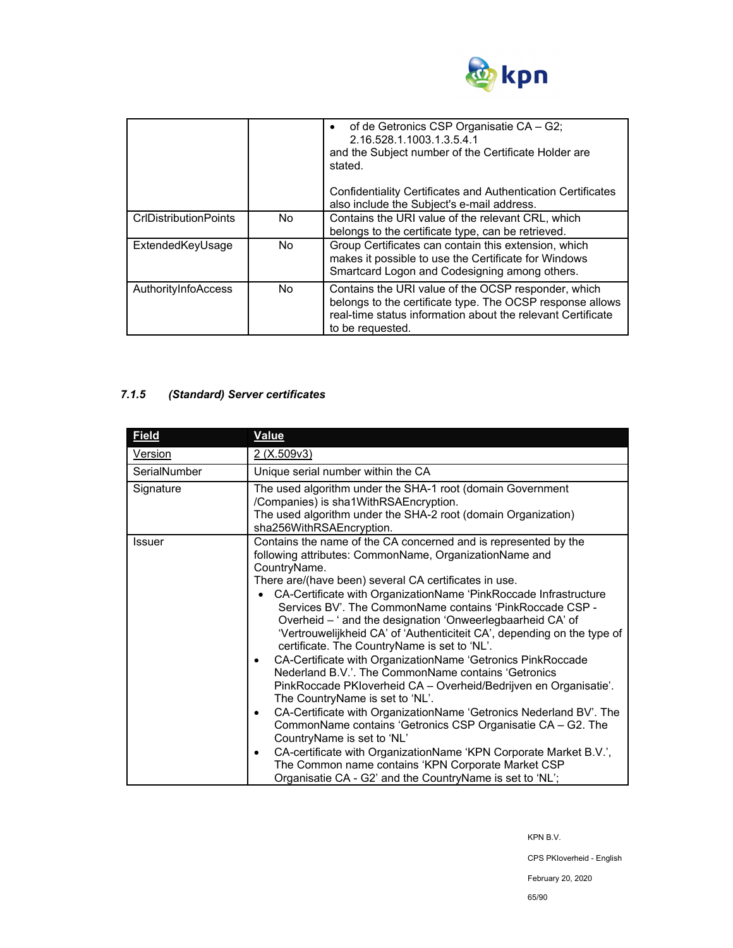

|                              |     | of de Getronics CSP Organisatie CA - G2;<br>2.16.528.1.1003.1.3.5.4.1<br>and the Subject number of the Certificate Holder are<br>stated.<br><b>Confidentiality Certificates and Authentication Certificates</b><br>also include the Subject's e-mail address. |
|------------------------------|-----|---------------------------------------------------------------------------------------------------------------------------------------------------------------------------------------------------------------------------------------------------------------|
| <b>CrIDistributionPoints</b> | No. | Contains the URI value of the relevant CRL, which<br>belongs to the certificate type, can be retrieved.                                                                                                                                                       |
| ExtendedKeyUsage             | No. | Group Certificates can contain this extension, which<br>makes it possible to use the Certificate for Windows<br>Smartcard Logon and Codesigning among others.                                                                                                 |
| AuthorityInfoAccess          | No. | Contains the URI value of the OCSP responder, which<br>belongs to the certificate type. The OCSP response allows<br>real-time status information about the relevant Certificate<br>to be requested.                                                           |

## *7.1.5 (Standard) Server certificates*

| <b>Field</b>   | <b>Value</b>                                                                                                                                                                                                                                                                                                                                                                                                                                                                                                                                                                                                                                                                                                                                                                                                                                                                                                                                                                                                                                                                                                                                                  |  |  |
|----------------|---------------------------------------------------------------------------------------------------------------------------------------------------------------------------------------------------------------------------------------------------------------------------------------------------------------------------------------------------------------------------------------------------------------------------------------------------------------------------------------------------------------------------------------------------------------------------------------------------------------------------------------------------------------------------------------------------------------------------------------------------------------------------------------------------------------------------------------------------------------------------------------------------------------------------------------------------------------------------------------------------------------------------------------------------------------------------------------------------------------------------------------------------------------|--|--|
| <b>Version</b> | 2 (X.509v3)                                                                                                                                                                                                                                                                                                                                                                                                                                                                                                                                                                                                                                                                                                                                                                                                                                                                                                                                                                                                                                                                                                                                                   |  |  |
| SerialNumber   | Unique serial number within the CA                                                                                                                                                                                                                                                                                                                                                                                                                                                                                                                                                                                                                                                                                                                                                                                                                                                                                                                                                                                                                                                                                                                            |  |  |
| Signature      | The used algorithm under the SHA-1 root (domain Government<br>/Companies) is sha1WithRSAEncryption.<br>The used algorithm under the SHA-2 root (domain Organization)                                                                                                                                                                                                                                                                                                                                                                                                                                                                                                                                                                                                                                                                                                                                                                                                                                                                                                                                                                                          |  |  |
| Issuer         | sha256WithRSAEncryption.<br>Contains the name of the CA concerned and is represented by the<br>following attributes: CommonName, OrganizationName and<br>CountryName.<br>There are/(have been) several CA certificates in use.<br>CA-Certificate with OrganizationName 'PinkRoccade Infrastructure<br>Services BV'. The CommonName contains 'PinkRoccade CSP -<br>Overheid - ' and the designation 'Onweerlegbaarheid CA' of<br>'Vertrouwelijkheid CA' of 'Authenticiteit CA', depending on the type of<br>certificate. The CountryName is set to 'NL'.<br>CA-Certificate with OrganizationName 'Getronics PinkRoccade<br>٠<br>Nederland B.V.'. The CommonName contains 'Getronics<br>PinkRoccade PKIoverheid CA - Overheid/Bedrijven en Organisatie'.<br>The CountryName is set to 'NL'.<br>CA-Certificate with OrganizationName 'Getronics Nederland BV'. The<br>٠<br>CommonName contains 'Getronics CSP Organisatie CA - G2. The<br>CountryName is set to 'NL'<br>CA-certificate with OrganizationName 'KPN Corporate Market B.V.',<br>٠<br>The Common name contains 'KPN Corporate Market CSP<br>Organisatie CA - G2' and the CountryName is set to 'NL'; |  |  |

KPN B.V.

CPS PKIoverheid - English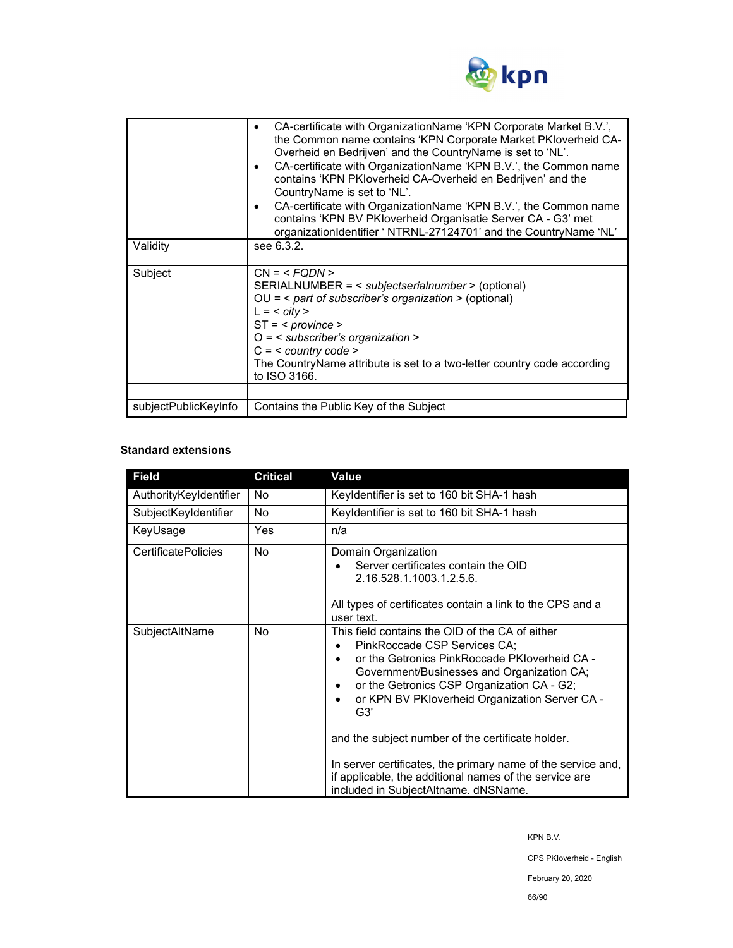

| Validity             | CA-certificate with OrganizationName 'KPN Corporate Market B.V.',<br>٠<br>the Common name contains 'KPN Corporate Market PKIoverheid CA-<br>Overheid en Bedrijven' and the CountryName is set to 'NL'.<br>CA-certificate with OrganizationName 'KPN B.V.', the Common name<br>٠<br>contains 'KPN PKloverheid CA-Overheid en Bedrijven' and the<br>CountryName is set to 'NL'.<br>CA-certificate with OrganizationName 'KPN B.V.', the Common name<br>$\bullet$<br>contains 'KPN BV PKloverheid Organisatie Server CA - G3' met<br>organizationIdentifier ' NTRNL-27124701' and the CountryName 'NL'<br>see 6.3.2. |  |
|----------------------|-------------------------------------------------------------------------------------------------------------------------------------------------------------------------------------------------------------------------------------------------------------------------------------------------------------------------------------------------------------------------------------------------------------------------------------------------------------------------------------------------------------------------------------------------------------------------------------------------------------------|--|
| Subject              | $CN = $<br>SERIALNUMBER = < subjectserialnumber > (optional)<br>$OU =$ < part of subscriber's organization > (optional)<br>$L = <$ city ><br>$ST = <$ province ><br>$O =$ < subscriber's organization ><br>$C = <$ country code ><br>The CountryName attribute is set to a two-letter country code according<br>to ISO 3166.                                                                                                                                                                                                                                                                                      |  |
|                      |                                                                                                                                                                                                                                                                                                                                                                                                                                                                                                                                                                                                                   |  |
| subjectPublicKeyInfo | Contains the Public Key of the Subject                                                                                                                                                                                                                                                                                                                                                                                                                                                                                                                                                                            |  |

### **Standard extensions**

| <b>Field</b>               | <b>Critical</b> | Value                                                                                                                                                                                                                                                                                                                                                                                                                                                                                                        |
|----------------------------|-----------------|--------------------------------------------------------------------------------------------------------------------------------------------------------------------------------------------------------------------------------------------------------------------------------------------------------------------------------------------------------------------------------------------------------------------------------------------------------------------------------------------------------------|
| AuthorityKeyIdentifier     | No              | Keyldentifier is set to 160 bit SHA-1 hash                                                                                                                                                                                                                                                                                                                                                                                                                                                                   |
| SubjectKeyIdentifier       | <b>No</b>       | Keyldentifier is set to 160 bit SHA-1 hash                                                                                                                                                                                                                                                                                                                                                                                                                                                                   |
| KeyUsage                   | Yes             | n/a                                                                                                                                                                                                                                                                                                                                                                                                                                                                                                          |
| <b>CertificatePolicies</b> | <b>No</b>       | Domain Organization<br>Server certificates contain the OID<br>2.16.528.1.1003.1.2.5.6.<br>All types of certificates contain a link to the CPS and a<br>user text.                                                                                                                                                                                                                                                                                                                                            |
| SubjectAltName             | No.             | This field contains the OID of the CA of either<br>PinkRoccade CSP Services CA:<br>or the Getronics PinkRoccade PKIoverheid CA -<br>Government/Businesses and Organization CA;<br>or the Getronics CSP Organization CA - G2;<br>or KPN BV PKloverheid Organization Server CA -<br>G3'<br>and the subject number of the certificate holder.<br>In server certificates, the primary name of the service and,<br>if applicable, the additional names of the service are<br>included in SubjectAltname. dNSName. |

KPN B.V.

CPS PKIoverheid - English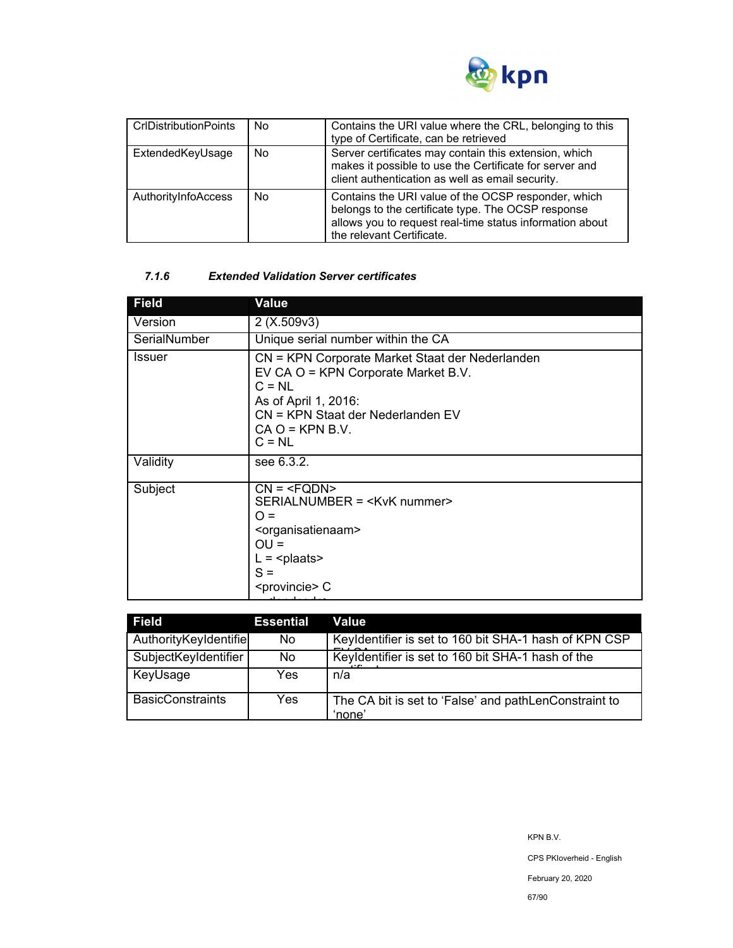

| <b>CrIDistribution Points</b> | No | Contains the URI value where the CRL, belonging to this<br>type of Certificate, can be retrieved                                                                                                   |
|-------------------------------|----|----------------------------------------------------------------------------------------------------------------------------------------------------------------------------------------------------|
| ExtendedKeyUsage              | No | Server certificates may contain this extension, which<br>makes it possible to use the Certificate for server and<br>client authentication as well as email security.                               |
| AuthorityInfoAccess           | No | Contains the URI value of the OCSP responder, which<br>belongs to the certificate type. The OCSP response<br>allows you to request real-time status information about<br>the relevant Certificate. |

### *7.1.6 Extended Validation Server certificates*

| <b>Field</b>  | Value                                                                                                                                                                                            |  |  |
|---------------|--------------------------------------------------------------------------------------------------------------------------------------------------------------------------------------------------|--|--|
| Version       | 2(X.509v3)                                                                                                                                                                                       |  |  |
| SerialNumber  | Unique serial number within the CA                                                                                                                                                               |  |  |
| <b>Issuer</b> | CN = KPN Corporate Market Staat der Nederlanden<br>EV CA O = KPN Corporate Market B.V.<br>$C = NL$<br>As of April 1, 2016:<br>CN = KPN Staat der Nederlanden EV<br>$CA O = KPN B.V.$<br>$C = NL$ |  |  |
| Validity      | see 6.3.2.                                                                                                                                                                                       |  |  |
| Subject       | $CN = SERIALNUMBER = ∩ =OU =L = plaatsS = C$                                                                                                                                                     |  |  |

| <b>Field</b>            | <b>Essential</b> | Value                                                           |
|-------------------------|------------------|-----------------------------------------------------------------|
| AuthorityKeyIdentifie   | No.              | Keyldentifier is set to 160 bit SHA-1 hash of KPN CSP           |
| SubjectKeyIdentifier    | No.              | Keyldentifier is set to 160 bit SHA-1 hash of the               |
| KeyUsage                | Yes.             | n/a                                                             |
| <b>BasicConstraints</b> | Yes.             | The CA bit is set to 'False' and pathLenConstraint to<br>'none' |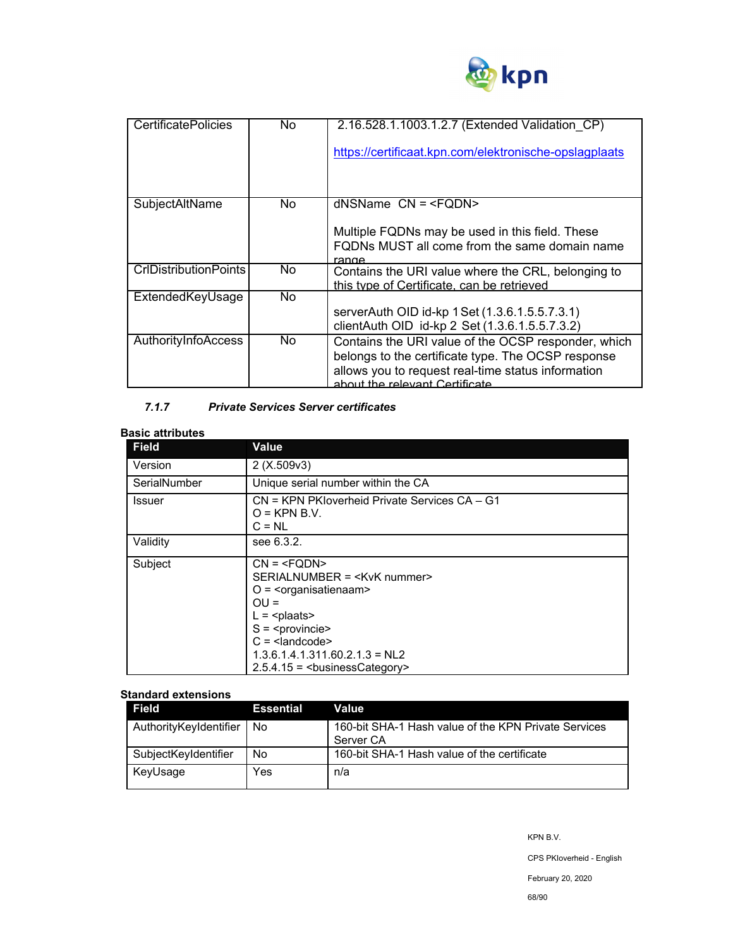

| <b>CertificatePolicies</b>   | No. | 2.16.528.1.1003.1.2.7 (Extended Validation CP)                                                                                                                                                    |
|------------------------------|-----|---------------------------------------------------------------------------------------------------------------------------------------------------------------------------------------------------|
|                              |     | https://certificaat.kpn.com/elektronische-opslagplaats                                                                                                                                            |
|                              |     |                                                                                                                                                                                                   |
| SubjectAltName               | No. | $d$ NSName $CN = $                                                                                                                                                                                |
|                              |     | Multiple FQDNs may be used in this field. These<br>FQDNs MUST all come from the same domain name<br>range                                                                                         |
| <b>CrIDistributionPoints</b> | No. | Contains the URI value where the CRL, belonging to<br>this type of Certificate, can be retrieved                                                                                                  |
| ExtendedKeyUsage             | No. |                                                                                                                                                                                                   |
|                              |     | serverAuth OID id-kp 1 Set (1.3.6.1.5.5.7.3.1)                                                                                                                                                    |
|                              |     | clientAuth OID id-kp 2 Set (1.3.6.1.5.5.7.3.2)                                                                                                                                                    |
| AuthorityInfoAccess          | No. | Contains the URI value of the OCSP responder, which<br>belongs to the certificate type. The OCSP response<br>allows you to request real-time status information<br>about the relevant Certificate |

## *7.1.7 Private Services Server certificates*

## **Basic attributes**

| <b>Field</b>  | <b>Value</b>                                                                                                                        |  |  |
|---------------|-------------------------------------------------------------------------------------------------------------------------------------|--|--|
| Version       | 2(X.509v3)                                                                                                                          |  |  |
| SerialNumber  | Unique serial number within the CA                                                                                                  |  |  |
| <b>Issuer</b> | CN = KPN PKIoverheid Private Services CA - G1<br>$O =$ KPN B.V.<br>$C = NL$                                                         |  |  |
| Validity      | see 6.3.2.                                                                                                                          |  |  |
| Subject       | $CN = SERIALNUMBER = O = \frac{20}{3} < organisatienaam>OU =L = S = C = 1.3.6.1.4.1.311.60.2.1.3 = NL22.5.4.15 = businessCategory>$ |  |  |

### **Standard extensions**

| Field                  | <b>Essential</b> | Value                                                             |
|------------------------|------------------|-------------------------------------------------------------------|
| AuthorityKeyIdentifier | No               | 160-bit SHA-1 Hash value of the KPN Private Services<br>Server CA |
| SubjectKeyIdentifier   | No               | 160-bit SHA-1 Hash value of the certificate                       |
| KeyUsage               | Yes              | n/a                                                               |

KPN B.V.

CPS PKIoverheid - English

February 20, 2020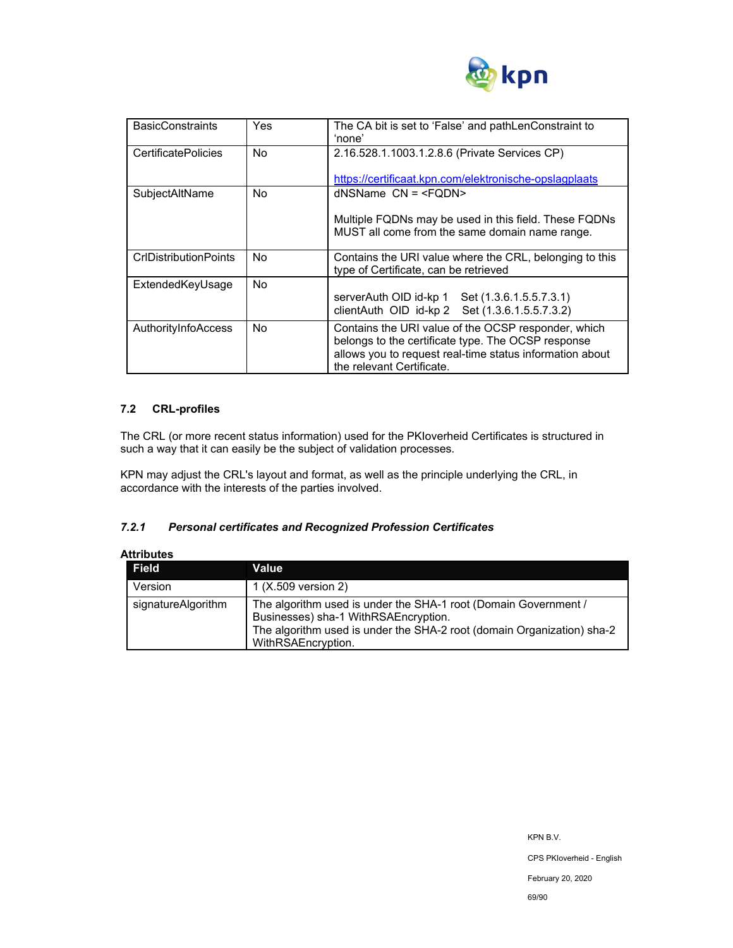

| <b>BasicConstraints</b>      | Yes | The CA bit is set to 'False' and pathLenConstraint to<br>'none'                                                                                                                                    |
|------------------------------|-----|----------------------------------------------------------------------------------------------------------------------------------------------------------------------------------------------------|
| <b>CertificatePolicies</b>   | No. | 2.16.528.1.1003.1.2.8.6 (Private Services CP)                                                                                                                                                      |
|                              |     | https://certificaat.kpn.com/elektronische-opslagplaats                                                                                                                                             |
| SubjectAltName               | No. | $d$ NSName $CN = $                                                                                                                                                                                 |
|                              |     | Multiple FQDNs may be used in this field. These FQDNs<br>MUST all come from the same domain name range.                                                                                            |
| <b>CrIDistributionPoints</b> | No. | Contains the URI value where the CRL, belonging to this<br>type of Certificate, can be retrieved                                                                                                   |
| ExtendedKeyUsage             | No. | serverAuth OID id-kp 1 Set (1.3.6.1.5.5.7.3.1)<br>clientAuth OID id-kp 2 Set (1.3.6.1.5.5.7.3.2)                                                                                                   |
| AuthorityInfoAccess          | No. | Contains the URI value of the OCSP responder, which<br>belongs to the certificate type. The OCSP response<br>allows you to request real-time status information about<br>the relevant Certificate. |

## **7.2 CRL-profiles**

The CRL (or more recent status information) used for the PKIoverheid Certificates is structured in such a way that it can easily be the subject of validation processes.

KPN may adjust the CRL's layout and format, as well as the principle underlying the CRL, in accordance with the interests of the parties involved.

### *7.2.1 Personal certificates and Recognized Profession Certificates*

| Attributes         |                                                                                                                                                                                                         |
|--------------------|---------------------------------------------------------------------------------------------------------------------------------------------------------------------------------------------------------|
| <b>Field</b>       | Value                                                                                                                                                                                                   |
| Version            | 1 (X.509 version 2)                                                                                                                                                                                     |
| signatureAlgorithm | The algorithm used is under the SHA-1 root (Domain Government /<br>Businesses) sha-1 WithRSAEncryption.<br>The algorithm used is under the SHA-2 root (domain Organization) sha-2<br>WithRSAEncryption. |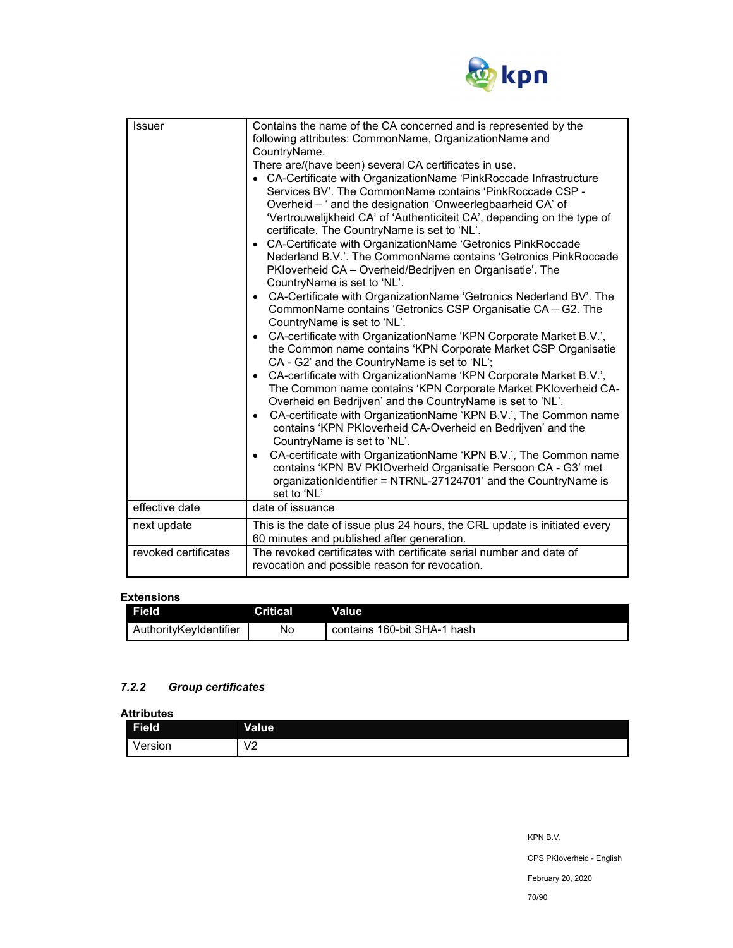

| <b>Issuer</b>        | Contains the name of the CA concerned and is represented by the<br>following attributes: CommonName, OrganizationName and<br>CountryName.<br>There are/(have been) several CA certificates in use.<br>• CA-Certificate with OrganizationName 'PinkRoccade Infrastructure<br>Services BV'. The CommonName contains 'PinkRoccade CSP -<br>Overheid - ' and the designation 'Onweerlegbaarheid CA' of<br>'Vertrouwelijkheid CA' of 'Authenticiteit CA', depending on the type of<br>certificate. The CountryName is set to 'NL'.<br>CA-Certificate with OrganizationName 'Getronics PinkRoccade<br>Nederland B.V.'. The CommonName contains 'Getronics PinkRoccade<br>PKloverheid CA – Overheid/Bedrijven en Organisatie'. The<br>CountryName is set to 'NL'.<br>CA-Certificate with OrganizationName 'Getronics Nederland BV'. The<br>$\bullet$<br>CommonName contains 'Getronics CSP Organisatie CA - G2. The<br>CountryName is set to 'NL'.<br>CA-certificate with OrganizationName 'KPN Corporate Market B.V.',<br>$\bullet$<br>the Common name contains 'KPN Corporate Market CSP Organisatie<br>CA - G2' and the CountryName is set to 'NL';<br>CA-certificate with OrganizationName 'KPN Corporate Market B.V.',<br>$\bullet$<br>The Common name contains 'KPN Corporate Market PKloverheid CA-<br>Overheid en Bedrijven' and the CountryName is set to 'NL'.<br>CA-certificate with OrganizationName 'KPN B.V.', The Common name<br>$\bullet$<br>contains 'KPN PKIoverheid CA-Overheid en Bedrijven' and the<br>CountryName is set to 'NL'.<br>CA-certificate with OrganizationName 'KPN B.V.', The Common name<br>$\bullet$<br>contains 'KPN BV PKIOverheid Organisatie Persoon CA - G3' met<br>organizationIdentifier = NTRNL-27124701' and the CountryName is<br>set to 'NL' |
|----------------------|--------------------------------------------------------------------------------------------------------------------------------------------------------------------------------------------------------------------------------------------------------------------------------------------------------------------------------------------------------------------------------------------------------------------------------------------------------------------------------------------------------------------------------------------------------------------------------------------------------------------------------------------------------------------------------------------------------------------------------------------------------------------------------------------------------------------------------------------------------------------------------------------------------------------------------------------------------------------------------------------------------------------------------------------------------------------------------------------------------------------------------------------------------------------------------------------------------------------------------------------------------------------------------------------------------------------------------------------------------------------------------------------------------------------------------------------------------------------------------------------------------------------------------------------------------------------------------------------------------------------------------------------------------------------------------------------------------------------------------------------------------------------------------------|
|                      |                                                                                                                                                                                                                                                                                                                                                                                                                                                                                                                                                                                                                                                                                                                                                                                                                                                                                                                                                                                                                                                                                                                                                                                                                                                                                                                                                                                                                                                                                                                                                                                                                                                                                                                                                                                      |
| effective date       | date of issuance                                                                                                                                                                                                                                                                                                                                                                                                                                                                                                                                                                                                                                                                                                                                                                                                                                                                                                                                                                                                                                                                                                                                                                                                                                                                                                                                                                                                                                                                                                                                                                                                                                                                                                                                                                     |
| next update          | This is the date of issue plus 24 hours, the CRL update is initiated every<br>60 minutes and published after generation.                                                                                                                                                                                                                                                                                                                                                                                                                                                                                                                                                                                                                                                                                                                                                                                                                                                                                                                                                                                                                                                                                                                                                                                                                                                                                                                                                                                                                                                                                                                                                                                                                                                             |
| revoked certificates | The revoked certificates with certificate serial number and date of<br>revocation and possible reason for revocation.                                                                                                                                                                                                                                                                                                                                                                                                                                                                                                                                                                                                                                                                                                                                                                                                                                                                                                                                                                                                                                                                                                                                                                                                                                                                                                                                                                                                                                                                                                                                                                                                                                                                |

#### **Extensions**

| <b>Field</b>           | <b>Critical</b> | Value                       |
|------------------------|-----------------|-----------------------------|
| AuthorityKevIdentifier | No              | contains 160-bit SHA-1 hash |

## *7.2.2 Group certificates*

**Attributes** 

| <b>Field</b>               | <b>Value</b>           |
|----------------------------|------------------------|
| $\cdot$ $\cdot$<br>ersion/ | $\sqrt{2}$<br>v<br>v 4 |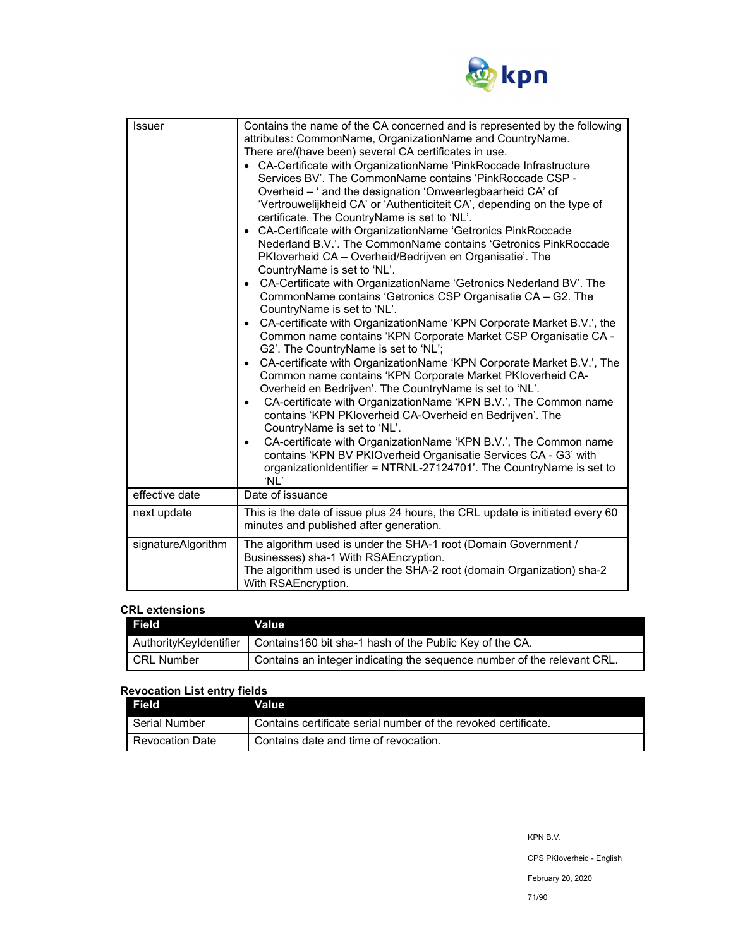

| <b>Issuer</b>      | Contains the name of the CA concerned and is represented by the following<br>attributes: CommonName, OrganizationName and CountryName.<br>There are/(have been) several CA certificates in use.<br>• CA-Certificate with OrganizationName 'PinkRoccade Infrastructure<br>Services BV'. The CommonName contains 'PinkRoccade CSP -<br>Overheid - ' and the designation 'Onweerlegbaarheid CA' of<br>'Vertrouwelijkheid CA' or 'Authenticiteit CA', depending on the type of<br>certificate. The CountryName is set to 'NL'.<br>• CA-Certificate with OrganizationName 'Getronics PinkRoccade<br>Nederland B.V.'. The CommonName contains 'Getronics PinkRoccade<br>PKloverheid CA - Overheid/Bedrijven en Organisatie'. The<br>CountryName is set to 'NL'.<br>• CA-Certificate with OrganizationName 'Getronics Nederland BV'. The<br>CommonName contains 'Getronics CSP Organisatie CA - G2. The<br>CountryName is set to 'NL'.<br>• CA-certificate with OrganizationName 'KPN Corporate Market B.V.', the<br>Common name contains 'KPN Corporate Market CSP Organisatie CA -<br>G2'. The CountryName is set to 'NL';<br>CA-certificate with OrganizationName 'KPN Corporate Market B.V.', The<br>$\bullet$<br>Common name contains 'KPN Corporate Market PKIoverheid CA-<br>Overheid en Bedrijven'. The CountryName is set to 'NL'.<br>CA-certificate with OrganizationName 'KPN B.V.', The Common name<br>$\bullet$<br>contains 'KPN PKloverheid CA-Overheid en Bedrijven'. The<br>CountryName is set to 'NL'.<br>CA-certificate with OrganizationName 'KPN B.V.', The Common name<br>$\bullet$<br>contains 'KPN BV PKIOverheid Organisatie Services CA - G3' with<br>organizationIdentifier = NTRNL-27124701'. The CountryName is set to<br>'NL' |
|--------------------|-----------------------------------------------------------------------------------------------------------------------------------------------------------------------------------------------------------------------------------------------------------------------------------------------------------------------------------------------------------------------------------------------------------------------------------------------------------------------------------------------------------------------------------------------------------------------------------------------------------------------------------------------------------------------------------------------------------------------------------------------------------------------------------------------------------------------------------------------------------------------------------------------------------------------------------------------------------------------------------------------------------------------------------------------------------------------------------------------------------------------------------------------------------------------------------------------------------------------------------------------------------------------------------------------------------------------------------------------------------------------------------------------------------------------------------------------------------------------------------------------------------------------------------------------------------------------------------------------------------------------------------------------------------------------------------------------------------------------------------------------------|
| effective date     | Date of issuance                                                                                                                                                                                                                                                                                                                                                                                                                                                                                                                                                                                                                                                                                                                                                                                                                                                                                                                                                                                                                                                                                                                                                                                                                                                                                                                                                                                                                                                                                                                                                                                                                                                                                                                                    |
| next update        | This is the date of issue plus 24 hours, the CRL update is initiated every 60<br>minutes and published after generation.                                                                                                                                                                                                                                                                                                                                                                                                                                                                                                                                                                                                                                                                                                                                                                                                                                                                                                                                                                                                                                                                                                                                                                                                                                                                                                                                                                                                                                                                                                                                                                                                                            |
| signatureAlgorithm | The algorithm used is under the SHA-1 root (Domain Government /<br>Businesses) sha-1 With RSAEncryption.<br>The algorithm used is under the SHA-2 root (domain Organization) sha-2<br>With RSAEncryption.                                                                                                                                                                                                                                                                                                                                                                                                                                                                                                                                                                                                                                                                                                                                                                                                                                                                                                                                                                                                                                                                                                                                                                                                                                                                                                                                                                                                                                                                                                                                           |

#### **CRL extensions**

| Field        | <b>Value</b>                                                                     |
|--------------|----------------------------------------------------------------------------------|
|              | AuthorityKeyIdentifier   Contains160 bit sha-1 hash of the Public Key of the CA. |
| I CRL Number | ' Contains an integer indicating the sequence number of the relevant CRL.        |

## **Revocation List entry fields**

| Field           | Valuel                                                         |
|-----------------|----------------------------------------------------------------|
| l Serial Number | Contains certificate serial number of the revoked certificate. |
| Revocation Date | Contains date and time of revocation.                          |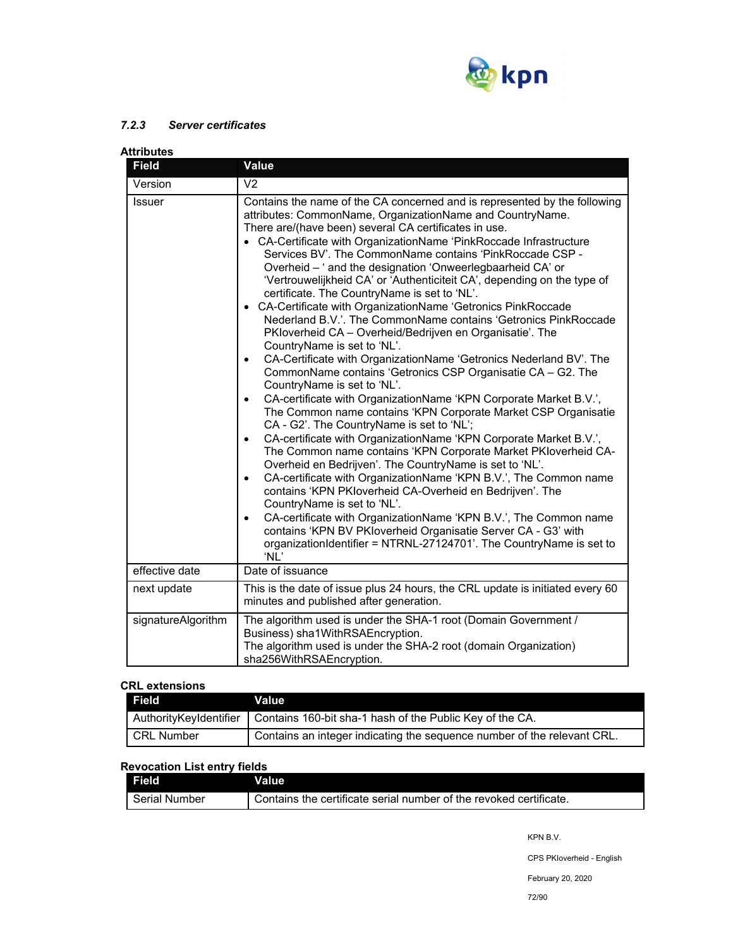

## *7.2.3 Server certificates*

| <b>Attributes</b>  |                                                                                                                                                                                                                                                                                                                                                                                                                                                                                                                                                                                                                                                                                                                                                                                                                                                                                                                                                                                                                                                                                                                                                                                                                                                                                                                                                                                                                                                                                                                                                                                                                                                                                                                                                                         |
|--------------------|-------------------------------------------------------------------------------------------------------------------------------------------------------------------------------------------------------------------------------------------------------------------------------------------------------------------------------------------------------------------------------------------------------------------------------------------------------------------------------------------------------------------------------------------------------------------------------------------------------------------------------------------------------------------------------------------------------------------------------------------------------------------------------------------------------------------------------------------------------------------------------------------------------------------------------------------------------------------------------------------------------------------------------------------------------------------------------------------------------------------------------------------------------------------------------------------------------------------------------------------------------------------------------------------------------------------------------------------------------------------------------------------------------------------------------------------------------------------------------------------------------------------------------------------------------------------------------------------------------------------------------------------------------------------------------------------------------------------------------------------------------------------------|
| <b>Field</b>       | <b>Value</b>                                                                                                                                                                                                                                                                                                                                                                                                                                                                                                                                                                                                                                                                                                                                                                                                                                                                                                                                                                                                                                                                                                                                                                                                                                                                                                                                                                                                                                                                                                                                                                                                                                                                                                                                                            |
| Version            | V <sub>2</sub>                                                                                                                                                                                                                                                                                                                                                                                                                                                                                                                                                                                                                                                                                                                                                                                                                                                                                                                                                                                                                                                                                                                                                                                                                                                                                                                                                                                                                                                                                                                                                                                                                                                                                                                                                          |
| <b>Issuer</b>      | Contains the name of the CA concerned and is represented by the following<br>attributes: CommonName, OrganizationName and CountryName.<br>There are/(have been) several CA certificates in use.<br>• CA-Certificate with OrganizationName 'PinkRoccade Infrastructure<br>Services BV'. The CommonName contains 'PinkRoccade CSP -<br>Overheid - ' and the designation 'Onweerlegbaarheid CA' or<br>'Vertrouwelijkheid CA' or 'Authenticiteit CA', depending on the type of<br>certificate. The CountryName is set to 'NL'.<br>• CA-Certificate with OrganizationName 'Getronics PinkRoccade<br>Nederland B.V.'. The CommonName contains 'Getronics PinkRoccade<br>PKloverheid CA - Overheid/Bedrijven en Organisatie'. The<br>CountryName is set to 'NL'.<br>CA-Certificate with OrganizationName 'Getronics Nederland BV'. The<br>$\bullet$<br>CommonName contains 'Getronics CSP Organisatie CA - G2. The<br>CountryName is set to 'NL'.<br>CA-certificate with OrganizationName 'KPN Corporate Market B.V.',<br>$\bullet$<br>The Common name contains 'KPN Corporate Market CSP Organisatie<br>CA - G2'. The CountryName is set to 'NL';<br>CA-certificate with OrganizationName 'KPN Corporate Market B.V.',<br>$\bullet$<br>The Common name contains 'KPN Corporate Market PKIoverheid CA-<br>Overheid en Bedrijven'. The CountryName is set to 'NL'.<br>CA-certificate with OrganizationName 'KPN B.V.', The Common name<br>$\bullet$<br>contains 'KPN PKloverheid CA-Overheid en Bedrijven'. The<br>CountryName is set to 'NL'.<br>CA-certificate with OrganizationName 'KPN B.V.', The Common name<br>$\bullet$<br>contains 'KPN BV PKloverheid Organisatie Server CA - G3' with<br>organizationIdentifier = NTRNL-27124701'. The CountryName is set to<br>'NL' |
| effective date     | Date of issuance                                                                                                                                                                                                                                                                                                                                                                                                                                                                                                                                                                                                                                                                                                                                                                                                                                                                                                                                                                                                                                                                                                                                                                                                                                                                                                                                                                                                                                                                                                                                                                                                                                                                                                                                                        |
| next update        | This is the date of issue plus 24 hours, the CRL update is initiated every 60<br>minutes and published after generation.                                                                                                                                                                                                                                                                                                                                                                                                                                                                                                                                                                                                                                                                                                                                                                                                                                                                                                                                                                                                                                                                                                                                                                                                                                                                                                                                                                                                                                                                                                                                                                                                                                                |
| signatureAlgorithm | The algorithm used is under the SHA-1 root (Domain Government /<br>Business) sha1WithRSAEncryption.<br>The algorithm used is under the SHA-2 root (domain Organization)<br>sha256WithRSAEncryption.                                                                                                                                                                                                                                                                                                                                                                                                                                                                                                                                                                                                                                                                                                                                                                                                                                                                                                                                                                                                                                                                                                                                                                                                                                                                                                                                                                                                                                                                                                                                                                     |

#### **CRL extensions**

| <b>Field</b>           | Value                                                                   |
|------------------------|-------------------------------------------------------------------------|
| AuthorityKeyIdentifier | Contains 160-bit sha-1 hash of the Public Key of the CA.                |
| CRL Number             | Contains an integer indicating the sequence number of the relevant CRL. |

## **Revocation List entry fields**

| Field                | Value                                                              |
|----------------------|--------------------------------------------------------------------|
| <b>Serial Number</b> | Contains the certificate serial number of the revoked certificate. |

KPN B.V.

CPS PKIoverheid - English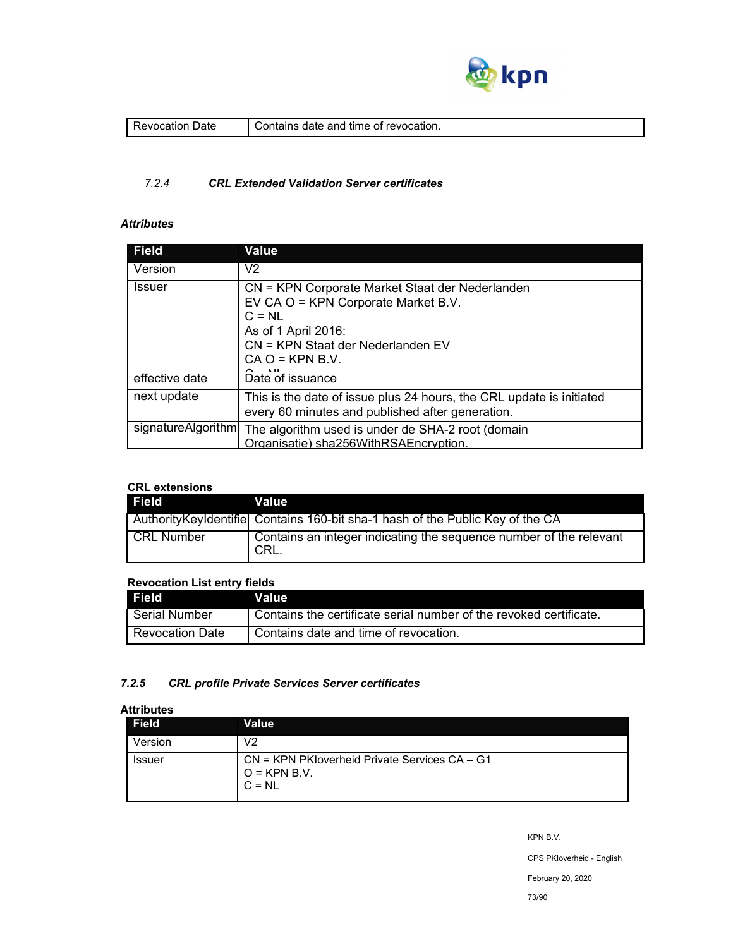

| Jate<br>evocation. | revocation.<br>contains.<br>time<br>anc<br>nt<br>пате<br>лан |
|--------------------|--------------------------------------------------------------|
|                    |                                                              |

## *7.2.4 CRL Extended Validation Server certificates*

## *Attributes*

| <b>Field</b>       | <b>Value</b>                                                                                                                                                                        |
|--------------------|-------------------------------------------------------------------------------------------------------------------------------------------------------------------------------------|
| Version            | V <sub>2</sub>                                                                                                                                                                      |
| <b>Issuer</b>      | CN = KPN Corporate Market Staat der Nederlanden<br>EV CA O = KPN Corporate Market B.V.<br>$C = NL$<br>As of 1 April 2016:<br>CN = KPN Staat der Nederlanden EV<br>$CA O = KPN B.V.$ |
| effective date     | Date of issuance                                                                                                                                                                    |
| next update        | This is the date of issue plus 24 hours, the CRL update is initiated<br>every 60 minutes and published after generation.                                                            |
| signatureAlgorithm | The algorithm used is under de SHA-2 root (domain<br>Organisatie) sha256WithRSAEncryption.                                                                                          |

## **CRL extensions**

| Field             | Value                                                                           |
|-------------------|---------------------------------------------------------------------------------|
|                   | Authority Keyldentifiel Contains 160-bit sha-1 hash of the Public Key of the CA |
| <b>CRL Number</b> | Contains an integer indicating the sequence number of the relevant<br>I CRL.    |

## **Revocation List entry fields**

| Field <sup>1</sup>     | Value                                                              |
|------------------------|--------------------------------------------------------------------|
| Serial Number          | Contains the certificate serial number of the revoked certificate. |
| <b>Revocation Date</b> | Contains date and time of revocation.                              |

## *7.2.5 CRL profile Private Services Server certificates*

## **Attributes**

| <br><b>Field</b> | Value                                                                            |
|------------------|----------------------------------------------------------------------------------|
| Version          | V2                                                                               |
| <b>Issuer</b>    | $CN = KPN$ PK loverheid Private Services $CA - G1$<br>$Q = KPN B.V.$<br>$C = NL$ |

KPN B.V.

CPS PKIoverheid - English

February 20, 2020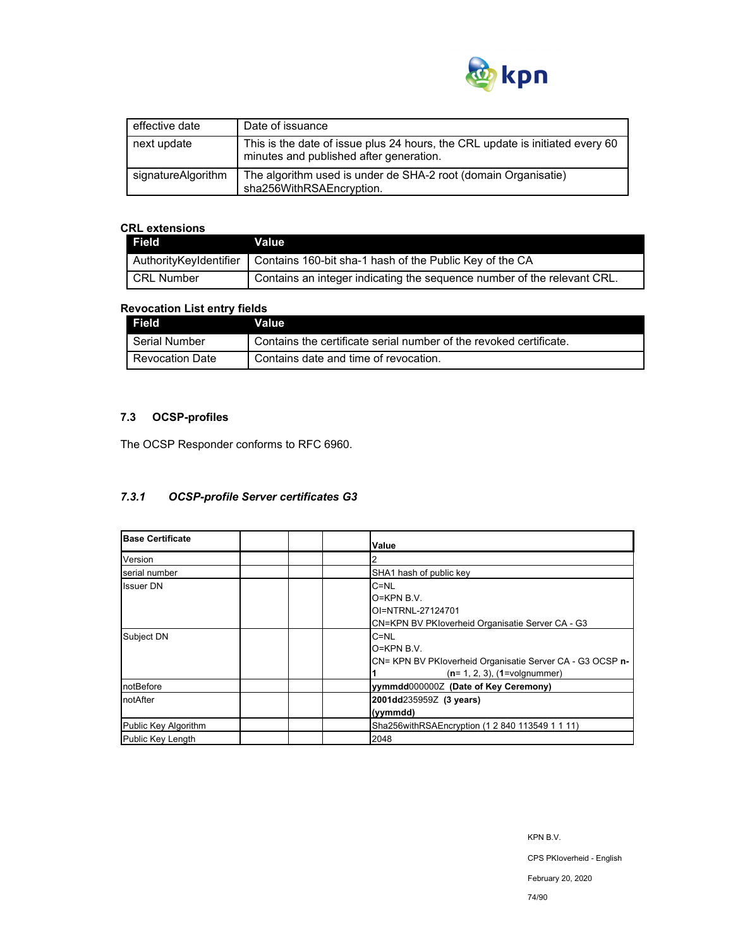

| effective date     | Date of issuance                                                                                                         |
|--------------------|--------------------------------------------------------------------------------------------------------------------------|
| next update        | This is the date of issue plus 24 hours, the CRL update is initiated every 60<br>minutes and published after generation. |
| signatureAlgorithm | The algorithm used is under de SHA-2 root (domain Organisatie)<br>sha256WithRSAEncryption.                               |

## **CRL extensions**

| <b>Field</b> | Value                                                                            |
|--------------|----------------------------------------------------------------------------------|
|              | AuthorityKeyIdentifier   Contains 160-bit sha-1 hash of the Public Key of the CA |
| l CRL Number | Contains an integer indicating the sequence number of the relevant CRL.          |

## **Revocation List entry fields**

| Field                  | Value                                                              |
|------------------------|--------------------------------------------------------------------|
| Serial Number          | Contains the certificate serial number of the revoked certificate. |
| <b>Revocation Date</b> | Contains date and time of revocation.                              |

# **7.3 OCSP-profiles**

The OCSP Responder conforms to RFC 6960.

## *7.3.1 OCSP-profile Server certificates G3*

| <b>Base Certificate</b> | Value                                                                                                                      |
|-------------------------|----------------------------------------------------------------------------------------------------------------------------|
| Version                 |                                                                                                                            |
| serial number           | SHA1 hash of public key                                                                                                    |
| <b>Issuer DN</b>        | $C = NL$<br>$O=KPN B.V.$<br>OI=NTRNL-27124701<br>CN=KPN BV PKIoverheid Organisatie Server CA - G3                          |
| Subject DN              | $C = NL$<br>$O=KPN B.V.$<br>CN= KPN BV PKloverheid Organisatie Server CA - G3 OCSP n-<br>$(n=1, 2, 3)$ , $(1=$ volgnummer) |
| notBefore               | yymmdd0000002 (Date of Key Ceremony)                                                                                       |
| notAfter                | 2001dd235959Z (3 years)<br>(yymmdd)                                                                                        |
| Public Key Algorithm    | Sha256withRSAEncryption (1 2 840 113549 1 1 11)                                                                            |
| Public Key Length       | 2048                                                                                                                       |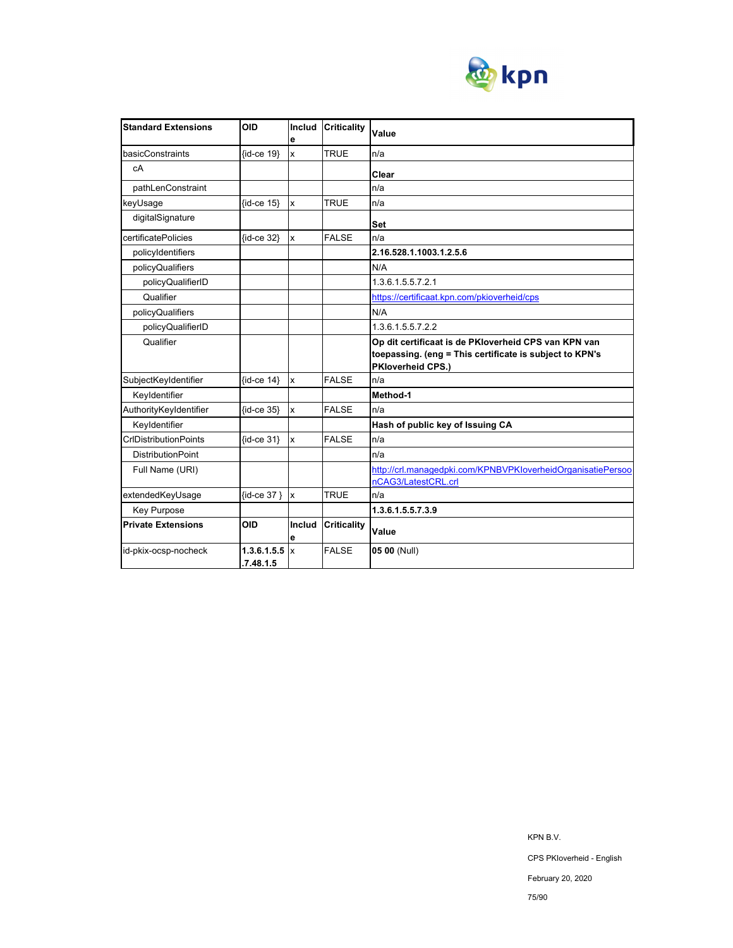

| <b>Standard Extensions</b>   | OID                      | Includ<br>е               | <b>Criticality</b> | Value                                                                                                                                       |
|------------------------------|--------------------------|---------------------------|--------------------|---------------------------------------------------------------------------------------------------------------------------------------------|
| basicConstraints             | {id-ce 19}               | X                         | <b>TRUE</b>        | n/a                                                                                                                                         |
| сA                           |                          |                           |                    | Clear                                                                                                                                       |
| pathLenConstraint            |                          |                           |                    | n/a                                                                                                                                         |
| keyUsage                     | {id-ce 15}               | $\mathsf{x}$              | <b>TRUE</b>        | n/a                                                                                                                                         |
| digitalSignature             |                          |                           |                    | Set                                                                                                                                         |
| certificatePolicies          | {id-ce 32}               | $\mathsf{x}$              | <b>FALSE</b>       | n/a                                                                                                                                         |
| policyIdentifiers            |                          |                           |                    | 2.16.528.1.1003.1.2.5.6                                                                                                                     |
| policyQualifiers             |                          |                           |                    | N/A                                                                                                                                         |
| policyQualifierID            |                          |                           |                    | 1.3.6.1.5.5.7.2.1                                                                                                                           |
| Qualifier                    |                          |                           |                    | https://certificaat.kpn.com/pkioverheid/cps                                                                                                 |
| policyQualifiers             |                          |                           |                    | N/A                                                                                                                                         |
| policyQualifierID            |                          |                           |                    | 1.3.6.1.5.5.7.2.2                                                                                                                           |
| Qualifier                    |                          |                           |                    | Op dit certificaat is de PKloverheid CPS van KPN van<br>toepassing. (eng = This certificate is subject to KPN's<br><b>PKloverheid CPS.)</b> |
| SubjectKeyIdentifier         | $\{id-ce 14\}$           | $\mathsf{x}$              | <b>FALSE</b>       | n/a                                                                                                                                         |
| Keyldentifier                |                          |                           |                    | Method-1                                                                                                                                    |
| AuthorityKeyIdentifier       | {id-ce 35}               | $\mathsf{x}$              | <b>FALSE</b>       | n/a                                                                                                                                         |
| Keyldentifier                |                          |                           |                    | Hash of public key of Issuing CA                                                                                                            |
| <b>CrIDistributionPoints</b> | $\{id-ce 31\}$           | x                         | <b>FALSE</b>       | n/a                                                                                                                                         |
| <b>DistributionPoint</b>     |                          |                           |                    | n/a                                                                                                                                         |
| Full Name (URI)              |                          |                           |                    | http://crl.managedpki.com/KPNBVPKloverheidOrganisatiePersoo                                                                                 |
|                              |                          |                           |                    | nCAG3/LatestCRL.crl                                                                                                                         |
| extendedKeyUsage             | $\{id-ce 37\}$           | $\boldsymbol{\mathsf{x}}$ | <b>TRUE</b>        | n/a                                                                                                                                         |
| <b>Key Purpose</b>           |                          |                           |                    | 1.3.6.1.5.5.7.3.9                                                                                                                           |
| <b>Private Extensions</b>    | <b>OID</b>               | Includ<br>е               | <b>Criticality</b> | Value                                                                                                                                       |
| id-pkix-ocsp-nocheck         | 1.3.6.1.5.5<br>.7.48.1.5 | Ιx                        | <b>FALSE</b>       | 05 00 (Null)                                                                                                                                |

KPN B.V.

February 20, 2020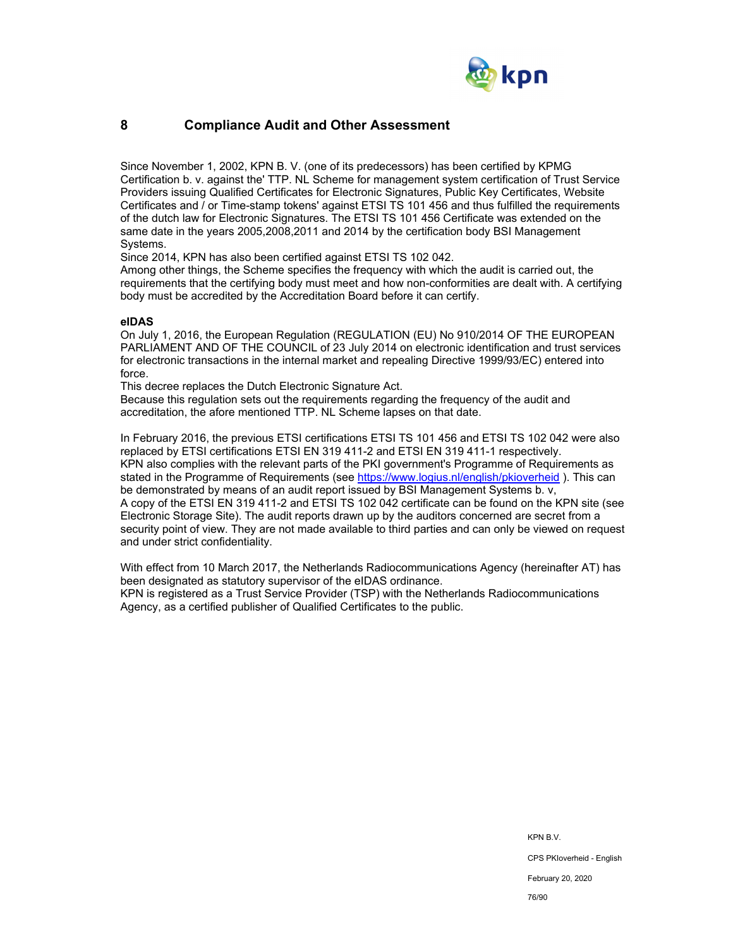

## **8 Compliance Audit and Other Assessment**

Since November 1, 2002, KPN B. V. (one of its predecessors) has been certified by KPMG Certification b. v. against the' TTP. NL Scheme for management system certification of Trust Service Providers issuing Qualified Certificates for Electronic Signatures, Public Key Certificates, Website Certificates and / or Time-stamp tokens' against ETSI TS 101 456 and thus fulfilled the requirements of the dutch law for Electronic Signatures. The ETSI TS 101 456 Certificate was extended on the same date in the years 2005,2008,2011 and 2014 by the certification body BSI Management Systems.

Since 2014, KPN has also been certified against ETSI TS 102 042.

Among other things, the Scheme specifies the frequency with which the audit is carried out, the requirements that the certifying body must meet and how non-conformities are dealt with. A certifying body must be accredited by the Accreditation Board before it can certify.

#### **eIDAS**

On July 1, 2016, the European Regulation (REGULATION (EU) No 910/2014 OF THE EUROPEAN PARLIAMENT AND OF THE COUNCIL of 23 July 2014 on electronic identification and trust services for electronic transactions in the internal market and repealing Directive 1999/93/EC) entered into force.

This decree replaces the Dutch Electronic Signature Act.

Because this regulation sets out the requirements regarding the frequency of the audit and accreditation, the afore mentioned TTP. NL Scheme lapses on that date.

In February 2016, the previous ETSI certifications ETSI TS 101 456 and ETSI TS 102 042 were also replaced by ETSI certifications ETSI EN 319 411-2 and ETSI EN 319 411-1 respectively. KPN also complies with the relevant parts of the PKI government's Programme of Requirements as stated in the Programme of Requirements (see https://www.logius.nl/english/pkioverheid ). This can be demonstrated by means of an audit report issued by BSI Management Systems b. v, A copy of the ETSI EN 319 411-2 and ETSI TS 102 042 certificate can be found on the KPN site (see Electronic Storage Site). The audit reports drawn up by the auditors concerned are secret from a security point of view. They are not made available to third parties and can only be viewed on request and under strict confidentiality.

With effect from 10 March 2017, the Netherlands Radiocommunications Agency (hereinafter AT) has been designated as statutory supervisor of the eIDAS ordinance. KPN is registered as a Trust Service Provider (TSP) with the Netherlands Radiocommunications Agency, as a certified publisher of Qualified Certificates to the public.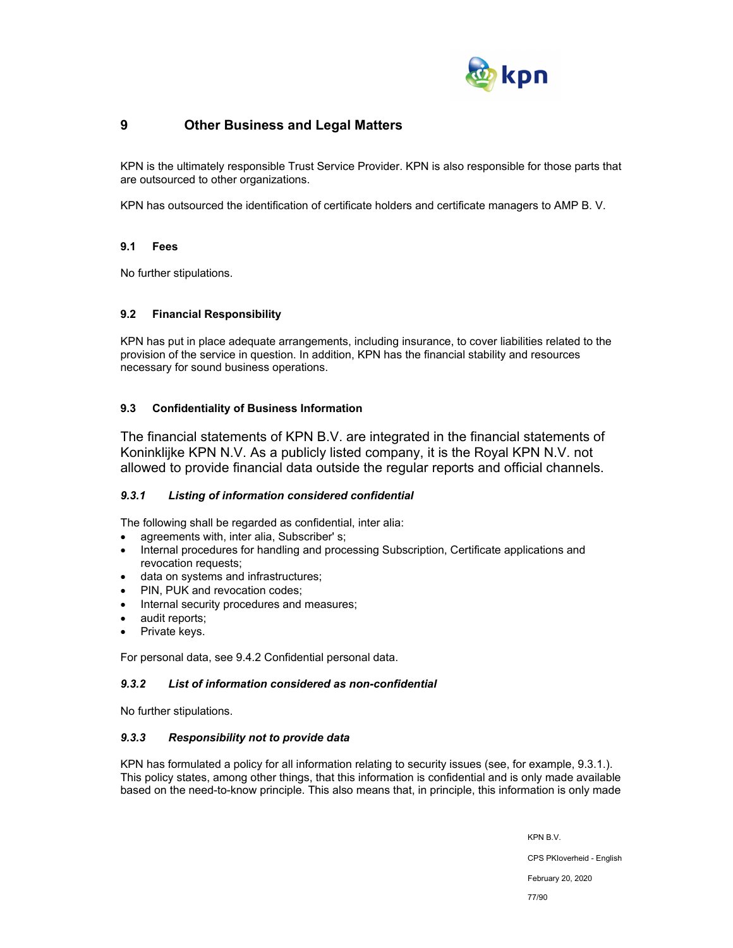

## **9 Other Business and Legal Matters**

KPN is the ultimately responsible Trust Service Provider. KPN is also responsible for those parts that are outsourced to other organizations.

KPN has outsourced the identification of certificate holders and certificate managers to AMP B. V.

## **9.1 Fees**

No further stipulations.

## **9.2 Financial Responsibility**

KPN has put in place adequate arrangements, including insurance, to cover liabilities related to the provision of the service in question. In addition, KPN has the financial stability and resources necessary for sound business operations.

## **9.3 Confidentiality of Business Information**

The financial statements of KPN B.V. are integrated in the financial statements of Koninklijke KPN N.V. As a publicly listed company, it is the Royal KPN N.V. not allowed to provide financial data outside the regular reports and official channels.

## *9.3.1 Listing of information considered confidential*

The following shall be regarded as confidential, inter alia:

- agreements with, inter alia, Subscriber' s;
- Internal procedures for handling and processing Subscription, Certificate applications and revocation requests;
- data on systems and infrastructures;
- PIN, PUK and revocation codes;
- Internal security procedures and measures;
- audit reports;
- Private keys.

For personal data, see 9.4.2 Confidential personal data.

## *9.3.2 List of information considered as non-confidential*

No further stipulations.

## *9.3.3 Responsibility not to provide data*

KPN has formulated a policy for all information relating to security issues (see, for example, 9.3.1.). This policy states, among other things, that this information is confidential and is only made available based on the need-to-know principle. This also means that, in principle, this information is only made

KPN B.V.

CPS PKIoverheid - English

February 20, 2020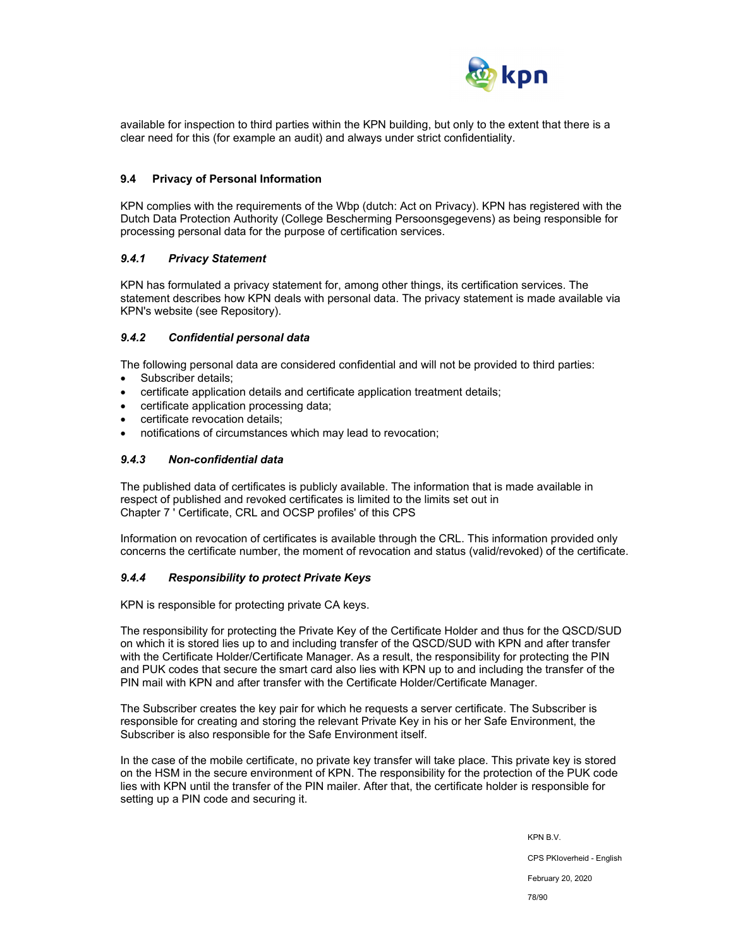

available for inspection to third parties within the KPN building, but only to the extent that there is a clear need for this (for example an audit) and always under strict confidentiality.

#### **9.4 Privacy of Personal Information**

KPN complies with the requirements of the Wbp (dutch: Act on Privacy). KPN has registered with the Dutch Data Protection Authority (College Bescherming Persoonsgegevens) as being responsible for processing personal data for the purpose of certification services.

### *9.4.1 Privacy Statement*

KPN has formulated a privacy statement for, among other things, its certification services. The statement describes how KPN deals with personal data. The privacy statement is made available via KPN's website (see Repository).

### *9.4.2 Confidential personal data*

The following personal data are considered confidential and will not be provided to third parties:

- Subscriber details:
- certificate application details and certificate application treatment details;
- certificate application processing data;
- certificate revocation details;
- notifications of circumstances which may lead to revocation;

### *9.4.3 Non-confidential data*

The published data of certificates is publicly available. The information that is made available in respect of published and revoked certificates is limited to the limits set out in Chapter 7 ' Certificate, CRL and OCSP profiles' of this CPS

Information on revocation of certificates is available through the CRL. This information provided only concerns the certificate number, the moment of revocation and status (valid/revoked) of the certificate.

#### *9.4.4 Responsibility to protect Private Keys*

KPN is responsible for protecting private CA keys.

The responsibility for protecting the Private Key of the Certificate Holder and thus for the QSCD/SUD on which it is stored lies up to and including transfer of the QSCD/SUD with KPN and after transfer with the Certificate Holder/Certificate Manager. As a result, the responsibility for protecting the PIN and PUK codes that secure the smart card also lies with KPN up to and including the transfer of the PIN mail with KPN and after transfer with the Certificate Holder/Certificate Manager.

The Subscriber creates the key pair for which he requests a server certificate. The Subscriber is responsible for creating and storing the relevant Private Key in his or her Safe Environment, the Subscriber is also responsible for the Safe Environment itself.

In the case of the mobile certificate, no private key transfer will take place. This private key is stored on the HSM in the secure environment of KPN. The responsibility for the protection of the PUK code lies with KPN until the transfer of the PIN mailer. After that, the certificate holder is responsible for setting up a PIN code and securing it.

KPN B.V.

CPS PKIoverheid - English

February 20, 2020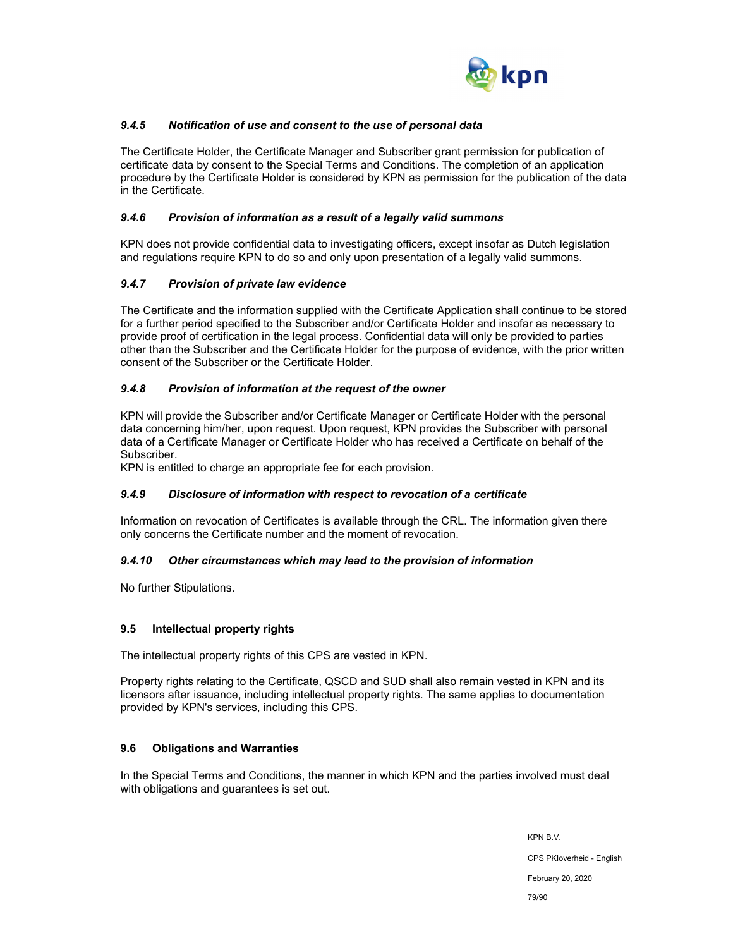

## *9.4.5 Notification of use and consent to the use of personal data*

The Certificate Holder, the Certificate Manager and Subscriber grant permission for publication of certificate data by consent to the Special Terms and Conditions. The completion of an application procedure by the Certificate Holder is considered by KPN as permission for the publication of the data in the Certificate.

### *9.4.6 Provision of information as a result of a legally valid summons*

KPN does not provide confidential data to investigating officers, except insofar as Dutch legislation and regulations require KPN to do so and only upon presentation of a legally valid summons.

## *9.4.7 Provision of private law evidence*

The Certificate and the information supplied with the Certificate Application shall continue to be stored for a further period specified to the Subscriber and/or Certificate Holder and insofar as necessary to provide proof of certification in the legal process. Confidential data will only be provided to parties other than the Subscriber and the Certificate Holder for the purpose of evidence, with the prior written consent of the Subscriber or the Certificate Holder.

### *9.4.8 Provision of information at the request of the owner*

KPN will provide the Subscriber and/or Certificate Manager or Certificate Holder with the personal data concerning him/her, upon request. Upon request, KPN provides the Subscriber with personal data of a Certificate Manager or Certificate Holder who has received a Certificate on behalf of the Subscriber.

KPN is entitled to charge an appropriate fee for each provision.

## *9.4.9 Disclosure of information with respect to revocation of a certificate*

Information on revocation of Certificates is available through the CRL. The information given there only concerns the Certificate number and the moment of revocation.

#### *9.4.10 Other circumstances which may lead to the provision of information*

No further Stipulations.

## **9.5 Intellectual property rights**

The intellectual property rights of this CPS are vested in KPN.

Property rights relating to the Certificate, QSCD and SUD shall also remain vested in KPN and its licensors after issuance, including intellectual property rights. The same applies to documentation provided by KPN's services, including this CPS.

## **9.6 Obligations and Warranties**

In the Special Terms and Conditions, the manner in which KPN and the parties involved must deal with obligations and guarantees is set out.

> KPN B.V. CPS PKIoverheid - English February 20, 2020 79/90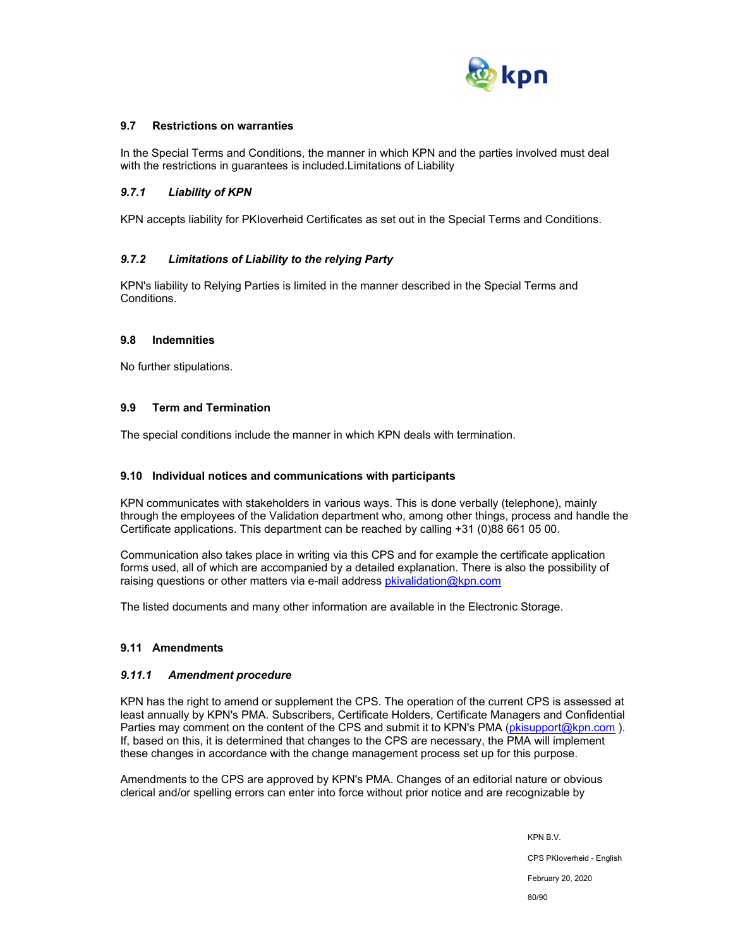

## **9.7 Restrictions on warranties**

In the Special Terms and Conditions, the manner in which KPN and the parties involved must deal with the restrictions in guarantees is included.Limitations of Liability

### *9.7.1 Liability of KPN*

KPN accepts liability for PKIoverheid Certificates as set out in the Special Terms and Conditions.

### *9.7.2 Limitations of Liability to the relying Party*

KPN's liability to Relying Parties is limited in the manner described in the Special Terms and Conditions.

#### **9.8 Indemnities**

No further stipulations.

### **9.9 Term and Termination**

The special conditions include the manner in which KPN deals with termination.

#### **9.10 Individual notices and communications with participants**

KPN communicates with stakeholders in various ways. This is done verbally (telephone), mainly through the employees of the Validation department who, among other things, process and handle the Certificate applications. This department can be reached by calling +31 (0)88 661 05 00.

Communication also takes place in writing via this CPS and for example the certificate application forms used, all of which are accompanied by a detailed explanation. There is also the possibility of raising questions or other matters via e-mail address pkivalidation@kpn.com

The listed documents and many other information are available in the Electronic Storage.

## **9.11 Amendments**

#### *9.11.1 Amendment procedure*

KPN has the right to amend or supplement the CPS. The operation of the current CPS is assessed at least annually by KPN's PMA. Subscribers, Certificate Holders, Certificate Managers and Confidential Parties may comment on the content of the CPS and submit it to KPN's PMA (pkisupport@kpn.com). If, based on this, it is determined that changes to the CPS are necessary, the PMA will implement these changes in accordance with the change management process set up for this purpose.

Amendments to the CPS are approved by KPN's PMA. Changes of an editorial nature or obvious clerical and/or spelling errors can enter into force without prior notice and are recognizable by

> KPN B.V. CPS PKIoverheid - English February 20, 2020 80/90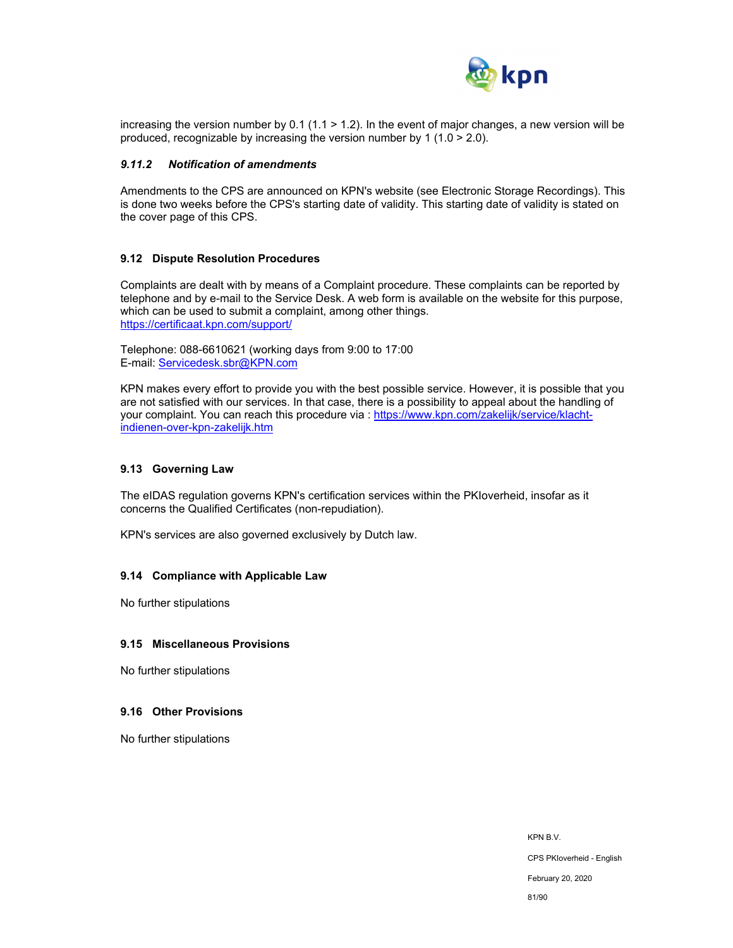

increasing the version number by 0.1 (1.1 > 1.2). In the event of major changes, a new version will be produced, recognizable by increasing the version number by 1 (1.0  $>$  2.0).

#### *9.11.2 Notification of amendments*

Amendments to the CPS are announced on KPN's website (see Electronic Storage Recordings). This is done two weeks before the CPS's starting date of validity. This starting date of validity is stated on the cover page of this CPS.

#### **9.12 Dispute Resolution Procedures**

Complaints are dealt with by means of a Complaint procedure. These complaints can be reported by telephone and by e-mail to the Service Desk. A web form is available on the website for this purpose, which can be used to submit a complaint, among other things. https://certificaat.kpn.com/support/

Telephone: 088-6610621 (working days from 9:00 to 17:00 E-mail: Servicedesk.sbr@KPN.com

KPN makes every effort to provide you with the best possible service. However, it is possible that you are not satisfied with our services. In that case, there is a possibility to appeal about the handling of your complaint. You can reach this procedure via : https://www.kpn.com/zakelijk/service/klachtindienen-over-kpn-zakelijk.htm

### **9.13 Governing Law**

The eIDAS regulation governs KPN's certification services within the PKIoverheid, insofar as it concerns the Qualified Certificates (non-repudiation).

KPN's services are also governed exclusively by Dutch law.

#### **9.14 Compliance with Applicable Law**

No further stipulations

#### **9.15 Miscellaneous Provisions**

No further stipulations

#### **9.16 Other Provisions**

No further stipulations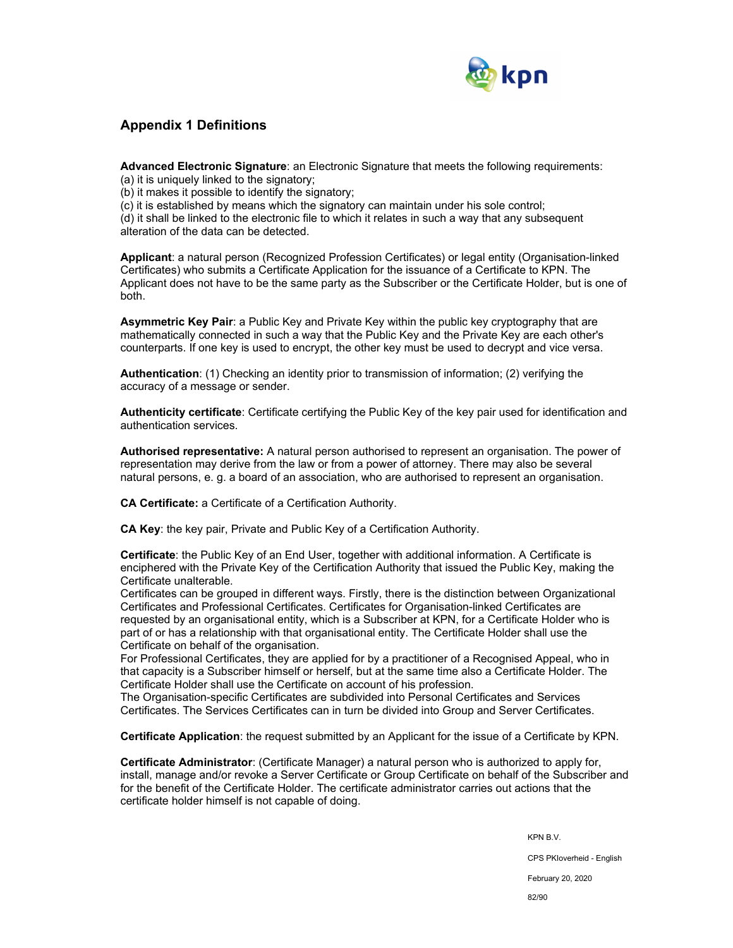

## **Appendix 1 Definitions**

**Advanced Electronic Signature**: an Electronic Signature that meets the following requirements:

(a) it is uniquely linked to the signatory;

(b) it makes it possible to identify the signatory;

(c) it is established by means which the signatory can maintain under his sole control;

(d) it shall be linked to the electronic file to which it relates in such a way that any subsequent alteration of the data can be detected.

**Applicant**: a natural person (Recognized Profession Certificates) or legal entity (Organisation-linked Certificates) who submits a Certificate Application for the issuance of a Certificate to KPN. The Applicant does not have to be the same party as the Subscriber or the Certificate Holder, but is one of both.

**Asymmetric Key Pair**: a Public Key and Private Key within the public key cryptography that are mathematically connected in such a way that the Public Key and the Private Key are each other's counterparts. If one key is used to encrypt, the other key must be used to decrypt and vice versa.

**Authentication**: (1) Checking an identity prior to transmission of information; (2) verifying the accuracy of a message or sender.

**Authenticity certificate**: Certificate certifying the Public Key of the key pair used for identification and authentication services.

**Authorised representative:** A natural person authorised to represent an organisation. The power of representation may derive from the law or from a power of attorney. There may also be several natural persons, e. g. a board of an association, who are authorised to represent an organisation.

**CA Certificate:** a Certificate of a Certification Authority.

**CA Key**: the key pair, Private and Public Key of a Certification Authority.

**Certificate**: the Public Key of an End User, together with additional information. A Certificate is enciphered with the Private Key of the Certification Authority that issued the Public Key, making the Certificate unalterable.

Certificates can be grouped in different ways. Firstly, there is the distinction between Organizational Certificates and Professional Certificates. Certificates for Organisation-linked Certificates are requested by an organisational entity, which is a Subscriber at KPN, for a Certificate Holder who is part of or has a relationship with that organisational entity. The Certificate Holder shall use the Certificate on behalf of the organisation.

For Professional Certificates, they are applied for by a practitioner of a Recognised Appeal, who in that capacity is a Subscriber himself or herself, but at the same time also a Certificate Holder. The Certificate Holder shall use the Certificate on account of his profession.

The Organisation-specific Certificates are subdivided into Personal Certificates and Services Certificates. The Services Certificates can in turn be divided into Group and Server Certificates.

**Certificate Application**: the request submitted by an Applicant for the issue of a Certificate by KPN.

**Certificate Administrator**: (Certificate Manager) a natural person who is authorized to apply for, install, manage and/or revoke a Server Certificate or Group Certificate on behalf of the Subscriber and for the benefit of the Certificate Holder. The certificate administrator carries out actions that the certificate holder himself is not capable of doing.

KPN B.V.

CPS PKIoverheid - English

February 20, 2020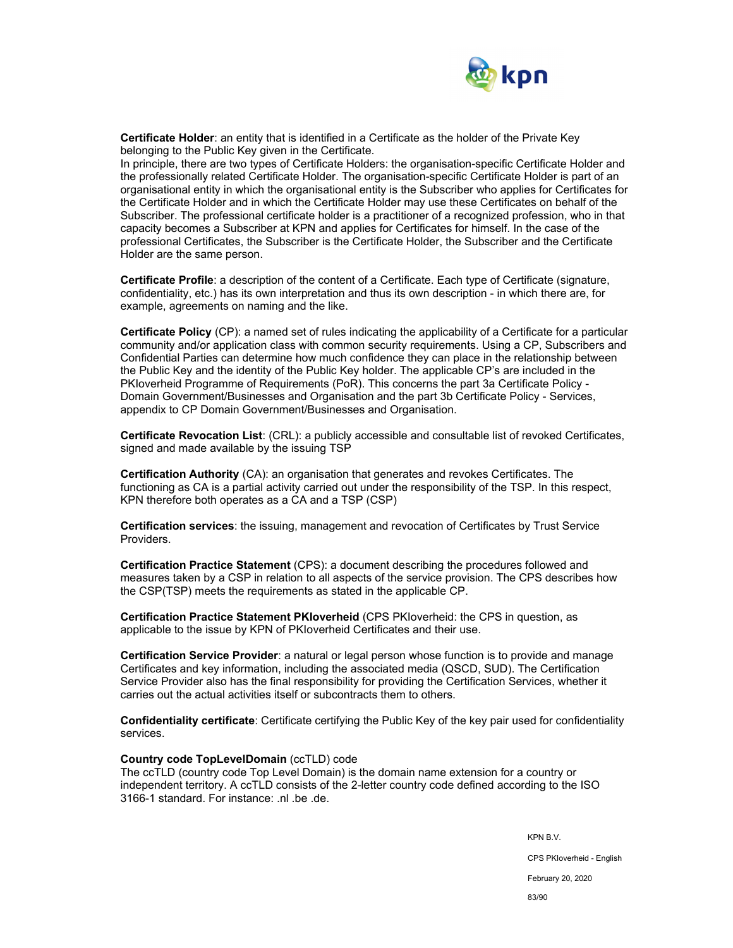

**Certificate Holder**: an entity that is identified in a Certificate as the holder of the Private Key belonging to the Public Key given in the Certificate.

In principle, there are two types of Certificate Holders: the organisation-specific Certificate Holder and the professionally related Certificate Holder. The organisation-specific Certificate Holder is part of an organisational entity in which the organisational entity is the Subscriber who applies for Certificates for the Certificate Holder and in which the Certificate Holder may use these Certificates on behalf of the Subscriber. The professional certificate holder is a practitioner of a recognized profession, who in that capacity becomes a Subscriber at KPN and applies for Certificates for himself. In the case of the professional Certificates, the Subscriber is the Certificate Holder, the Subscriber and the Certificate Holder are the same person.

**Certificate Profile**: a description of the content of a Certificate. Each type of Certificate (signature, confidentiality, etc.) has its own interpretation and thus its own description - in which there are, for example, agreements on naming and the like.

**Certificate Policy** (CP): a named set of rules indicating the applicability of a Certificate for a particular community and/or application class with common security requirements. Using a CP, Subscribers and Confidential Parties can determine how much confidence they can place in the relationship between the Public Key and the identity of the Public Key holder. The applicable CP's are included in the PKIoverheid Programme of Requirements (PoR). This concerns the part 3a Certificate Policy - Domain Government/Businesses and Organisation and the part 3b Certificate Policy - Services, appendix to CP Domain Government/Businesses and Organisation.

**Certificate Revocation List**: (CRL): a publicly accessible and consultable list of revoked Certificates, signed and made available by the issuing TSP

**Certification Authority** (CA): an organisation that generates and revokes Certificates. The functioning as CA is a partial activity carried out under the responsibility of the TSP. In this respect, KPN therefore both operates as a CA and a TSP (CSP)

**Certification services**: the issuing, management and revocation of Certificates by Trust Service Providers.

**Certification Practice Statement** (CPS): a document describing the procedures followed and measures taken by a CSP in relation to all aspects of the service provision. The CPS describes how the CSP(TSP) meets the requirements as stated in the applicable CP.

**Certification Practice Statement PKIoverheid** (CPS PKIoverheid: the CPS in question, as applicable to the issue by KPN of PKIoverheid Certificates and their use.

**Certification Service Provider**: a natural or legal person whose function is to provide and manage Certificates and key information, including the associated media (QSCD, SUD). The Certification Service Provider also has the final responsibility for providing the Certification Services, whether it carries out the actual activities itself or subcontracts them to others.

**Confidentiality certificate**: Certificate certifying the Public Key of the key pair used for confidentiality services.

#### **Country code TopLevelDomain** (ccTLD) code

The ccTLD (country code Top Level Domain) is the domain name extension for a country or independent territory. A ccTLD consists of the 2-letter country code defined according to the ISO 3166-1 standard. For instance: .nl .be .de.

KPN B.V.

CPS PKIoverheid - English

February 20, 2020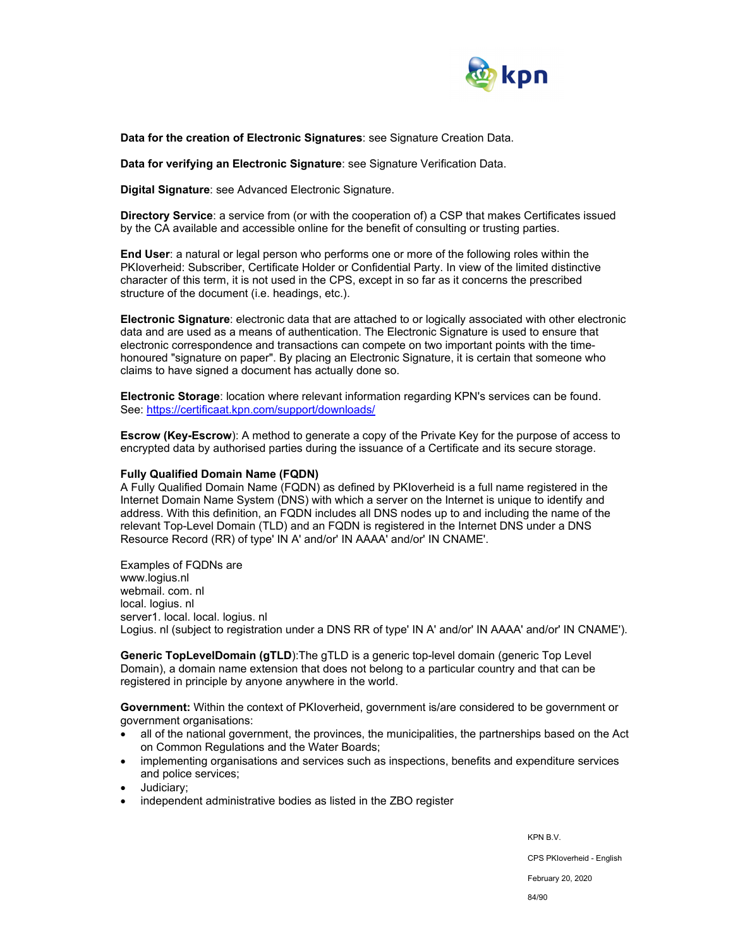

**Data for the creation of Electronic Signatures**: see Signature Creation Data.

**Data for verifying an Electronic Signature**: see Signature Verification Data.

**Digital Signature**: see Advanced Electronic Signature.

**Directory Service**: a service from (or with the cooperation of) a CSP that makes Certificates issued by the CA available and accessible online for the benefit of consulting or trusting parties.

**End User**: a natural or legal person who performs one or more of the following roles within the PKIoverheid: Subscriber, Certificate Holder or Confidential Party. In view of the limited distinctive character of this term, it is not used in the CPS, except in so far as it concerns the prescribed structure of the document (i.e. headings, etc.).

**Electronic Signature**: electronic data that are attached to or logically associated with other electronic data and are used as a means of authentication. The Electronic Signature is used to ensure that electronic correspondence and transactions can compete on two important points with the timehonoured "signature on paper". By placing an Electronic Signature, it is certain that someone who claims to have signed a document has actually done so.

**Electronic Storage**: location where relevant information regarding KPN's services can be found. See: https://certificaat.kpn.com/support/downloads/

**Escrow (Key-Escrow**): A method to generate a copy of the Private Key for the purpose of access to encrypted data by authorised parties during the issuance of a Certificate and its secure storage.

#### **Fully Qualified Domain Name (FQDN)**

A Fully Qualified Domain Name (FQDN) as defined by PKIoverheid is a full name registered in the Internet Domain Name System (DNS) with which a server on the Internet is unique to identify and address. With this definition, an FQDN includes all DNS nodes up to and including the name of the relevant Top-Level Domain (TLD) and an FQDN is registered in the Internet DNS under a DNS Resource Record (RR) of type' IN A' and/or' IN AAAA' and/or' IN CNAME'.

Examples of FQDNs are www.logius.nl webmail. com. nl local. logius. nl server1. local. local. logius. nl Logius. nl (subject to registration under a DNS RR of type' IN A' and/or' IN AAAA' and/or' IN CNAME').

**Generic TopLevelDomain (gTLD**):The gTLD is a generic top-level domain (generic Top Level Domain), a domain name extension that does not belong to a particular country and that can be registered in principle by anyone anywhere in the world.

**Government:** Within the context of PKIoverheid, government is/are considered to be government or government organisations:

- all of the national government, the provinces, the municipalities, the partnerships based on the Act on Common Regulations and the Water Boards;
- implementing organisations and services such as inspections, benefits and expenditure services and police services;
- Judiciary;
- independent administrative bodies as listed in the ZBO register

KPN B.V. CPS PKIoverheid - English February 20, 2020 84/90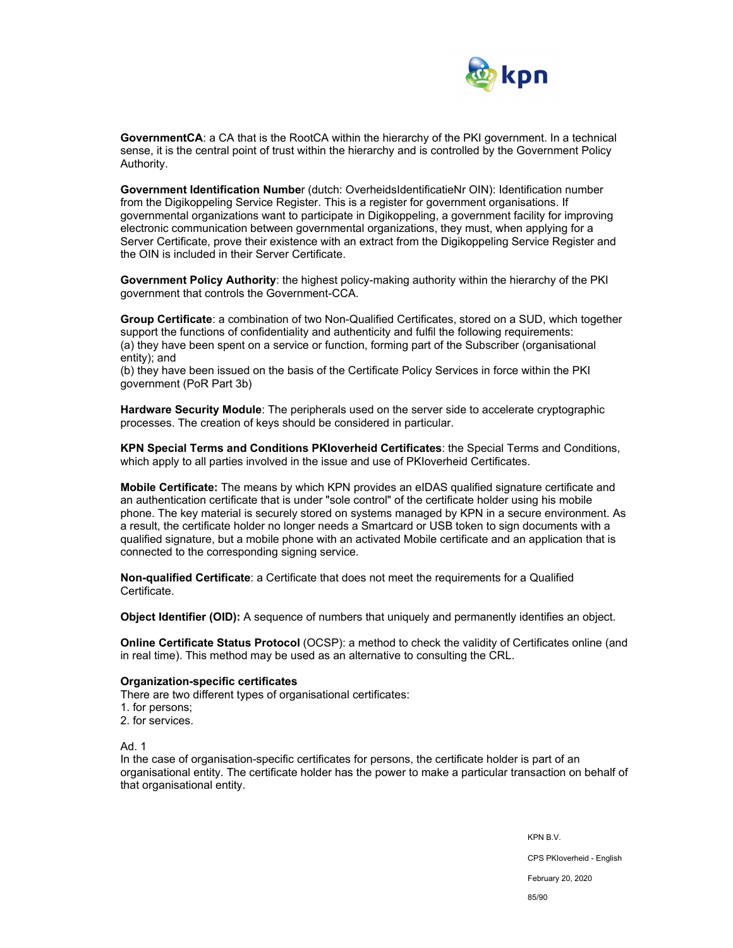

**GovernmentCA**: a CA that is the RootCA within the hierarchy of the PKI government. In a technical sense, it is the central point of trust within the hierarchy and is controlled by the Government Policy Authority.

**Government Identification Numbe**r (dutch: OverheidsIdentificatieNr OIN): Identification number from the Digikoppeling Service Register. This is a register for government organisations. If governmental organizations want to participate in Digikoppeling, a government facility for improving electronic communication between governmental organizations, they must, when applying for a Server Certificate, prove their existence with an extract from the Digikoppeling Service Register and the OIN is included in their Server Certificate.

**Government Policy Authority**: the highest policy-making authority within the hierarchy of the PKI government that controls the Government-CCA.

**Group Certificate**: a combination of two Non-Qualified Certificates, stored on a SUD, which together support the functions of confidentiality and authenticity and fulfil the following requirements: (a) they have been spent on a service or function, forming part of the Subscriber (organisational entity); and

(b) they have been issued on the basis of the Certificate Policy Services in force within the PKI government (PoR Part 3b)

**Hardware Security Module**: The peripherals used on the server side to accelerate cryptographic processes. The creation of keys should be considered in particular.

**KPN Special Terms and Conditions PKIoverheid Certificates**: the Special Terms and Conditions, which apply to all parties involved in the issue and use of PKIoverheid Certificates.

**Mobile Certificate:** The means by which KPN provides an eIDAS qualified signature certificate and an authentication certificate that is under "sole control" of the certificate holder using his mobile phone. The key material is securely stored on systems managed by KPN in a secure environment. As a result, the certificate holder no longer needs a Smartcard or USB token to sign documents with a qualified signature, but a mobile phone with an activated Mobile certificate and an application that is connected to the corresponding signing service.

**Non-qualified Certificate**: a Certificate that does not meet the requirements for a Qualified Certificate.

**Object Identifier (OID):** A sequence of numbers that uniquely and permanently identifies an object.

**Online Certificate Status Protocol** (OCSP): a method to check the validity of Certificates online (and in real time). This method may be used as an alternative to consulting the CRL.

#### **Organization-specific certificates**

There are two different types of organisational certificates:

- 1. for persons;
- 2. for services.

Ad. 1

In the case of organisation-specific certificates for persons, the certificate holder is part of an organisational entity. The certificate holder has the power to make a particular transaction on behalf of that organisational entity.

> KPN B.V. CPS PKIoverheid - English February 20, 2020 85/90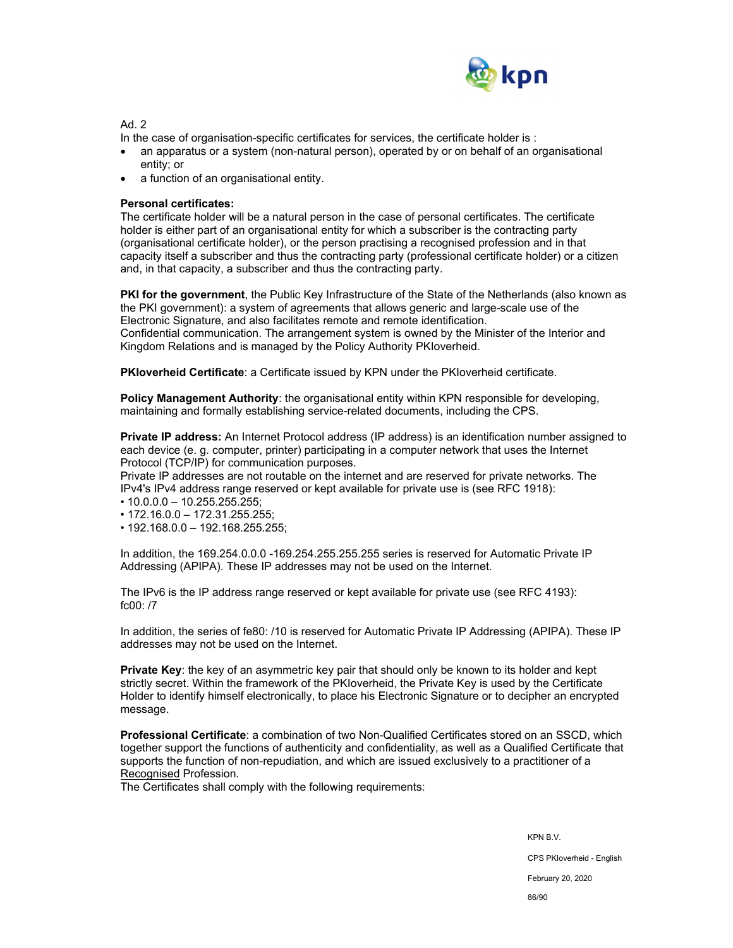

Ad. 2

In the case of organisation-specific certificates for services, the certificate holder is :

- an apparatus or a system (non-natural person), operated by or on behalf of an organisational entity; or
- a function of an organisational entity.

## **Personal certificates:**

The certificate holder will be a natural person in the case of personal certificates. The certificate holder is either part of an organisational entity for which a subscriber is the contracting party (organisational certificate holder), or the person practising a recognised profession and in that capacity itself a subscriber and thus the contracting party (professional certificate holder) or a citizen and, in that capacity, a subscriber and thus the contracting party.

**PKI for the government**, the Public Key Infrastructure of the State of the Netherlands (also known as the PKI government): a system of agreements that allows generic and large-scale use of the Electronic Signature, and also facilitates remote and remote identification. Confidential communication. The arrangement system is owned by the Minister of the Interior and Kingdom Relations and is managed by the Policy Authority PKIoverheid.

**PKIoverheid Certificate**: a Certificate issued by KPN under the PKIoverheid certificate.

**Policy Management Authority**: the organisational entity within KPN responsible for developing. maintaining and formally establishing service-related documents, including the CPS.

**Private IP address:** An Internet Protocol address (IP address) is an identification number assigned to each device (e. g. computer, printer) participating in a computer network that uses the Internet Protocol (TCP/IP) for communication purposes.

Private IP addresses are not routable on the internet and are reserved for private networks. The IPv4's IPv4 address range reserved or kept available for private use is (see RFC 1918):

- 10.0.0.0 10.255.255.255;
- 172.16.0.0 172.31.255.255;
- 192.168.0.0 192.168.255.255;

In addition, the 169.254.0.0.0 -169.254.255.255.255 series is reserved for Automatic Private IP Addressing (APIPA). These IP addresses may not be used on the Internet.

The IPv6 is the IP address range reserved or kept available for private use (see RFC 4193): fc00: /7

In addition, the series of fe80: /10 is reserved for Automatic Private IP Addressing (APIPA). These IP addresses may not be used on the Internet.

**Private Key**: the key of an asymmetric key pair that should only be known to its holder and kept strictly secret. Within the framework of the PKIoverheid, the Private Key is used by the Certificate Holder to identify himself electronically, to place his Electronic Signature or to decipher an encrypted message.

**Professional Certificate**: a combination of two Non-Qualified Certificates stored on an SSCD, which together support the functions of authenticity and confidentiality, as well as a Qualified Certificate that supports the function of non-repudiation, and which are issued exclusively to a practitioner of a Recognised Profession.

The Certificates shall comply with the following requirements:

KPN B.V.

CPS PKIoverheid - English

February 20, 2020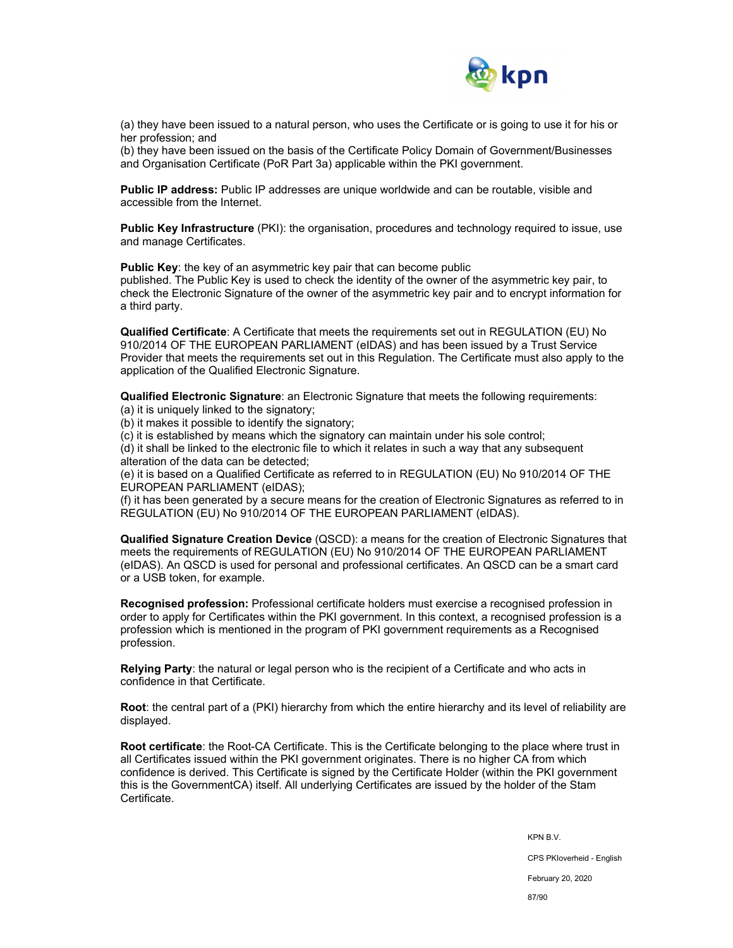

(a) they have been issued to a natural person, who uses the Certificate or is going to use it for his or her profession; and

(b) they have been issued on the basis of the Certificate Policy Domain of Government/Businesses and Organisation Certificate (PoR Part 3a) applicable within the PKI government.

**Public IP address:** Public IP addresses are unique worldwide and can be routable, visible and accessible from the Internet.

**Public Key Infrastructure** (PKI): the organisation, procedures and technology required to issue, use and manage Certificates.

**Public Key**: the key of an asymmetric key pair that can become public

published. The Public Key is used to check the identity of the owner of the asymmetric key pair, to check the Electronic Signature of the owner of the asymmetric key pair and to encrypt information for a third party.

**Qualified Certificate**: A Certificate that meets the requirements set out in REGULATION (EU) No 910/2014 OF THE EUROPEAN PARLIAMENT (eIDAS) and has been issued by a Trust Service Provider that meets the requirements set out in this Regulation. The Certificate must also apply to the application of the Qualified Electronic Signature.

**Qualified Electronic Signature**: an Electronic Signature that meets the following requirements:

(a) it is uniquely linked to the signatory;

(b) it makes it possible to identify the signatory;

(c) it is established by means which the signatory can maintain under his sole control;

(d) it shall be linked to the electronic file to which it relates in such a way that any subsequent alteration of the data can be detected;

(e) it is based on a Qualified Certificate as referred to in REGULATION (EU) No 910/2014 OF THE EUROPEAN PARLIAMENT (eIDAS);

(f) it has been generated by a secure means for the creation of Electronic Signatures as referred to in REGULATION (EU) No 910/2014 OF THE EUROPEAN PARLIAMENT (eIDAS).

**Qualified Signature Creation Device** (QSCD): a means for the creation of Electronic Signatures that meets the requirements of REGULATION (EU) No 910/2014 OF THE EUROPEAN PARLIAMENT (eIDAS). An QSCD is used for personal and professional certificates. An QSCD can be a smart card or a USB token, for example.

**Recognised profession:** Professional certificate holders must exercise a recognised profession in order to apply for Certificates within the PKI government. In this context, a recognised profession is a profession which is mentioned in the program of PKI government requirements as a Recognised profession.

**Relying Party**: the natural or legal person who is the recipient of a Certificate and who acts in confidence in that Certificate.

**Root**: the central part of a (PKI) hierarchy from which the entire hierarchy and its level of reliability are displayed.

**Root certificate**: the Root-CA Certificate. This is the Certificate belonging to the place where trust in all Certificates issued within the PKI government originates. There is no higher CA from which confidence is derived. This Certificate is signed by the Certificate Holder (within the PKI government this is the GovernmentCA) itself. All underlying Certificates are issued by the holder of the Stam Certificate.

KPN B.V.

CPS PKIoverheid - English

February 20, 2020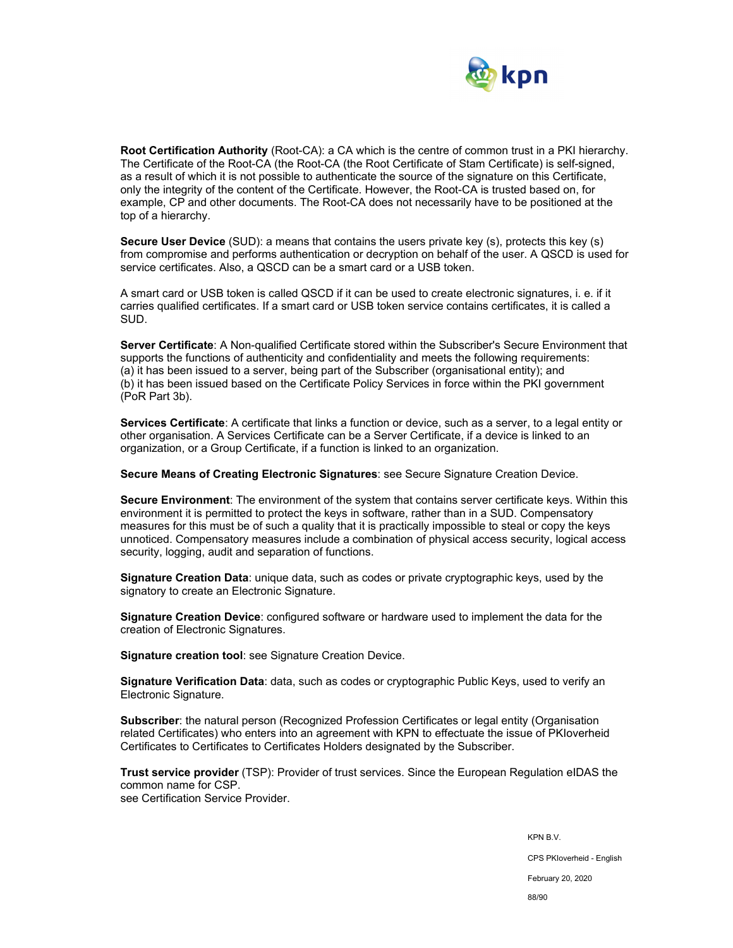

**Root Certification Authority** (Root-CA): a CA which is the centre of common trust in a PKI hierarchy. The Certificate of the Root-CA (the Root-CA (the Root Certificate of Stam Certificate) is self-signed, as a result of which it is not possible to authenticate the source of the signature on this Certificate, only the integrity of the content of the Certificate. However, the Root-CA is trusted based on, for example, CP and other documents. The Root-CA does not necessarily have to be positioned at the top of a hierarchy.

**Secure User Device** (SUD): a means that contains the users private key (s), protects this key (s) from compromise and performs authentication or decryption on behalf of the user. A QSCD is used for service certificates. Also, a QSCD can be a smart card or a USB token.

A smart card or USB token is called QSCD if it can be used to create electronic signatures, i. e. if it carries qualified certificates. If a smart card or USB token service contains certificates, it is called a SUD.

**Server Certificate**: A Non-qualified Certificate stored within the Subscriber's Secure Environment that supports the functions of authenticity and confidentiality and meets the following requirements: (a) it has been issued to a server, being part of the Subscriber (organisational entity); and (b) it has been issued based on the Certificate Policy Services in force within the PKI government (PoR Part 3b).

**Services Certificate**: A certificate that links a function or device, such as a server, to a legal entity or other organisation. A Services Certificate can be a Server Certificate, if a device is linked to an organization, or a Group Certificate, if a function is linked to an organization.

**Secure Means of Creating Electronic Signatures**: see Secure Signature Creation Device.

**Secure Environment**: The environment of the system that contains server certificate keys. Within this environment it is permitted to protect the keys in software, rather than in a SUD. Compensatory measures for this must be of such a quality that it is practically impossible to steal or copy the keys unnoticed. Compensatory measures include a combination of physical access security, logical access security, logging, audit and separation of functions.

**Signature Creation Data**: unique data, such as codes or private cryptographic keys, used by the signatory to create an Electronic Signature.

**Signature Creation Device**: configured software or hardware used to implement the data for the creation of Electronic Signatures.

**Signature creation tool**: see Signature Creation Device.

**Signature Verification Data**: data, such as codes or cryptographic Public Keys, used to verify an Electronic Signature.

**Subscriber:** the natural person (Recognized Profession Certificates or legal entity (Organisation related Certificates) who enters into an agreement with KPN to effectuate the issue of PKIoverheid Certificates to Certificates to Certificates Holders designated by the Subscriber.

**Trust service provider** (TSP): Provider of trust services. Since the European Regulation eIDAS the common name for CSP. see Certification Service Provider.

> KPN B.V. CPS PKIoverheid - English February 20, 2020 88/90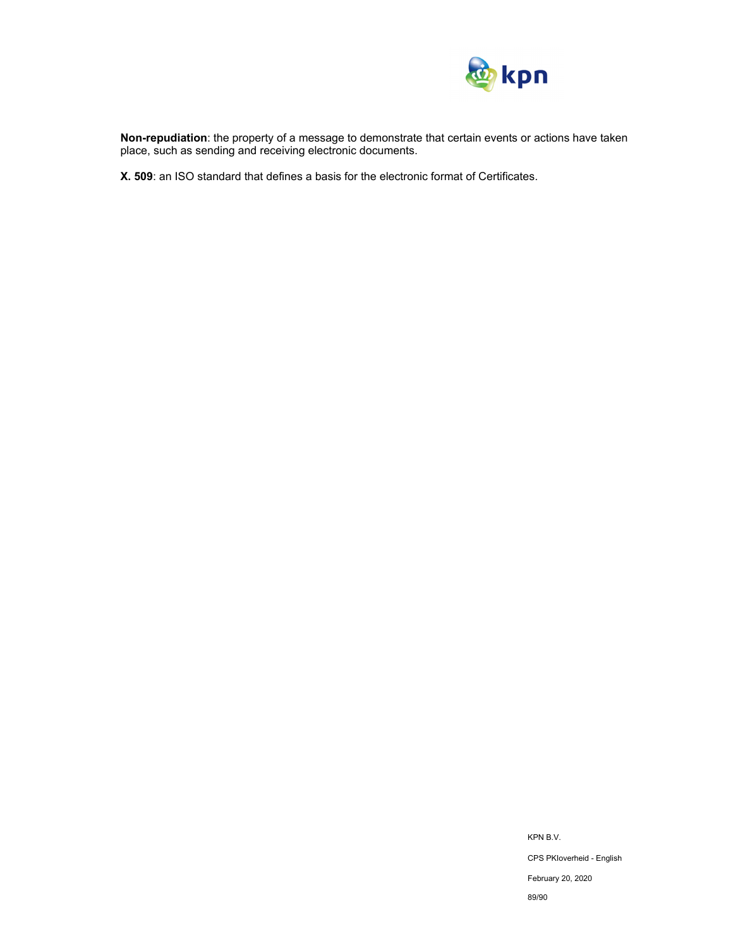

**Non-repudiation**: the property of a message to demonstrate that certain events or actions have taken place, such as sending and receiving electronic documents.

**X. 509**: an ISO standard that defines a basis for the electronic format of Certificates.

KPN B.V. CPS PKIoverheid - English February 20, 2020